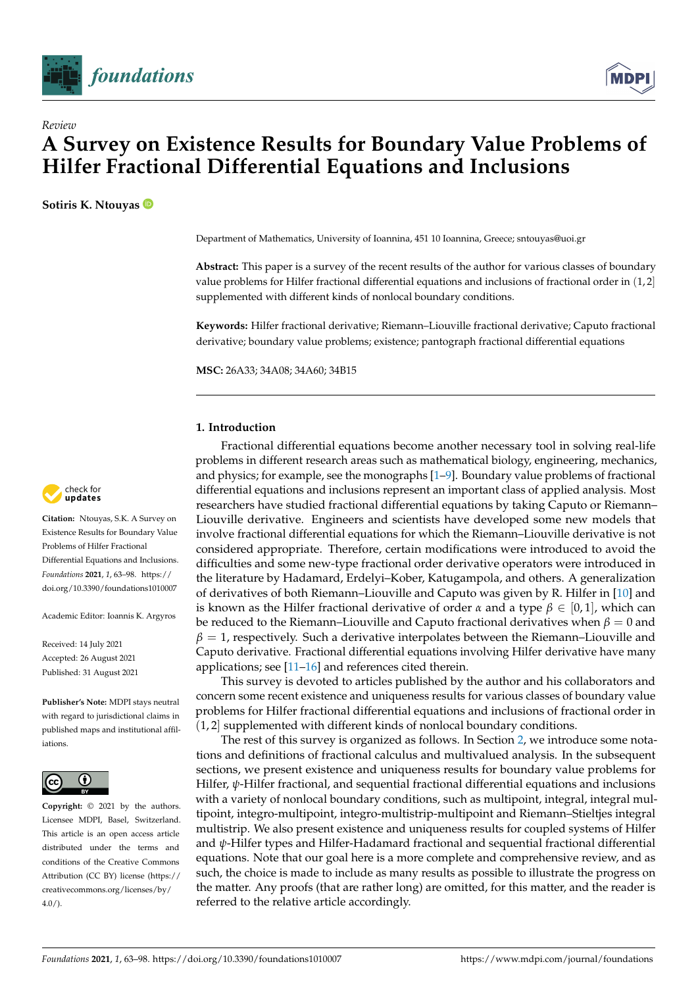



# **A Survey on Existence Results for Boundary Value Problems of Hilfer Fractional Differential Equations and Inclusions**

**Sotiris K. Ntouyas**

*Review*

Department of Mathematics, University of Ioannina, 451 10 Ioannina, Greece; sntouyas@uoi.gr

**Abstract:** This paper is a survey of the recent results of the author for various classes of boundary value problems for Hilfer fractional differential equations and inclusions of fractional order in (1, 2] supplemented with different kinds of nonlocal boundary conditions.

**Keywords:** Hilfer fractional derivative; Riemann–Liouville fractional derivative; Caputo fractional derivative; boundary value problems; existence; pantograph fractional differential equations

**MSC:** 26A33; 34A08; 34A60; 34B15

#### **1. Introduction**

Fractional differential equations become another necessary tool in solving real-life problems in different research areas such as mathematical biology, engineering, mechanics, and physics; for example, see the monographs [\[1](#page-34-0)[–9\]](#page-34-1). Boundary value problems of fractional differential equations and inclusions represent an important class of applied analysis. Most researchers have studied fractional differential equations by taking Caputo or Riemann– Liouville derivative. Engineers and scientists have developed some new models that involve fractional differential equations for which the Riemann–Liouville derivative is not considered appropriate. Therefore, certain modifications were introduced to avoid the difficulties and some new-type fractional order derivative operators were introduced in the literature by Hadamard, Erdelyi–Kober, Katugampola, and others. A generalization of derivatives of both Riemann–Liouville and Caputo was given by R. Hilfer in [\[10\]](#page-34-2) and is known as the Hilfer fractional derivative of order  $\alpha$  and a type  $\beta \in [0,1]$ , which can be reduced to the Riemann–Liouville and Caputo fractional derivatives when  $β = 0$  and  $\beta = 1$ , respectively. Such a derivative interpolates between the Riemann–Liouville and Caputo derivative. Fractional differential equations involving Hilfer derivative have many applications; see  $[11–16]$  $[11–16]$  and references cited therein.

This survey is devoted to articles published by the author and his collaborators and concern some recent existence and uniqueness results for various classes of boundary value problems for Hilfer fractional differential equations and inclusions of fractional order in (1, 2] supplemented with different kinds of nonlocal boundary conditions.

The rest of this survey is organized as follows. In Section [2,](#page-1-0) we introduce some notations and definitions of fractional calculus and multivalued analysis. In the subsequent sections, we present existence and uniqueness results for boundary value problems for Hilfer, *ψ*-Hilfer fractional, and sequential fractional differential equations and inclusions with a variety of nonlocal boundary conditions, such as multipoint, integral, integral multipoint, integro-multipoint, integro-multistrip-multipoint and Riemann–Stieltjes integral multistrip. We also present existence and uniqueness results for coupled systems of Hilfer and *ψ*-Hilfer types and Hilfer-Hadamard fractional and sequential fractional differential equations. Note that our goal here is a more complete and comprehensive review, and as such, the choice is made to include as many results as possible to illustrate the progress on the matter. Any proofs (that are rather long) are omitted, for this matter, and the reader is referred to the relative article accordingly.



**Citation:** Ntouyas, S.K. A Survey on Existence Results for Boundary Value Problems of Hilfer Fractional Differential Equations and Inclusions. *Foundations* **2021**, *1*, 63–98. [https://](https://doi.org/10.3390/foundations1010007) [doi.org/10.3390/foundations1010007](https://doi.org/10.3390/foundations1010007)

Academic Editor: Ioannis K. Argyros

Received: 14 July 2021 Accepted: 26 August 2021 Published: 31 August 2021

**Publisher's Note:** MDPI stays neutral with regard to jurisdictional claims in published maps and institutional affiliations.



**Copyright:** © 2021 by the authors. Licensee MDPI, Basel, Switzerland. This article is an open access article distributed under the terms and conditions of the Creative Commons Attribution (CC BY) license (https:/[/](https://creativecommons.org/licenses/by/4.0/) [creativecommons.org/licenses/by/](https://creativecommons.org/licenses/by/4.0/)  $4.0/$ ).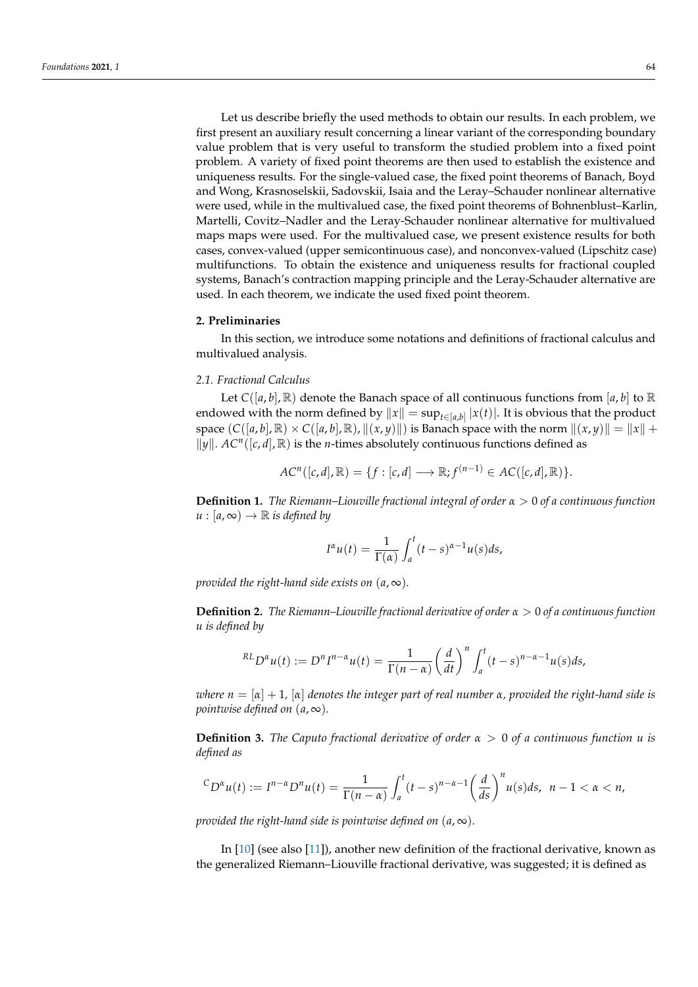Let us describe briefly the used methods to obtain our results. In each problem, we first present an auxiliary result concerning a linear variant of the corresponding boundary value problem that is very useful to transform the studied problem into a fixed point problem. A variety of fixed point theorems are then used to establish the existence and uniqueness results. For the single-valued case, the fixed point theorems of Banach, Boyd and Wong, Krasnoselskii, Sadovskii, Isaia and the Leray–Schauder nonlinear alternative were used, while in the multivalued case, the fixed point theorems of Bohnenblust–Karlin, Martelli, Covitz–Nadler and the Leray-Schauder nonlinear alternative for multivalued maps maps were used. For the multivalued case, we present existence results for both cases, convex-valued (upper semicontinuous case), and nonconvex-valued (Lipschitz case) multifunctions. To obtain the existence and uniqueness results for fractional coupled systems, Banach's contraction mapping principle and the Leray-Schauder alternative are used. In each theorem, we indicate the used fixed point theorem.

#### <span id="page-1-0"></span>**2. Preliminaries**

In this section, we introduce some notations and definitions of fractional calculus and multivalued analysis.

# *2.1. Fractional Calculus*

Let  $C([a, b], \mathbb{R})$  denote the Banach space of all continuous functions from [a, b] to  $\mathbb{R}$ endowed with the norm defined by  $\|x\| = \sup_{t \in [a,b]} |x(t)|.$  It is obvious that the product space  $(C([a, b], \mathbb{R}) \times C([a, b], \mathbb{R})$ ,  $\|(x, y)\|$  is Banach space with the norm  $\|(x, y)\| = \|x\| +$  $\|\hat{y}\|$ .  $AC^n([c, d], \mathbb{R})$  is the *n*-times absolutely continuous functions defined as

$$
ACn([c,d], \mathbb{R}) = \{f : [c,d] \longrightarrow \mathbb{R}; f^{(n-1)} \in AC([c,d], \mathbb{R})\}.
$$

**Definition 1.** *The Riemann–Liouville fractional integral of order α* > 0 *of a continuous function*  $u : [a, \infty) \to \mathbb{R}$  *is defined by* 

$$
I^{\alpha}u(t) = \frac{1}{\Gamma(\alpha)} \int_a^t (t-s)^{\alpha-1} u(s) ds,
$$

*provided the right-hand side exists on*  $(a, \infty)$ *.* 

**Definition 2.** *The Riemann–Liouville fractional derivative of order α* > 0 *of a continuous function u is defined by*

$$
^{RL}D^{\alpha}u(t) := D^{n}I^{n-\alpha}u(t) = \frac{1}{\Gamma(n-\alpha)}\left(\frac{d}{dt}\right)^{n}\int_{a}^{t}(t-s)^{n-\alpha-1}u(s)ds,
$$

*where*  $n = [\alpha] + 1$ ,  $[\alpha]$  *denotes the integer part of real number*  $\alpha$ , *provided the right-hand side is pointwise defined on*  $(a, \infty)$ *.* 

**Definition 3.** *The Caputo fractional derivative of order α* > 0 *of a continuous function u is defined as*

$$
{}^C D^{\alpha}u(t) := I^{n-\alpha}D^n u(t) = \frac{1}{\Gamma(n-\alpha)} \int_a^t (t-s)^{n-\alpha-1} \left(\frac{d}{ds}\right)^n u(s)ds, \ \ n-1 < \alpha < n,
$$

*provided the right-hand side is pointwise defined on*  $(a, \infty)$ *.* 

In [\[10\]](#page-34-2) (see also [\[11\]](#page-34-3)), another new definition of the fractional derivative, known as the generalized Riemann–Liouville fractional derivative, was suggested; it is defined as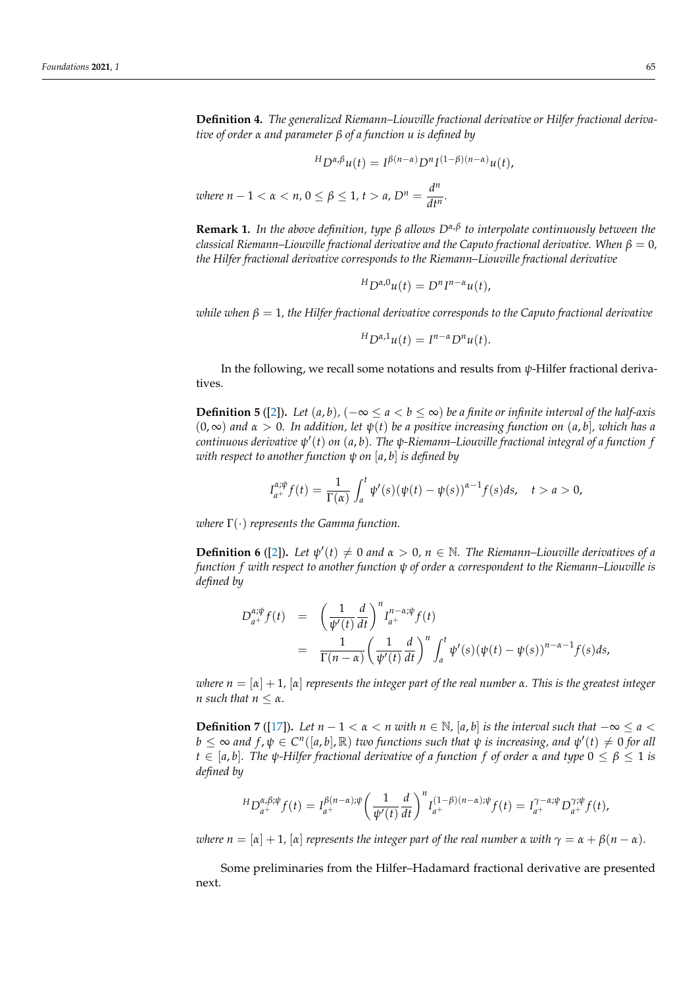**Definition 4.** *The generalized Riemann–Liouville fractional derivative or Hilfer fractional derivative of order α and parameter β of a function u is defined by*

$$
{}^{H}D^{\alpha,\beta}u(t) = I^{\beta(n-\alpha)}D^{n}I^{(1-\beta)(n-\alpha)}u(t),
$$
  
where  $n-1 < \alpha < n, 0 \le \beta \le 1, t > a, D^{n} = \frac{d^{n}}{dt^{n}}$ .

**Remark 1.** *In the above definition, type β allows Dα*,*<sup>β</sup> to interpolate continuously between the classical Riemann–Liouville fractional derivative and the Caputo fractional derivative. When*  $\beta = 0$ , *the Hilfer fractional derivative corresponds to the Riemann–Liouville fractional derivative*

$$
{}^{H}D^{\alpha,0}u(t) = D^{n}I^{n-\alpha}u(t),
$$

*while when*  $\beta = 1$ , the Hilfer fractional derivative corresponds to the Caputo fractional derivative

$$
{}^{H}D^{\alpha,1}u(t) = I^{n-\alpha}D^{n}u(t).
$$

In the following, we recall some notations and results from *ψ*-Hilfer fractional derivatives.

**Definition 5** ([\[2\]](#page-34-5)). *Let*  $(a, b)$ *,*  $(-∞ ≤ a < b ≤ ∞)$  *be a finite or infinite interval of the half-axis*  $(0, \infty)$  *and*  $\alpha > 0$ . In addition, let  $\psi(t)$  be a positive increasing function on  $(a, b)$ , which has a *continuous derivative ψ* 0 (*t*) *on* (*a*, *b*)*. The ψ-Riemann–Liouville fractional integral of a function f with respect to another function ψ on* [*a*, *b*] *is defined by*

$$
I_{a^{+}}^{\alpha;\psi}f(t)=\frac{1}{\Gamma(\alpha)}\int_{a}^{t}\psi'(s)(\psi(t)-\psi(s))^{\alpha-1}f(s)ds,\quad t>a>0,
$$

*where* Γ(·) *represents the Gamma function.*

**Definition 6** ([\[2\]](#page-34-5)). Let  $\psi'(t) \neq 0$  and  $\alpha > 0$ ,  $n \in \mathbb{N}$ . The Riemann–Liouville derivatives of a *function f with respect to another function ψ of order α correspondent to the Riemann–Liouville is defined by*

$$
D_{a^{+}}^{\alpha;\psi}f(t) = \left(\frac{1}{\psi'(t)}\frac{d}{dt}\right)^{n}I_{a^{+}}^{n-\alpha;\psi}f(t)
$$
  
= 
$$
\frac{1}{\Gamma(n-\alpha)}\left(\frac{1}{\psi'(t)}\frac{d}{dt}\right)^{n}\int_{a}^{t}\psi'(s)(\psi(t)-\psi(s))^{n-\alpha-1}f(s)ds,
$$

*where*  $n = [\alpha] + 1$ ,  $[\alpha]$  *represents the integer part of the real number*  $\alpha$ *. This is the greatest integer n* such that  $n \leq \alpha$ .

**Definition 7** ([\[17\]](#page-34-6)). Let  $n - 1 < \alpha < n$  with  $n \in \mathbb{N}$ , [a, b] is the interval such that  $-\infty \le a <$  $b \leq \infty$  and  $f$ ,  $\psi \in C^n([a, b], \mathbb{R})$  *two functions such that*  $\psi$  *is increasing, and*  $\psi'(t) \neq 0$  *for all*  $t \in [a, b]$ *. The*  $\psi$ *-Hilfer fractional derivative of a function f of order*  $\alpha$  *and type*  $0 \leq \beta \leq 1$  *is defined by*

$$
{}^{H}D_{a^{+}}^{\alpha,\beta;\psi}f(t) = I_{a^{+}}^{\beta(n-\alpha);\psi} \left(\frac{1}{\psi'(t)}\frac{d}{dt}\right)^{n} I_{a^{+}}^{(1-\beta)(n-\alpha);\psi}f(t) = I_{a^{+}}^{\gamma-\alpha;\psi}D_{a^{+}}^{\gamma;\psi}f(t),
$$

*where n* =  $[\alpha] + 1$ ,  $[\alpha]$  *represents the integer part of the real number*  $\alpha$  *with*  $\gamma = \alpha + \beta(n - \alpha)$ *.* 

Some preliminaries from the Hilfer–Hadamard fractional derivative are presented next.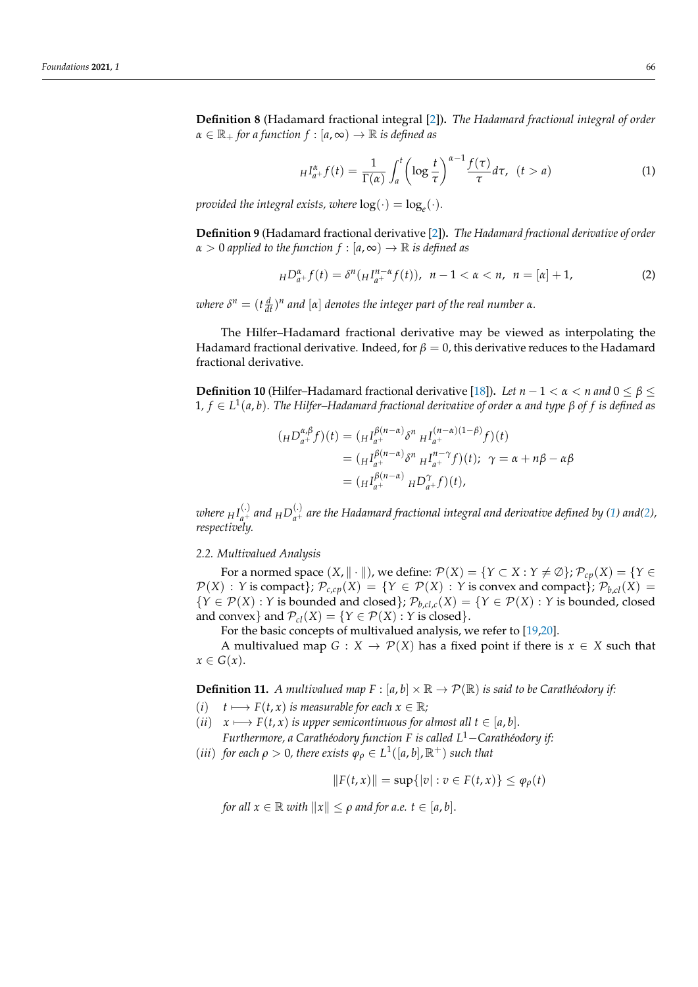**Definition 8** (Hadamard fractional integral [\[2\]](#page-34-5))**.** *The Hadamard fractional integral of order*  $\alpha \in \mathbb{R}_+$  *for a function f* : [ $a, \infty$ ]  $\rightarrow \mathbb{R}$  *is defined as* 

<span id="page-3-0"></span>
$$
H_{a+}^{\alpha}f(t) = \frac{1}{\Gamma(\alpha)} \int_{a}^{t} \left( \log \frac{t}{\tau} \right)^{\alpha-1} \frac{f(\tau)}{\tau} d\tau, \ \ (t > a)
$$
 (1)

*provided the integral exists, where*  $log(\cdot) = log_e(\cdot)$ *.* 

**Definition 9** (Hadamard fractional derivative [\[2\]](#page-34-5))**.** *The Hadamard fractional derivative of order*  $\alpha > 0$  *applied to the function*  $f : [a, \infty) \to \mathbb{R}$  *is defined as* 

<span id="page-3-1"></span>
$$
_H D_{a+}^{\alpha} f(t) = \delta^n (H_{a+}^{n-\alpha} f(t)), \ \ n-1 < \alpha < n, \ \ n = [\alpha] + 1,\tag{2}
$$

*where*  $\delta^n = (t \frac{d}{dt})^n$  and  $[\alpha]$  denotes the integer part of the real number  $\alpha$ .

The Hilfer–Hadamard fractional derivative may be viewed as interpolating the Hadamard fractional derivative. Indeed, for *β* = 0, this derivative reduces to the Hadamard fractional derivative.

**Definition 10** (Hilfer–Hadamard fractional derivative [\[18\]](#page-34-7)). *Let*  $n-1 < \alpha < n$  and  $0 < \beta < \beta$ 1*, f* ∈ *L* 1 (*a*, *b*)*. The Hilfer–Hadamard fractional derivative of order α and type β of f is defined as*

$$
(H D_{a^{+}}^{\alpha,\beta} f)(t) = (H_{a^{+}}^{B(n-\alpha)} \delta^{n} H_{a^{+}}^{(n-\alpha)(1-\beta)} f)(t)
$$
  
= 
$$
(H_{a^{+}}^{B(n-\alpha)} \delta^{n} H_{a^{+}}^{n-\gamma} f)(t); \ \gamma = \alpha + n\beta - \alpha\beta
$$
  
= 
$$
(H_{a^{+}}^{B(n-\alpha)} H D_{a^{+}}^{\gamma} f)(t),
$$

where  $_HI_{a^+}^{(.)}$  and  $_HD_{a^+}^{(.)}$  are the Hadamard fractional integral and derivative defined by [\(1\)](#page-3-0) and[\(2\)](#page-3-1), *respectively.*

#### *2.2. Multivalued Analysis*

For a normed space  $(X, \| \cdot \|)$ , we define:  $\mathcal{P}(X) = \{Y \subset X : Y \neq \emptyset\}$ ;  $\mathcal{P}_{cv}(X) = \{Y \in$  $\mathcal{P}(X)$ : *Y* is compact};  $\mathcal{P}_{c,cp}(X) = \{Y \in \mathcal{P}(X) : Y \text{ is convex and compact}\}\; \mathcal{P}_{b,cl}(X) =$  ${Y \in \mathcal{P}(X) : Y \text{ is bounded and closed}};$   $\mathcal{P}_{b, cl, c}(X) = {Y \in \mathcal{P}(X) : Y \text{ is bounded, closed}}$ and convex} and  $\mathcal{P}_{cl}(X) = \{ Y \in \mathcal{P}(X) : Y \text{ is closed} \}.$ 

For the basic concepts of multivalued analysis, we refer to [\[19,](#page-34-8)[20\]](#page-35-0).

A multivalued map *G* : *X*  $\rightarrow$  *P*(*X*) has a fixed point if there is *x*  $\in$  *X* such that  $x \in G(x)$ .

<span id="page-3-2"></span>**Definition 11.** *A multivalued map*  $F : [a, b] \times \mathbb{R} \to \mathcal{P}(\mathbb{R})$  *is said to be Carathéodory if:* 

- $(i)$  *t*  $\longmapsto$   $F(t, x)$  *is measurable for each*  $x \in \mathbb{R}$ *;*
- $(iii)$  *x*  $\longrightarrow$  *F*(*t*, *x*) *is upper semicontinuous for almost all t* ∈ [*a*, *b*]. *Furthermore, a Carathéodory function F is called L*1−*Carathéodory if:*
- (*iii*) *for each*  $\rho > 0$ *, there exists*  $\varphi_{\rho} \in L^1([a, b], \mathbb{R}^+)$  *such that*

$$
||F(t,x)|| = \sup\{|v| : v \in F(t,x)\} \le \varphi_{\rho}(t)
$$

*for all*  $x \in \mathbb{R}$  *with*  $||x|| < \rho$  *and for a.e.*  $t \in [a, b]$ .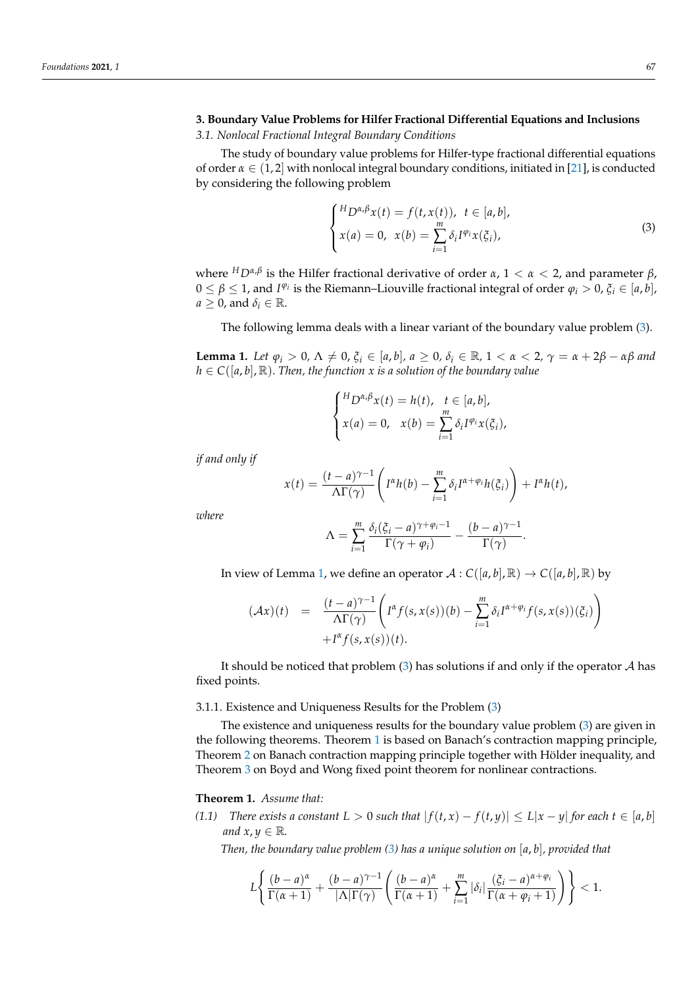# **3. Boundary Value Problems for Hilfer Fractional Differential Equations and Inclusions**

*3.1. Nonlocal Fractional Integral Boundary Conditions*

The study of boundary value problems for Hilfer-type fractional differential equations of order  $\alpha \in (1, 2]$  with nonlocal integral boundary conditions, initiated in [\[21\]](#page-35-1), is conducted by considering the following problem

<span id="page-4-0"></span>
$$
\begin{cases}\nH_D \alpha, \beta x(t) = f(t, x(t)), \ t \in [a, b], \\
x(a) = 0, \ x(b) = \sum_{i=1}^{m} \delta_i I^{\varphi_i} x(\xi_i),\n\end{cases}
$$
\n(3)

where *<sup>H</sup>Dα*,*<sup>β</sup>* is the Hilfer fractional derivative of order *α*, 1 < *α* < 2, and parameter *β*,  $0 \le \beta \le 1$ , and  $I^{\varphi_i}$  is the Riemann–Liouville fractional integral of order  $\varphi_i > 0$ ,  $\xi_i \in [a, b]$ ,  $a \geq 0$ , and  $\delta_i \in \mathbb{R}$ .

The following lemma deals with a linear variant of the boundary value problem [\(3\)](#page-4-0).

<span id="page-4-1"></span>**Lemma 1.** Let  $\varphi_i > 0$ ,  $\Lambda \neq 0$ ,  $\xi_i \in [a, b]$ ,  $a \geq 0$ ,  $\delta_i \in \mathbb{R}$ ,  $1 < \alpha < 2$ ,  $\gamma = \alpha + 2\beta - \alpha\beta$  and  $h \in C([a, b], \mathbb{R})$ . Then, the function x is a solution of the boundary value

$$
\begin{cases} {}^{H}D^{\alpha,\beta}x(t) = h(t), & t \in [a,b], \\ x(a) = 0, & x(b) = \sum_{i=1}^{m} \delta_{i}I^{\varphi_{i}}x(\xi_{i}), \end{cases}
$$

*if and only if*

$$
x(t) = \frac{(t-a)^{\gamma-1}}{\Lambda \Gamma(\gamma)} \left( I^{\alpha} h(b) - \sum_{i=1}^{m} \delta_i I^{\alpha+\varphi_i} h(\xi_i) \right) + I^{\alpha} h(t),
$$

*where*

$$
\Lambda = \sum_{i=1}^m \frac{\delta_i(\xi_i - a)^{\gamma + \varphi_i - 1}}{\Gamma(\gamma + \varphi_i)} - \frac{(b - a)^{\gamma - 1}}{\Gamma(\gamma)}.
$$

In view of Lemma [1,](#page-4-1) we define an operator  $\mathcal{A}: C([a, b], \mathbb{R}) \to C([a, b], \mathbb{R})$  by

$$
(\mathcal{A}x)(t) = \frac{(t-a)^{\gamma-1}}{\Lambda \Gamma(\gamma)} \left( I^{\alpha} f(s, x(s))(b) - \sum_{i=1}^{m} \delta_i I^{\alpha+\varphi_i} f(s, x(s))(\xi_i) \right) + I^{\alpha} f(s, x(s))(t).
$$

It should be noticed that problem  $(3)$  has solutions if and only if the operator  $A$  has fixed points.

#### 3.1.1. Existence and Uniqueness Results for the Problem [\(3\)](#page-4-0)

The existence and uniqueness results for the boundary value problem [\(3\)](#page-4-0) are given in the following theorems. Theorem [1](#page-4-2) is based on Banach's contraction mapping principle, Theorem [2](#page-5-0) on Banach contraction mapping principle together with Hölder inequality, and Theorem [3](#page-5-1) on Boyd and Wong fixed point theorem for nonlinear contractions.

#### <span id="page-4-2"></span>**Theorem 1.** *Assume that:*

*(1.1) There exists a constant*  $L > 0$  *such that*  $|f(t, x) - f(t, y)| \le L|x - y|$  *for each*  $t \in [a, b]$ *and*  $x, y \in \mathbb{R}$ *.* 

*Then, the boundary value problem [\(3\)](#page-4-0) has a unique solution on* [*a*, *b*]*, provided that*

$$
L\left\{\frac{(b-a)^{\alpha}}{\Gamma(\alpha+1)}+\frac{(b-a)^{\gamma-1}}{|\Lambda|\Gamma(\gamma)}\left(\frac{(b-a)^{\alpha}}{\Gamma(\alpha+1)}+\sum_{i=1}^{m}|\delta_{i}|\frac{(\xi_{i}-a)^{\alpha+\varphi_{i}}}{\Gamma(\alpha+\varphi_{i}+1)}\right)\right\}<1.
$$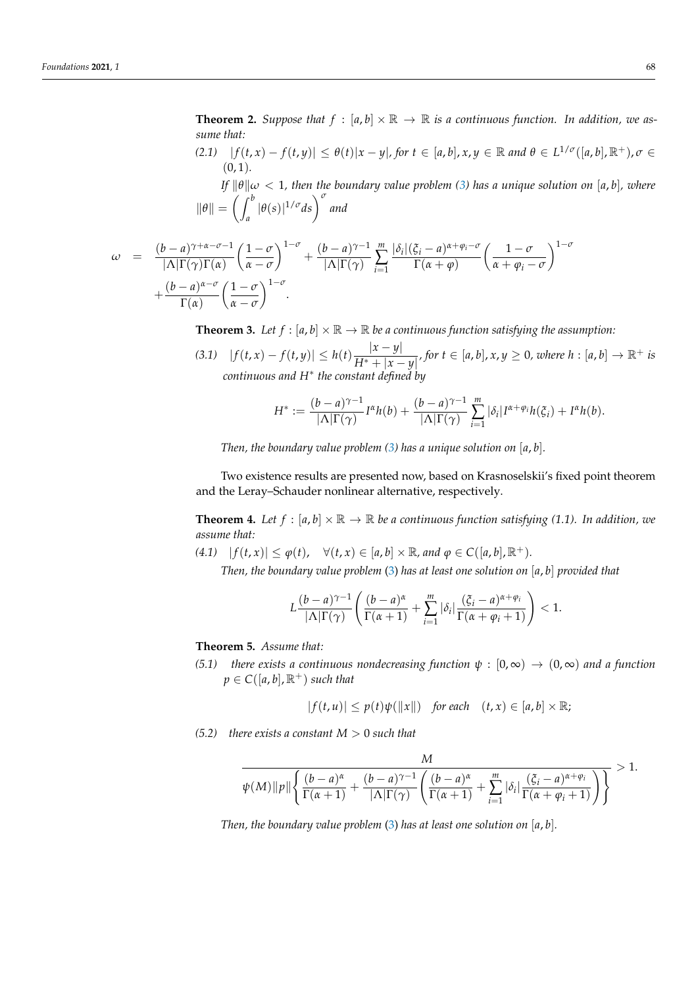<span id="page-5-0"></span>**Theorem 2.** Suppose that  $f : [a, b] \times \mathbb{R} \to \mathbb{R}$  is a continuous function. In addition, we as*sume that:*

(2.1)  $|f(t,x) - f(t,y)| \leq \theta(t) |x - y|$ , for  $t \in [a, b]$ ,  $x, y \in \mathbb{R}$  and  $\theta \in L^{1/\sigma}([a, b], \mathbb{R}^+)$ ,  $\sigma \in L^{1/\sigma}([a, b], \mathbb{R}^+)$  $(0, 1)$ .

*If*  $\|\theta\|\omega < 1$ , then the boundary value problem [\(3\)](#page-4-0) has a unique solution on [a, b], where  $\|\theta\| = \left(\int^b$  $\int_a^b |\theta(s)|^{1/\sigma} ds \bigg)^{\sigma}$  and

$$
\omega = \frac{(b-a)^{\gamma+\alpha-\sigma-1}}{|\Lambda|\Gamma(\gamma)\Gamma(\alpha)} \left(\frac{1-\sigma}{\alpha-\sigma}\right)^{1-\sigma} + \frac{(b-a)^{\gamma-1}}{|\Lambda|\Gamma(\gamma)} \sum_{i=1}^{m} \frac{|\delta_i|(\xi_i-a)^{\alpha+\varphi_i-\sigma}}{\Gamma(\alpha+\varphi)} \left(\frac{1-\sigma}{\alpha+\varphi_i-\sigma}\right)^{1-\sigma} + \frac{(b-a)^{\alpha-\sigma}}{\Gamma(\alpha)} \left(\frac{1-\sigma}{\alpha-\sigma}\right)^{1-\sigma}.
$$

<span id="page-5-1"></span>**Theorem 3.** Let  $f : [a, b] \times \mathbb{R} \to \mathbb{R}$  be a continuous function satisfying the assumption:

 $|f(t, x) - f(t, y)| \leq h(t) \frac{|x - y|}{|x - y|}$  $\frac{|x-y|}{H^*+|x-y|}$ , for  $t \in [a,b]$ ,  $x,y \ge 0$ , where  $h : [a,b] \to \mathbb{R}^+$  is *continuous and H*<sup>∗</sup> *the constant defined by*

$$
H^* := \frac{(b-a)^{\gamma-1}}{|\Lambda| \Gamma(\gamma)} I^{\alpha} h(b) + \frac{(b-a)^{\gamma-1}}{|\Lambda| \Gamma(\gamma)} \sum_{i=1}^m |\delta_i| I^{\alpha+\varphi_i} h(\xi_i) + I^{\alpha} h(b).
$$

*Then, the boundary value problem [\(3\)](#page-4-0) has a unique solution on* [*a*, *b*]*.*

Two existence results are presented now, based on Krasnoselskii's fixed point theorem and the Leray–Schauder nonlinear alternative, respectively.

**Theorem 4.** Let  $f : [a, b] \times \mathbb{R} \to \mathbb{R}$  be a continuous function satisfying (1.1). In addition, we *assume that:*

 $(f(t, x)) \leq \varphi(t), \quad \forall (t, x) \in [a, b] \times \mathbb{R}, \text{ and } \varphi \in C([a, b], \mathbb{R}^+).$ 

*Then, the boundary value problem* [\(3\)](#page-4-0) *has at least one solution on* [*a*, *b*] *provided that*

$$
L\frac{(b-a)^{\gamma-1}}{|\Lambda|\Gamma(\gamma)}\left(\frac{(b-a)^{\alpha}}{\Gamma(\alpha+1)}+\sum_{i=1}^m|\delta_i|\frac{(\xi_i-a)^{\alpha+\varphi_i}}{\Gamma(\alpha+\varphi_i+1)}\right)<1.
$$

# **Theorem 5.** *Assume that:*

*(5.1) there exists a continuous nondecreasing function*  $\psi : [0, \infty) \to (0, \infty)$  *and a function*  $p \in C([a, b], \mathbb{R}^+)$  *such that* 

$$
|f(t, u)| \le p(t)\psi(||x||) \quad \text{for each} \quad (t, x) \in [a, b] \times \mathbb{R};
$$

*(5.2) there exists a constant*  $M > 0$  *such that* 

$$
\frac{M}{\psi(M)\|\rho\| \left\{ \frac{(b-a)^{\alpha}}{\Gamma(\alpha+1)} + \frac{(b-a)^{\gamma-1}}{|\Lambda|\Gamma(\gamma)} \left( \frac{(b-a)^{\alpha}}{\Gamma(\alpha+1)} + \sum_{i=1}^{m} |\delta_i| \frac{(\xi_i - a)^{\alpha+\varphi_i}}{\Gamma(\alpha+\varphi_i+1)} \right) \right\}} > 1.
$$

*Then, the boundary value problem* [\(3\)](#page-4-0) *has at least one solution on* [*a*, *b*]*.*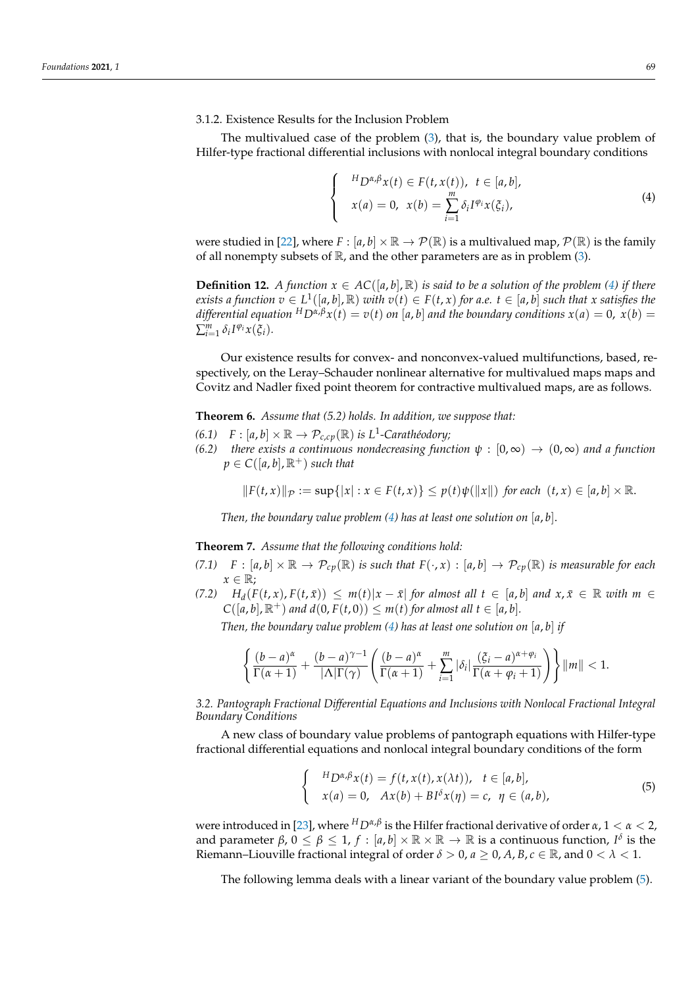The multivalued case of the problem [\(3\)](#page-4-0), that is, the boundary value problem of Hilfer-type fractional differential inclusions with nonlocal integral boundary conditions

<span id="page-6-0"></span>
$$
\begin{cases}\nH_D \alpha_i \beta x(t) \in F(t, x(t)), \ t \in [a, b], \\
x(a) = 0, \ x(b) = \sum_{i=1}^m \delta_i I^{\varphi_i} x(\xi_i),\n\end{cases}
$$
\n(4)

were studied in [\[22\]](#page-35-2), where  $F : [a, b] \times \mathbb{R} \to \mathcal{P}(\mathbb{R})$  is a multivalued map,  $\mathcal{P}(\mathbb{R})$  is the family of all nonempty subsets of  $\mathbb{R}$ , and the other parameters are as in problem [\(3\)](#page-4-0).

**Definition 12.** *A function*  $x \in AC([a, b], \mathbb{R})$  *is said to be a solution of the problem* [\(4\)](#page-6-0) *if there* exists a function  $v\in L^1([a,b], {\mathbb R})$  with  $v(t)\in F(t,x)$  for a.e.  $t\in [a,b]$  such that x satisfies the *differential equation*  $^{H}D^{\alpha,\beta}x(t) = v(t)$  *on* [*a*, *b*] *and the boundary conditions*  $x(a) = 0$ ,  $x(b) = 0$  $\sum_{i=1}^{m} \delta_i I^{\varphi_i} x(\xi_i)$ .

Our existence results for convex- and nonconvex-valued multifunctions, based, respectively, on the Leray–Schauder nonlinear alternative for multivalued maps maps and Covitz and Nadler fixed point theorem for contractive multivalued maps, are as follows.

**Theorem 6.** *Assume that (5.2) holds. In addition, we suppose that:*

- *(6.1)*  $F : [a, b] \times \mathbb{R} \to \mathcal{P}_{c, cp}(\mathbb{R})$  *is L*<sup>1</sup>-Carathéodory;
- *(6.2) there exists a continuous nondecreasing function*  $\psi : [0, \infty) \to (0, \infty)$  *and a function*  $p \in C([a, b], \mathbb{R}^+)$  *such that*

 $||F(t, x)||_{\mathcal{P}} := \sup\{|x| : x \in F(t, x)\} \leq p(t)\psi(||x||)$  for each  $(t, x) \in [a, b] \times \mathbb{R}$ .

*Then, the boundary value problem [\(4\)](#page-6-0) has at least one solution on* [*a*, *b*].

**Theorem 7.** *Assume that the following conditions hold:*

- *(7.1)*  $F : [a, b] \times \mathbb{R} \to \mathcal{P}_{cp}(\mathbb{R})$  *is such that*  $F(\cdot, x) : [a, b] \to \mathcal{P}_{cp}(\mathbb{R})$  *is measurable for each*  $x \in \mathbb{R}$ ;
- (7.2)  $H_d(F(t,x), F(t,\bar{x})) \leq m(t)|x-\bar{x}|$  for almost all  $t \in [a,b]$  and  $x, \bar{x} \in \mathbb{R}$  with  $m \in$  $C([a, b], \mathbb{R}^+)$  *and*  $d(0, F(t, 0)) \leq m(t)$  *for almost all*  $t \in [a, b]$ *.*

*Then, the boundary value problem [\(4\)](#page-6-0) has at least one solution on* [*a*, *b*] *if*

$$
\left\{\frac{(b-a)^{\alpha}}{\Gamma(\alpha+1)}+\frac{(b-a)^{\gamma-1}}{|\Lambda|\Gamma(\gamma)}\left(\frac{(b-a)^{\alpha}}{\Gamma(\alpha+1)}+\sum_{i=1}^{m}|\delta_i|\frac{(\xi_i-a)^{\alpha+\varphi_i}}{\Gamma(\alpha+\varphi_i+1)}\right)\right\}\|m\|<1.
$$

*3.2. Pantograph Fractional Differential Equations and Inclusions with Nonlocal Fractional Integral Boundary Conditions*

A new class of boundary value problems of pantograph equations with Hilfer-type fractional differential equations and nonlocal integral boundary conditions of the form

<span id="page-6-1"></span>
$$
\begin{cases}\nH_D \alpha, \beta x(t) = f(t, x(t), x(\lambda t)), & t \in [a, b], \\
x(a) = 0, & Ax(b) + B I^{\delta} x(\eta) = c, \ \eta \in (a, b),\n\end{cases}
$$
\n(5)

were introduced in [\[23\]](#page-35-3), where *<sup>H</sup>Dα*,*<sup>β</sup>* is the Hilfer fractional derivative of order *α*, 1 < *α* < 2, and parameter  $\beta$ ,  $0 \le \beta \le 1$ ,  $f : [a, b] \times \mathbb{R} \times \mathbb{R} \to \mathbb{R}$  is a continuous function,  $I^{\delta}$  is the Riemann–Liouville fractional integral of order  $\delta > 0$ ,  $a \geq 0$ ,  $A, B, c \in \mathbb{R}$ , and  $0 < \lambda < 1$ .

The following lemma deals with a linear variant of the boundary value problem [\(5\)](#page-6-1).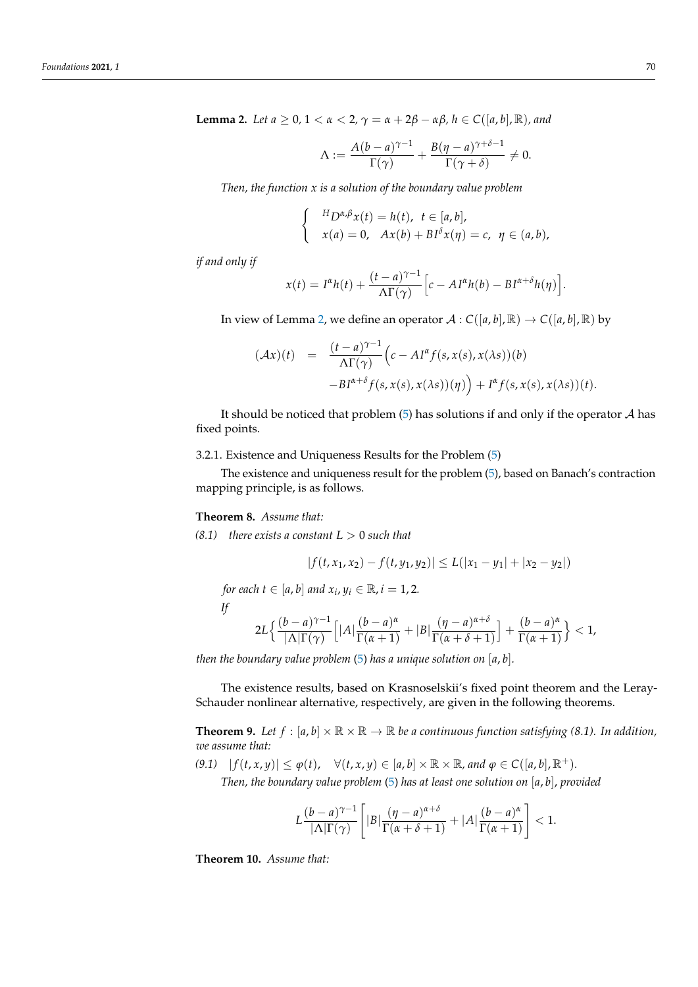<span id="page-7-0"></span>**Lemma 2.** *Let a* ≥ 0, 1 < *α* < 2,  $\gamma = \alpha + 2\beta - \alpha\beta$ , *h* ∈ *C*([*a*, *b*], *R*), *and* 

$$
\Lambda := \frac{A(b-a)^{\gamma-1}}{\Gamma(\gamma)} + \frac{B(\eta-a)^{\gamma+\delta-1}}{\Gamma(\gamma+\delta)} \neq 0.
$$

*Then, the function x is a solution of the boundary value problem*

$$
\begin{cases}\nH_D \alpha_i \beta x(t) = h(t), \ t \in [a, b], \\
x(a) = 0, \ Ax(b) + B I^{\delta} x(\eta) = c, \ \eta \in (a, b),\n\end{cases}
$$

*if and only if*

$$
x(t) = I^{\alpha}h(t) + \frac{(t-a)^{\gamma-1}}{\Lambda\Gamma(\gamma)} \Big[c - AI^{\alpha}h(b) - BI^{\alpha+\delta}h(\eta)\Big].
$$

In view of Lemma [2,](#page-7-0) we define an operator  $A : C([a, b], \mathbb{R}) \to C([a, b], \mathbb{R})$  by

$$
\begin{array}{rcl} (\mathcal{A}x)(t) & = & \frac{(t-a)^{\gamma-1}}{\Lambda \Gamma(\gamma)} \Big( c - A I^{\alpha} f(s, x(s), x(\lambda s))(b) \\ & & - B I^{\alpha+\delta} f(s, x(s), x(\lambda s))( \eta) \Big) + I^{\alpha} f(s, x(s), x(\lambda s))(t). \end{array}
$$

It should be noticed that problem  $(5)$  has solutions if and only if the operator A has fixed points.

# 3.2.1. Existence and Uniqueness Results for the Problem [\(5\)](#page-6-1)

The existence and uniqueness result for the problem [\(5\)](#page-6-1), based on Banach's contraction mapping principle, is as follows.

#### **Theorem 8.** *Assume that:*

 $(8.1)$  *there exists a constant*  $L > 0$  *such that* 

$$
|f(t, x_1, x_2) - f(t, y_1, y_2)| \le L(|x_1 - y_1| + |x_2 - y_2|)
$$

*for each*  $t \in [a, b]$  *and*  $x_i, y_i \in \mathbb{R}$ ,  $i = 1, 2$ .

*If*

$$
2L\Big\{\frac{(b-a)^{\gamma-1}}{|\Lambda|\Gamma(\gamma)}\Big[|A|\frac{(b-a)^{\alpha}}{\Gamma(\alpha+1)}+|B|\frac{(\eta-a)^{\alpha+\delta}}{\Gamma(\alpha+\delta+1)}\Big]+\frac{(b-a)^{\alpha}}{\Gamma(\alpha+1)}\Big\}<1,
$$

*then the boundary value problem* [\(5\)](#page-6-1) *has a unique solution on* [*a*, *b*]*.*

The existence results, based on Krasnoselskii's fixed point theorem and the Leray-Schauder nonlinear alternative, respectively, are given in the following theorems.

**Theorem 9.** Let  $f : [a, b] \times \mathbb{R} \times \mathbb{R} \to \mathbb{R}$  be a continuous function satisfying (8.1). In addition, *we assume that:*

 $(9.1)$   $|f(t, x, y)| \le \varphi(t), \quad \forall (t, x, y) \in [a, b] \times \mathbb{R} \times \mathbb{R}, and \varphi \in C([a, b], \mathbb{R}^+).$ 

*Then, the boundary value problem* [\(5\)](#page-6-1) *has at least one solution on* [*a*, *b*], *provided*

$$
L\frac{(b-a)^{\gamma-1}}{|\Lambda|\Gamma(\gamma)}\left[|B|\frac{(\eta-a)^{\alpha+\delta}}{\Gamma(\alpha+\delta+1)}+|A|\frac{(b-a)^{\alpha}}{\Gamma(\alpha+1)}\right]<1.
$$

**Theorem 10.** *Assume that:*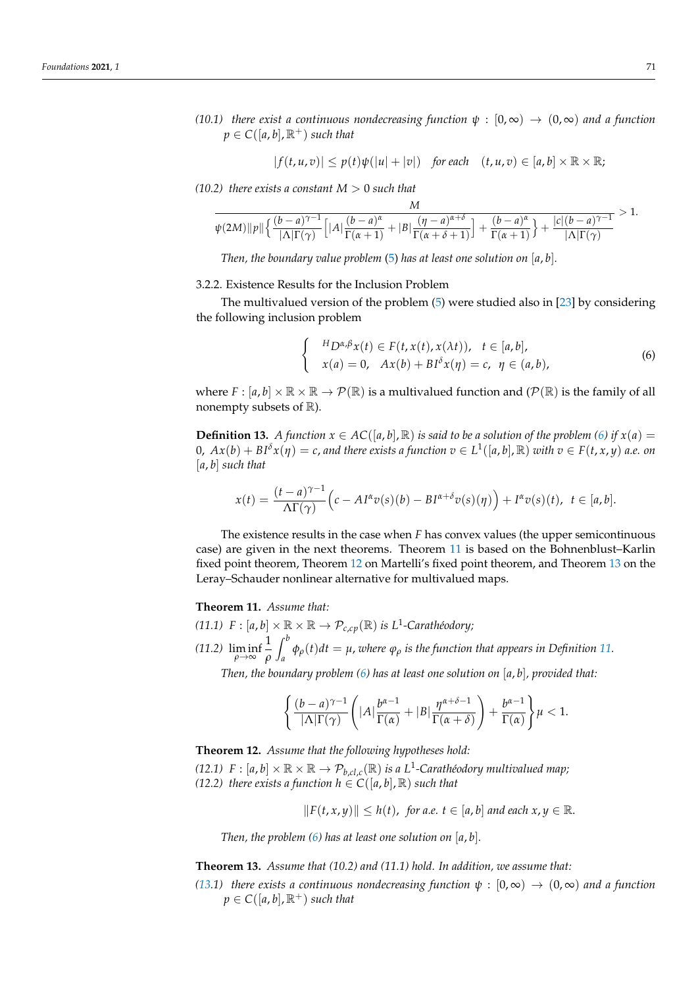*(10.1) there exist a continuous nondecreasing function*  $\psi : [0, \infty) \to (0, \infty)$  *and a function*  $p \in C([a, b], \mathbb{R}^+)$  *such that* 

$$
|f(t, u, v)| \le p(t)\psi(|u| + |v|) \quad \text{for each} \quad (t, u, v) \in [a, b] \times \mathbb{R} \times \mathbb{R};
$$

*(10.2) there exists a constant*  $M > 0$  *such that* 

$$
\frac{1}{\psi(2M)\|p\|}\Big\{\frac{(b-a)^{\gamma-1}}{|\Lambda|\Gamma(\gamma)}\Big[|A|\frac{(b-a)^{\alpha}}{\Gamma(\alpha+1)}+|B|\frac{(\eta-a)^{\alpha+\delta}}{\Gamma(\alpha+\delta+1)}\Big]+\frac{(b-a)^{\alpha}}{\Gamma(\alpha+1)}\Big\}+\frac{|c|(b-a)^{\gamma-1}}{|\Lambda|\Gamma(\gamma)}>1.
$$

*M*

*Then, the boundary value problem* [\(5\)](#page-6-1) *has at least one solution on* [*a*, *b*]*.*

#### 3.2.2. Existence Results for the Inclusion Problem

The multivalued version of the problem [\(5\)](#page-6-1) were studied also in [\[23\]](#page-35-3) by considering the following inclusion problem

<span id="page-8-0"></span>
$$
\begin{cases}\nH_D \alpha, \beta x(t) \in F(t, x(t), x(\lambda t)), \quad t \in [a, b], \\
x(a) = 0, \quad Ax(b) + B I^{\delta} x(\eta) = c, \quad \eta \in (a, b),\n\end{cases}
$$
\n(6)

where  $F : [a, b] \times \mathbb{R} \times \mathbb{R} \to \mathcal{P}(\mathbb{R})$  is a multivalued function and  $(\mathcal{P}(\mathbb{R}))$  is the family of all nonempty subsets of  $\mathbb{R}$ ).

**Definition 13.** *A function*  $x \in AC([a, b], \mathbb{R})$  *is said to be a solution of the problem* [\(6\)](#page-8-0) *if*  $x(a) =$  $0$ ,  $Ax(b) + BI^{\delta}x(\eta) = c$ , and there exists a function  $v \in L^1([a,b],{\mathbb R})$  with  $v \in F(t,x,y)$  a.e. on [*a*, *b*] *such that*

$$
x(t) = \frac{(t-a)^{\gamma-1}}{\Lambda \Gamma(\gamma)} \Big( c - A I^{\alpha} v(s)(b) - B I^{\alpha+\delta} v(s)(\eta) \Big) + I^{\alpha} v(s)(t), \quad t \in [a, b].
$$

The existence results in the case when *F* has convex values (the upper semicontinuous case) are given in the next theorems. Theorem [11](#page-8-1) is based on the Bohnenblust–Karlin fixed point theorem, Theorem [12](#page-8-2) on Martelli's fixed point theorem, and Theorem [13](#page-8-3) on the Leray–Schauder nonlinear alternative for multivalued maps.

<span id="page-8-1"></span>**Theorem 11.** *Assume that:*

*(11.1)*  $F : [a, b] \times \mathbb{R} \times \mathbb{R} \to \mathcal{P}_{c, cp}(\mathbb{R})$  *is L*<sup>1</sup>-Carathéodory; *(11.2)* lim inf *ρ*→∞ 1 *ρ*  $\int^b$  $q_{a}$   $\phi_{\rho}(t)dt = \mu$ , *where*  $\phi_{\rho}$  *is the function that appears in Definition [11.](#page-3-2)* 

*Then, the boundary problem [\(6\)](#page-8-0) has at least one solution on* [*a*, *b*]*, provided that:*

$$
\left\{\frac{(b-a)^{\gamma-1}}{|\Lambda|\Gamma(\gamma)}\left(|A|\frac{b^{\alpha-1}}{\Gamma(\alpha)}+|B|\frac{\eta^{\alpha+\delta-1}}{\Gamma(\alpha+\delta)}\right)+\frac{b^{\alpha-1}}{\Gamma(\alpha)}\right\}\mu<1.
$$

<span id="page-8-2"></span>**Theorem 12.** *Assume that the following hypotheses hold:*

*(12.1)*  $F : [a, b] \times \mathbb{R} \times \mathbb{R} \to \mathcal{P}_{b, cl, c}(\mathbb{R})$  *is a L*<sup>1</sup>-Carathéodory multivalued map; *(12.2) there exists a function*  $h \in C([a, b], \mathbb{R})$  *such that* 

 $||F(t, x, y)|| \leq h(t)$ , for a.e.  $t \in [a, b]$  and each  $x, y \in \mathbb{R}$ .

*Then, the problem [\(6\)](#page-8-0) has at least one solution on* [*a*, *b*]*.*

<span id="page-8-3"></span>**Theorem 13.** *Assume that (10.2) and (11.1) hold. In addition, we assume that:*

*[\(13.](#page-8-3)1) there exists a continuous nondecreasing function*  $\psi : [0, \infty) \to (0, \infty)$  *and a function*  $p \in C([a, b], \mathbb{R}^+)$  *such that*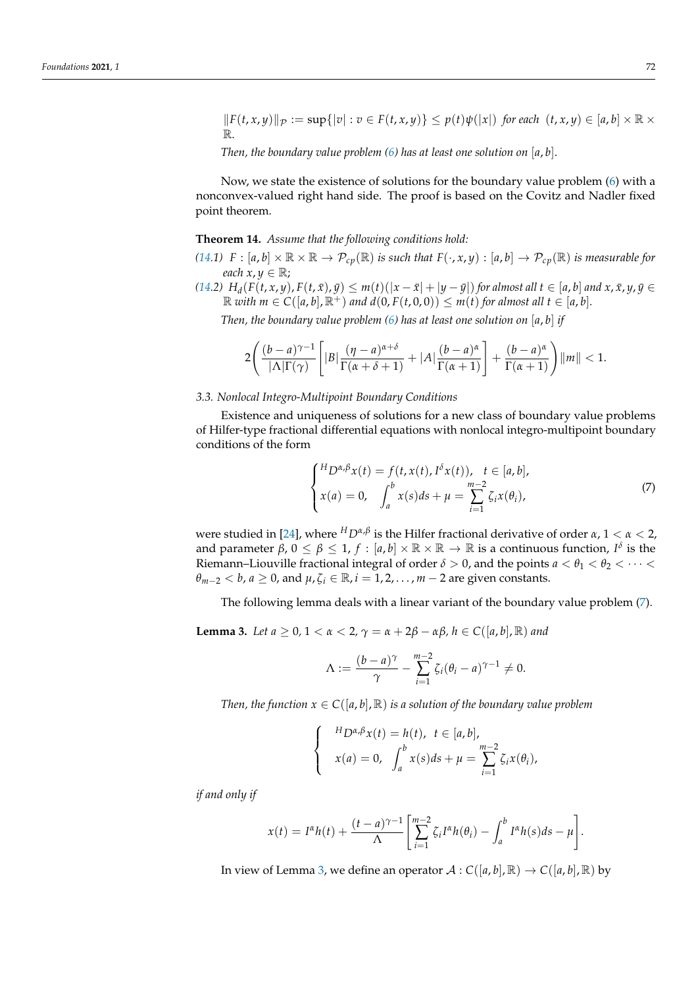$||F(t, x, y)||_{\mathcal{P}} := \sup\{|v| : v \in F(t, x, y)\} \leq p(t)\psi(|x|)$  for each  $(t, x, y) \in [a, b] \times \mathbb{R} \times$ R.

*Then, the boundary value problem [\(6\)](#page-8-0) has at least one solution on* [*a*, *b*].

Now, we state the existence of solutions for the boundary value problem [\(6\)](#page-8-0) with a nonconvex-valued right hand side. The proof is based on the Covitz and Nadler fixed point theorem.

#### <span id="page-9-0"></span>**Theorem 14.** *Assume that the following conditions hold:*

- *[\(14.](#page-9-0)1)*  $F : [a, b] \times \mathbb{R} \times \mathbb{R} \to \mathcal{P}_{cp}(\mathbb{R})$  *is such that*  $F(\cdot, x, y) : [a, b] \to \mathcal{P}_{cp}(\mathbb{R})$  *is measurable for each*  $x, y \in \mathbb{R}$ ;
- [\(14.](#page-9-0)2)  $H_d(F(t,x,y), F(t,\bar{x}), \bar{y}) \leq m(t)(|x-\bar{x}|+|y-\bar{y}|)$  for almost all  $t \in [a,b]$  and  $x, \bar{x}, y, \bar{y} \in$  $\mathbb{R}$  *with*  $m \in C([a, b], \mathbb{R}^+)$  *and*  $d(0, F(t, 0, 0)) \leq m(t)$  *for almost all*  $t \in [a, b]$ *.*

*Then, the boundary value problem [\(6\)](#page-8-0) has at least one solution on* [*a*, *b*] *if*

$$
2\left(\frac{(b-a)^{\gamma-1}}{|\Lambda|\Gamma(\gamma)}\left[|B|\frac{(\eta-a)^{\alpha+\delta}}{\Gamma(\alpha+\delta+1)}+|A|\frac{(b-a)^{\alpha}}{\Gamma(\alpha+1)}\right]+\frac{(b-a)^{\alpha}}{\Gamma(\alpha+1)}\right)||m||<1.
$$

#### *3.3. Nonlocal Integro-Multipoint Boundary Conditions*

Existence and uniqueness of solutions for a new class of boundary value problems of Hilfer-type fractional differential equations with nonlocal integro-multipoint boundary conditions of the form

<span id="page-9-1"></span>
$$
\begin{cases}^{H}D^{\alpha,\beta}x(t) = f(t, x(t), I^{\delta}x(t)), \quad t \in [a, b],\\ x(a) = 0, \quad \int_{a}^{b} x(s)ds + \mu = \sum_{i=1}^{m-2} \zeta_{i}x(\theta_{i}), \end{cases}
$$
(7)

were studied in [\[24\]](#page-35-4), where *<sup>H</sup>Dα*,*<sup>β</sup>* is the Hilfer fractional derivative of order *α*, 1 < *α* < 2, and parameter  $\beta$ ,  $0 \le \beta \le 1$ ,  $f : [a, b] \times \mathbb{R} \times \mathbb{R} \to \mathbb{R}$  is a continuous function,  $I^{\delta}$  is the Riemann–Liouville fractional integral of order  $\delta > 0$ , and the points  $a < \theta_1 < \theta_2 < \cdots <$  $\theta_{m-2}$  < *b*, *a* ≥ 0, and  $\mu$ ,  $\zeta_i \in \mathbb{R}$ , *i* = 1, 2, . . . , *m* − 2 are given constants.

The following lemma deals with a linear variant of the boundary value problem [\(7\)](#page-9-1).

<span id="page-9-2"></span>**Lemma 3.** *Let a*  $\geq 0$ , 1 <  $\alpha$  < 2,  $\gamma = \alpha + 2\beta - \alpha\beta$ ,  $h \in C([a, b], \mathbb{R})$  and

$$
\Lambda := \frac{(b-a)^{\gamma}}{\gamma} - \sum_{i=1}^{m-2} \zeta_i (\theta_i - a)^{\gamma - 1} \neq 0.
$$

*Then, the function*  $x \in C([a, b], \mathbb{R})$  *is a solution of the boundary value problem* 

$$
\begin{cases}\nH_{D^{\alpha,\beta}x}(t) = h(t), \ t \in [a,b], \\
x(a) = 0, \int_a^b x(s)ds + \mu = \sum_{i=1}^{m-2} \zeta_i x(\theta_i),\n\end{cases}
$$

*if and only if*

$$
x(t) = I^{\alpha}h(t) + \frac{(t-a)^{\gamma-1}}{\Lambda} \left[ \sum_{i=1}^{m-2} \zeta_i I^{\alpha}h(\theta_i) - \int_a^b I^{\alpha}h(s)ds - \mu \right].
$$

In view of Lemma [3,](#page-9-2) we define an operator  $\mathcal{A}: C([a, b], \mathbb{R}) \to C([a, b], \mathbb{R})$  by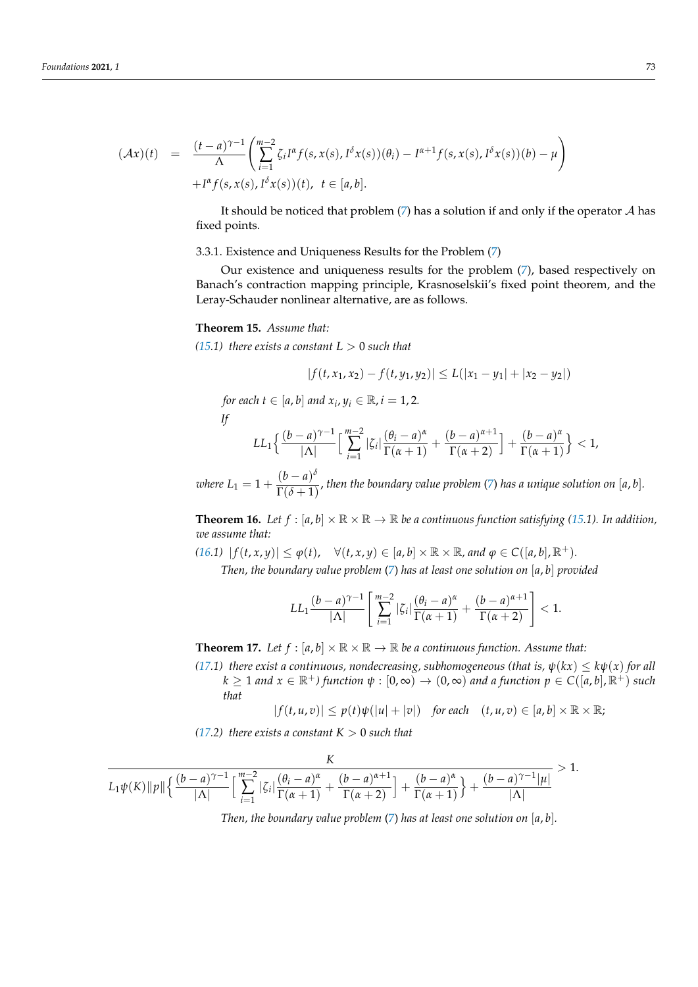$$
(\mathcal{A}x)(t) = \frac{(t-a)^{\gamma-1}}{\Lambda} \left( \sum_{i=1}^{m-2} \zeta_i I^{\alpha} f(s, x(s), I^{\delta}x(s))(\theta_i) - I^{\alpha+1} f(s, x(s), I^{\delta}x(s))(b) - \mu \right) + I^{\alpha} f(s, x(s), I^{\delta}x(s))(t), \quad t \in [a, b].
$$

It should be noticed that problem  $(7)$  has a solution if and only if the operator  $A$  has fixed points.

#### 3.3.1. Existence and Uniqueness Results for the Problem [\(7\)](#page-9-1)

Our existence and uniqueness results for the problem [\(7\)](#page-9-1), based respectively on Banach's contraction mapping principle, Krasnoselskii's fixed point theorem, and the Leray-Schauder nonlinear alternative, are as follows.

# <span id="page-10-0"></span>**Theorem 15.** *Assume that:*

*[\(15.](#page-10-0)1) there exists a constant*  $L > 0$  *such that* 

$$
|f(t, x_1, x_2) - f(t, y_1, y_2)| \le L(|x_1 - y_1| + |x_2 - y_2|)
$$

*for each*  $t \in [a, b]$  *and*  $x_i, y_i \in \mathbb{R}$ ,  $i = 1, 2$ .

$$
If
$$

$$
LL_1\Big\{\frac{(b-a)^{\gamma-1}}{|\Lambda|}\Big[\sum_{i=1}^{m-2}|\zeta_i|\frac{(\theta_i-a)^{\alpha}}{\Gamma(\alpha+1)}+\frac{(b-a)^{\alpha+1}}{\Gamma(\alpha+2)}\Big]+\frac{(b-a)^{\alpha}}{\Gamma(\alpha+1)}\Big\}<1,
$$

*where*  $L_1 = 1 + \frac{(b-a)^{\delta}}{\Gamma(\delta+1)}$  $\frac{C^{(n)}(b)}{\Gamma(\delta+1)}$ , then the boundary value problem [\(7\)](#page-9-1) has a unique solution on [a, b].

<span id="page-10-1"></span>**Theorem 16.** Let  $f : [a, b] \times \mathbb{R} \times \mathbb{R} \to \mathbb{R}$  be a continuous function satisfying [\(15.](#page-10-0)1). In addition, *we assume that:*

*[\(16.](#page-10-1)1)*  $|f(t, x, y)| ≤ φ(t)$ ,  $\forall (t, x, y) ∈ [a, b] × ℝ × ℝ$ , and  $φ ∈ C([a, b], ℝ<sup>+</sup>)$ .

*Then, the boundary value problem* [\(7\)](#page-9-1) *has at least one solution on* [*a*, *b*] *provided*

$$
LL_1\frac{(b-a)^{\gamma-1}}{|\Lambda|}\left[\sum_{i=1}^{m-2}|\zeta_i|\frac{(\theta_i-a)^{\alpha}}{\Gamma(\alpha+1)}+\frac{(b-a)^{\alpha+1}}{\Gamma(\alpha+2)}\right]<1.
$$

<span id="page-10-2"></span>**Theorem 17.** Let  $f : [a, b] \times \mathbb{R} \times \mathbb{R} \to \mathbb{R}$  be a continuous function. Assume that:

*[\(17.](#page-10-2)1) there exist a continuous, nondecreasing, subhomogeneous (that is,*  $\psi(kx) \leq k\psi(x)$  *for all*  $k \geq 1$  *and*  $x \in \mathbb{R}^+$ *)* function  $\psi : [0, \infty) \to (0, \infty)$  *and a function*  $p \in C([a, b], \mathbb{R}^+)$  *such that*

$$
|f(t, u, v)| \leq p(t)\psi(|u| + |v|) \quad \text{for each} \quad (t, u, v) \in [a, b] \times \mathbb{R} \times \mathbb{R};
$$

*[\(17.](#page-10-2)2) there exists a constant*  $K > 0$  *such that* 

$$
\frac{K}{L_1\psi(K)\|\rho\|\left\{\frac{(b-a)^{\gamma-1}}{|\Lambda|}\Big[\sum_{i=1}^{m-2}|\zeta_i|\frac{(\theta_i-a)^{\alpha}}{\Gamma(\alpha+1)}+\frac{(b-a)^{\alpha+1}}{\Gamma(\alpha+2)}\Big]+\frac{(b-a)^{\alpha}}{\Gamma(\alpha+1)}\right\}+\frac{(b-a)^{\gamma-1}|\mu|}{|\Lambda|}}>1.
$$

*Then, the boundary value problem* [\(7\)](#page-9-1) *has at least one solution on* [*a*, *b*]*.*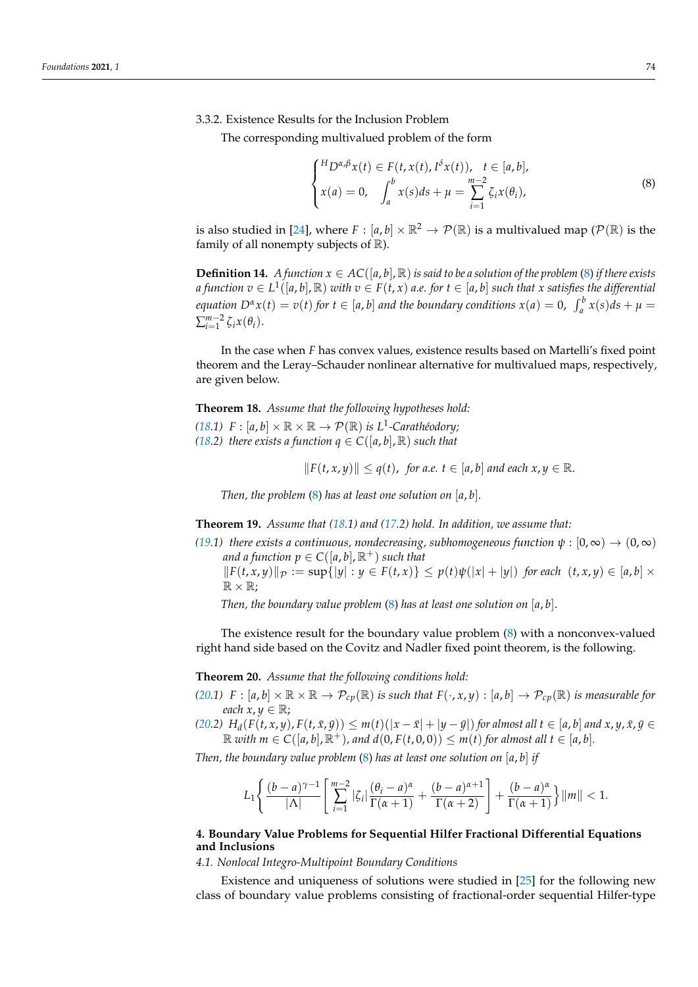# 3.3.2. Existence Results for the Inclusion Problem

The corresponding multivalued problem of the form

<span id="page-11-0"></span>
$$
\begin{cases}^{H}D^{\alpha,\beta}x(t) \in F(t, x(t), I^{\delta}x(t)), \quad t \in [a, b],\\ x(a) = 0, \quad \int_{a}^{b} x(s)ds + \mu = \sum_{i=1}^{m-2} \zeta_{i}x(\theta_{i}), \end{cases}
$$
(8)

is also studied in [\[24\]](#page-35-4), where  $F : [a, b] \times \mathbb{R}^2 \to \mathcal{P}(\mathbb{R})$  is a multivalued map ( $\mathcal{P}(\mathbb{R})$  is the family of all nonempty subjects of  $\mathbb R$ ).

**Definition 14.** *A function*  $x \in AC([a, b], \mathbb{R})$  *is said to be a solution of the problem* [\(8\)](#page-11-0) *if there exists* a function  $v\in L^1([a,b],{\mathbb R})$  with  $v\in F(t,x)$  a.e. for  $t\in [a,b]$  such that x satisfies the differential equation  $D^{\alpha}x(t) = v(t)$  for  $t \in [a, b]$  and the boundary conditions  $x(a) = 0$ ,  $\int_a^b x(s)ds + \mu =$  $\sum_{i=1}^{m-2} \zeta_i x(\theta_i)$ .

In the case when *F* has convex values, existence results based on Martelli's fixed point theorem and the Leray–Schauder nonlinear alternative for multivalued maps, respectively, are given below.

<span id="page-11-1"></span>**Theorem 18.** *Assume that the following hypotheses hold:*

*[\(18.](#page-11-1)1)*  $F : [a, b] \times \mathbb{R} \times \mathbb{R} \to \mathcal{P}(\mathbb{R})$  *is L*<sup>1</sup>-Carathéodory; *[\(18.](#page-11-1)2) there exists a function*  $q \in C([a, b], \mathbb{R})$  *<i>such that* 

 $||F(t, x, y)|| \leq q(t)$ , for a.e.  $t \in [a, b]$  and each  $x, y \in \mathbb{R}$ .

*Then, the problem* [\(8\)](#page-11-0) *has at least one solution on* [*a*, *b*]*.*

<span id="page-11-2"></span>**Theorem 19.** *Assume that [\(18.](#page-11-1)1) and [\(17.](#page-10-2)2) hold. In addition, we assume that:*

 $(19.1)$  $(19.1)$  *there exists a continuous, nondecreasing, subhomogeneous function*  $\psi : [0, \infty) \to (0, \infty)$ *and a function*  $p \in C([a, b], \mathbb{R}^+)$  *such that*  $||F(t, x, y)||_{\mathcal{P}} := \sup\{|y| : y \in F(t, x)\} \leq p(t)\psi(|x| + |y|)$  for each  $(t, x, y) \in [a, b] \times$ 

*Then, the boundary value problem* [\(8\)](#page-11-0) *has at least one solution on* [*a*, *b*].

The existence result for the boundary value problem [\(8\)](#page-11-0) with a nonconvex-valued right hand side based on the Covitz and Nadler fixed point theorem, is the following.

<span id="page-11-3"></span>**Theorem 20.** *Assume that the following conditions hold:*

 $\mathbb{R} \times \mathbb{R}$ ;

*[\(20.](#page-11-3)1)*  $F : [a, b] \times \mathbb{R} \times \mathbb{R} \to \mathcal{P}_{cp}(\mathbb{R})$  *is such that*  $F(\cdot, x, y) : [a, b] \to \mathcal{P}_{cp}(\mathbb{R})$  *is measurable for each*  $x, y \in \mathbb{R}$ ;

[\(20.](#page-11-3)2)  $H_d(F(t,x,y), F(t,\bar{x},\bar{y})) \leq m(t)(|x-\bar{x}|+|y-\bar{y}|)$  for almost all  $t \in [a,b]$  and  $x, y, \bar{x}, \bar{y} \in$  $\mathbb{R}$  *with*  $m \in C([a, b], \mathbb{R}^+)$ *, and*  $d(0, F(t, 0, 0)) \leq m(t)$  *for almost all*  $t \in [a, b]$ *.* 

*Then, the boundary value problem* [\(8\)](#page-11-0) *has at least one solution on* [*a*, *b*] *if*

$$
L_1\left\{\frac{(b-a)^{\gamma-1}}{|\Lambda|}\left[\sum_{i=1}^{m-2}|\zeta_i|\frac{(\theta_i-a)^{\alpha}}{\Gamma(\alpha+1)}+\frac{(b-a)^{\alpha+1}}{\Gamma(\alpha+2)}\right]+\frac{(b-a)^{\alpha}}{\Gamma(\alpha+1)}\right\}\|m\|<1.
$$

### **4. Boundary Value Problems for Sequential Hilfer Fractional Differential Equations and Inclusions**

*4.1. Nonlocal Integro-Multipoint Boundary Conditions*

Existence and uniqueness of solutions were studied in [\[25\]](#page-35-5) for the following new class of boundary value problems consisting of fractional-order sequential Hilfer-type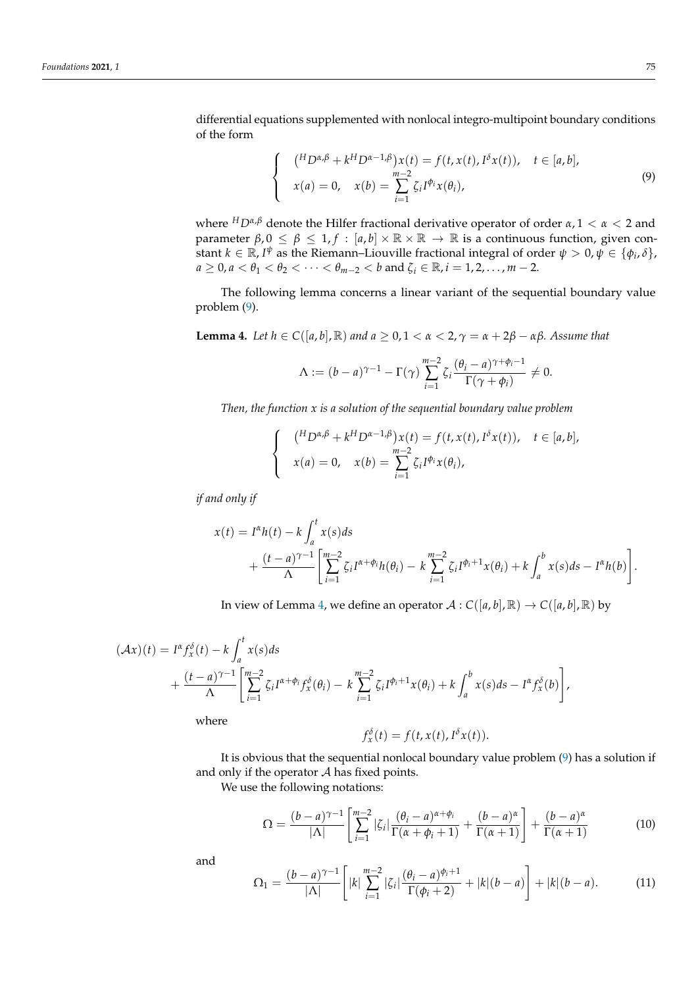differential equations supplemented with nonlocal integro-multipoint boundary conditions of the form

<span id="page-12-0"></span>
$$
\begin{cases}\n(^{H}D^{\alpha,\beta} + k^{H}D^{\alpha-1,\beta})x(t) = f(t, x(t), I^{\delta}x(t)), & t \in [a, b], \\
x(a) = 0, & x(b) = \sum_{i=1}^{m-2} \zeta_{i}I^{\phi_{i}}x(\theta_{i}),\n\end{cases}
$$
\n(9)

where *<sup>H</sup>Dα*,*<sup>β</sup>* denote the Hilfer fractional derivative operator of order *α*, 1 < *α* < 2 and parameter  $\beta$ ,  $0 \leq \beta \leq 1$ ,  $f : [a, b] \times \mathbb{R} \times \mathbb{R} \rightarrow \mathbb{R}$  is a continuous function, given constant  $k \in \mathbb{R}$ , *I*<sup> $\psi$ </sup> as the Riemann–Liouville fractional integral of order  $\psi > 0$ ,  $\psi \in \{\phi_i, \delta\}$ ,  $a \ge 0, a < \theta_1 < \theta_2 < \cdots < \theta_{m-2} < b$  and  $\zeta_i \in \mathbb{R}, i = 1, 2, \ldots, m-2$ .

The following lemma concerns a linear variant of the sequential boundary value problem [\(9\)](#page-12-0).

<span id="page-12-1"></span>**Lemma 4.** Let  $h \in C([a, b], \mathbb{R})$  and  $a \ge 0, 1 < \alpha < 2, \gamma = \alpha + 2\beta - \alpha\beta$ . Assume that

$$
\Lambda := (b-a)^{\gamma-1} - \Gamma(\gamma) \sum_{i=1}^{m-2} \zeta_i \frac{(\theta_i - a)^{\gamma + \phi_i - 1}}{\Gamma(\gamma + \phi_i)} \neq 0.
$$

*Then, the function x is a solution of the sequential boundary value problem*

$$
\begin{cases}\n\binom{H_D\alpha,\beta+kH_D\alpha-1,\beta}{k}x(t) = f(t,x(t),I^{\delta}x(t)), & t \in [a,b], \\
x(a) = 0, & x(b) = \sum_{i=1}^{m-2} \zeta_i I^{\phi_i}x(\theta_i),\n\end{cases}
$$

*if and only if*

$$
x(t) = I^{\alpha}h(t) - k \int_a^t x(s)ds
$$
  
+ 
$$
\frac{(t-a)^{\gamma-1}}{\Lambda} \left[ \sum_{i=1}^{m-2} \zeta_i I^{\alpha+\phi_i}h(\theta_i) - k \sum_{i=1}^{m-2} \zeta_i I^{\phi_i+1}x(\theta_i) + k \int_a^b x(s)ds - I^{\alpha}h(b) \right].
$$

In view of Lemma [4,](#page-12-1) we define an operator  $A : C([a, b], \mathbb{R}) \to C([a, b], \mathbb{R})$  by

$$
(\mathcal{A}x)(t) = I^{\alpha} f_x^{\delta}(t) - k \int_a^t x(s) ds
$$
  
+ 
$$
\frac{(t-a)^{\gamma-1}}{\Lambda} \left[ \sum_{i=1}^{m-2} \zeta_i I^{\alpha+\phi_i} f_x^{\delta}(\theta_i) - k \sum_{i=1}^{m-2} \zeta_i I^{\phi_i+1} x(\theta_i) + k \int_a^b x(s) ds - I^{\alpha} f_x^{\delta}(b) \right],
$$

where

$$
f_x^{\delta}(t) = f(t, x(t), I^{\delta}x(t)).
$$

It is obvious that the sequential nonlocal boundary value problem [\(9\)](#page-12-0) has a solution if and only if the operator  $A$  has fixed points.

We use the following notations:

<span id="page-12-2"></span>
$$
\Omega = \frac{(b-a)^{\gamma-1}}{|\Lambda|} \left[ \sum_{i=1}^{m-2} |\zeta_i| \frac{(\theta_i - a)^{\alpha + \phi_i}}{\Gamma(\alpha + \phi_i + 1)} + \frac{(b-a)^{\alpha}}{\Gamma(\alpha + 1)} \right] + \frac{(b-a)^{\alpha}}{\Gamma(\alpha + 1)}
$$
(10)

and

<span id="page-12-3"></span>
$$
\Omega_1 = \frac{(b-a)^{\gamma-1}}{|\Lambda|} \left[ |k| \sum_{i=1}^{m-2} |\zeta_i| \frac{(\theta_i - a)^{\phi_i+1}}{\Gamma(\phi_i + 2)} + |k| (b-a) \right] + |k| (b-a). \tag{11}
$$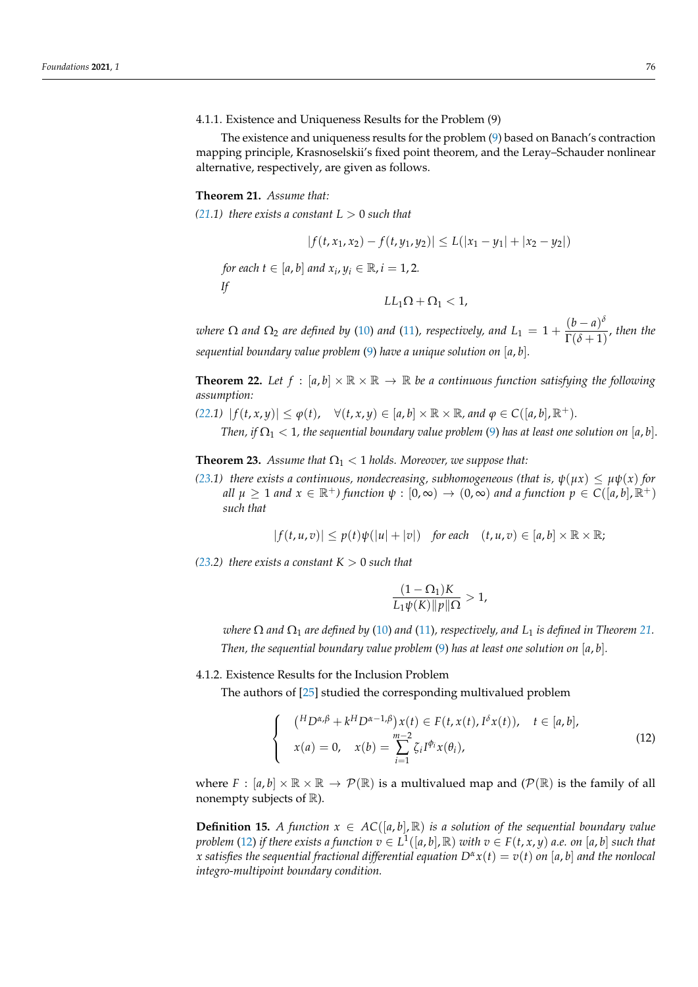4.1.1. Existence and Uniqueness Results for the Problem (9)

The existence and uniqueness results for the problem [\(9\)](#page-12-0) based on Banach's contraction mapping principle, Krasnoselskii's fixed point theorem, and the Leray–Schauder nonlinear alternative, respectively, are given as follows.

#### <span id="page-13-0"></span>**Theorem 21.** *Assume that:*

 $(21.1)$  $(21.1)$  *there exists a constant L*  $> 0$  *such that* 

$$
|f(t, x_1, x_2) - f(t, y_1, y_2)| \le L(|x_1 - y_1| + |x_2 - y_2|)
$$
  
for each  $t \in [a, b]$  and  $x_i, y_i \in \mathbb{R}, i = 1, 2$ .  
If  

$$
LL_1 \Omega + \Omega_1 < 1,
$$

*where*  $\Omega$  *and*  $\Omega_2$  *are defined by* [\(10\)](#page-12-2) *and* [\(11\)](#page-12-3)*, respectively, and*  $L_1 = 1 + \frac{(b-a)^{\delta}}{\Gamma(\delta+1)}$  $\frac{1}{\Gamma(\delta+1)}$ , then the *sequential boundary value problem* [\(9\)](#page-12-0) *have a unique solution on* [*a*, *b*]*.*

<span id="page-13-1"></span>**Theorem 22.** Let  $f : [a, b] \times \mathbb{R} \times \mathbb{R} \to \mathbb{R}$  be a continuous function satisfying the following *assumption:*

$$
(22.1) |f(t,x,y)| \leq \varphi(t), \quad \forall (t,x,y) \in [a,b] \times \mathbb{R} \times \mathbb{R}, \text{ and } \varphi \in C([a,b],\mathbb{R}^+).
$$

*Then, if*  $\Omega_1$  < 1, the sequential boundary value problem [\(9\)](#page-12-0) has at least one solution on [a, b].

<span id="page-13-2"></span>**Theorem 23.** *Assume that*  $\Omega_1 < 1$  *holds. Moreover, we suppose that:* 

*[\(23.](#page-13-2)1) there exists a continuous, nondecreasing, subhomogeneous (that is,*  $\psi(\mu x) \leq \mu \psi(x)$  *for all*  $\mu \geq 1$  *and*  $x \in \mathbb{R}^+$ *)* function  $\psi : [0, \infty) \to (0, \infty)$  *and a function*  $p \in C([a, b], \mathbb{R}^+)$ *such that*

$$
|f(t,u,v)| \leq p(t)\psi(|u|+|v|) \quad \text{for each} \quad (t,u,v) \in [a,b] \times \mathbb{R} \times \mathbb{R};
$$

*[\(23.](#page-13-2)2) there exists a constant*  $K > 0$  *such that* 

$$
\frac{(1-\Omega_1)K}{L_1\psi(K)\|p\|\Omega} > 1,
$$

*where*  $\Omega$  *and*  $\Omega_1$  *are defined by* [\(10\)](#page-12-2) *and* [\(11\)](#page-12-3)*, respectively, and*  $L_1$  *is defined in Theorem* [21.](#page-13-0) *Then, the sequential boundary value problem* [\(9\)](#page-12-0) *has at least one solution on* [*a*, *b*]*.*

# 4.1.2. Existence Results for the Inclusion Problem

The authors of [\[25\]](#page-35-5) studied the corresponding multivalued problem

<span id="page-13-3"></span>
$$
\begin{cases}\n(\n\begin{aligned}\n^{H}D^{\alpha,\beta} + k^{H}D^{\alpha-1,\beta}\n\end{aligned})\nx(t) & \in F(t, x(t), I^{\delta}x(t)), \quad t \in [a, b], \\
x(a) & = 0, \quad x(b) = \sum_{i=1}^{m-2} \zeta_{i}I^{\phi_{i}}x(\theta_{i}),\n\end{cases} \tag{12}
$$

where  $F : [a, b] \times \mathbb{R} \times \mathbb{R} \to \mathcal{P}(\mathbb{R})$  is a multivalued map and  $(\mathcal{P}(\mathbb{R})$  is the family of all nonempty subjects of  $\mathbb{R}$ ).

**Definition 15.** *A function*  $x \in AC([a, b], \mathbb{R})$  *is a solution of the sequential boundary value problem* [\(12\)](#page-13-3) *if there exists a function*  $v \in L^1([a,b],\mathbb{R})$  *with*  $v \in F(t,x,y)$  *a.e. on* [a, b] *such that x* satisfies the sequential fractional differential equation  $D^{\alpha}x(t) = v(t)$  on [a, b] and the nonlocal *integro-multipoint boundary condition.*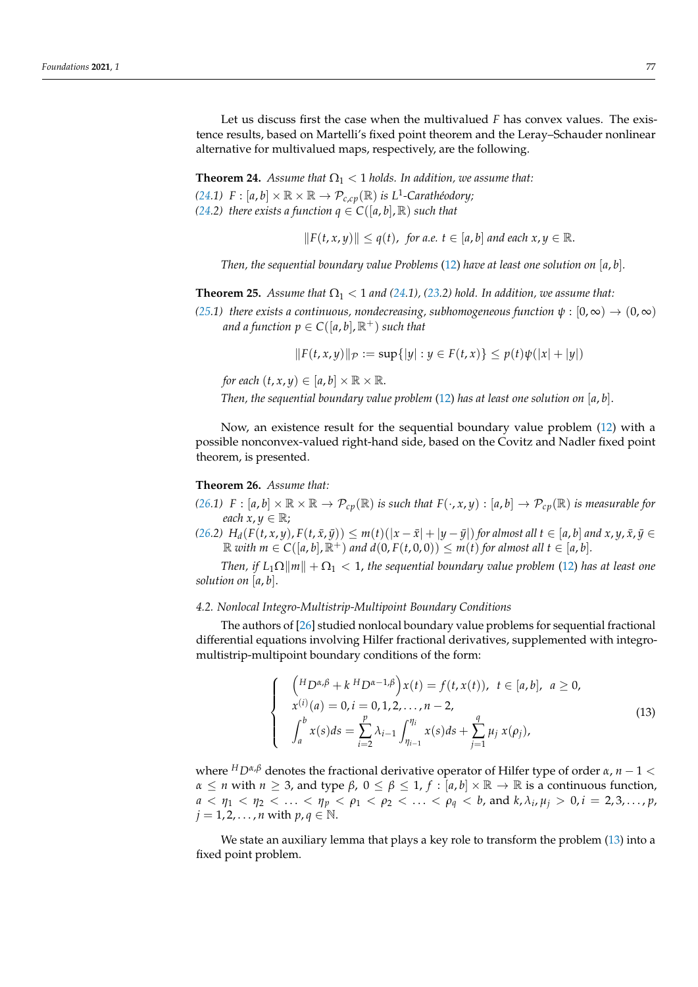Let us discuss first the case when the multivalued *F* has convex values. The existence results, based on Martelli's fixed point theorem and the Leray–Schauder nonlinear alternative for multivalued maps, respectively, are the following.

<span id="page-14-0"></span>**Theorem 24.** *Assume that*  $\Omega_1 < 1$  *holds. In addition, we assume that:* 

*[\(24.](#page-14-0)1)*  $F : [a, b] \times \mathbb{R} \times \mathbb{R} \to \mathcal{P}_{c,cp}(\mathbb{R})$  is  $L^1$ -Carathéodory; *[\(24.](#page-14-0)2) there exists a function*  $q \in C([a, b], \mathbb{R})$  *such that* 

 $||F(t, x, y)|| \leq q(t)$ , for a.e.  $t \in [a, b]$  and each  $x, y \in \mathbb{R}$ .

*Then, the sequential boundary value Problems* [\(12\)](#page-13-3) *have at least one solution on* [*a*, *b*]*.*

<span id="page-14-1"></span>**Theorem 25.** *Assume that*  $\Omega_1 < 1$  *and* [\(24.](#page-14-0)1), [\(23.](#page-13-2)2) hold. In addition, we assume that:

*[\(25.](#page-14-1)1) there exists a continuous, nondecreasing, subhomogeneous function*  $\psi$  :  $[0, \infty) \rightarrow (0, \infty)$ *and a function*  $p \in C([a, b], \mathbb{R}^+)$  *such that* 

$$
||F(t, x, y)||_{\mathcal{P}} := \sup\{|y| : y \in F(t, x)\} \le p(t)\psi(|x| + |y|)
$$

*for each*  $(t, x, y) \in [a, b] \times \mathbb{R} \times \mathbb{R}$ .

*Then, the sequential boundary value problem* [\(12\)](#page-13-3) *has at least one solution on* [*a*, *b*].

Now, an existence result for the sequential boundary value problem [\(12\)](#page-13-3) with a possible nonconvex-valued right-hand side, based on the Covitz and Nadler fixed point theorem, is presented.

# <span id="page-14-2"></span>**Theorem 26.** *Assume that:*

*[\(26.](#page-14-2)1)*  $F : [a, b] \times \mathbb{R} \times \mathbb{R} \to \mathcal{P}_{cp}(\mathbb{R})$  *is such that*  $F(\cdot, x, y) : [a, b] \to \mathcal{P}_{cp}(\mathbb{R})$  *is measurable for each*  $x, y \in \mathbb{R}$ ;

[\(26.](#page-14-2)2)  $H_d(F(t,x,y), F(t,\bar{x},\bar{y})) \leq m(t)(|x-\bar{x}|+|y-\bar{y}|)$  for almost all  $t \in [a,b]$  and  $x, y, \bar{x}, \bar{y} \in$  $\mathbb{R}$  *with*  $m \in C([a, b], \mathbb{R}^+)$  *and*  $d(0, F(t, 0, 0)) \leq m(t)$  *for almost all*  $t \in [a, b]$ *.* 

*Then, if*  $L_1\Omega\|m\| + \Omega_1 < 1$ , *the sequential boundary value problem* [\(12\)](#page-13-3) *has at least one solution on* [*a*, *b*].

#### *4.2. Nonlocal Integro-Multistrip-Multipoint Boundary Conditions*

The authors of [\[26\]](#page-35-6) studied nonlocal boundary value problems for sequential fractional differential equations involving Hilfer fractional derivatives, supplemented with integromultistrip-multipoint boundary conditions of the form:

<span id="page-14-3"></span>
$$
\begin{cases}\n\begin{aligned}\n\left(\begin{aligned}\nH_D \alpha, \beta + k \ H_D \alpha - 1, \beta\right) x(t) &= f(t, x(t)), \ t \in [a, b], \ a \ge 0, \\
x^{(i)}(a) &= 0, i = 0, 1, 2, \dots, n - 2, \\
\int_a^b x(s) ds &= \sum_{i=2}^p \lambda_{i-1} \int_{\eta_{i-1}}^{\eta_i} x(s) ds + \sum_{j=1}^q \mu_j \ x(\rho_j),\n\end{aligned}\n\end{cases} \tag{13}
$$

where *<sup>H</sup>Dα*,*<sup>β</sup>* denotes the fractional derivative operator of Hilfer type of order *α*, *n* − 1 <  $α ≤ n$  with  $n ≥ 3$ , and type  $β$ ,  $0 ≤ β ≤ 1$ ,  $f : [a, b] × ℝ → ℝ$  is a continuous function,  $a < \eta_1 < \eta_2 < \ldots < \eta_p < \rho_1 < \rho_2 < \ldots < \rho_q < b$ , and  $k, \lambda_i, \mu_j > 0, i = 2, 3, \ldots, p$ ,  $j = 1, 2, \ldots, n$  with  $p, q \in \mathbb{N}$ .

We state an auxiliary lemma that plays a key role to transform the problem [\(13\)](#page-14-3) into a fixed point problem.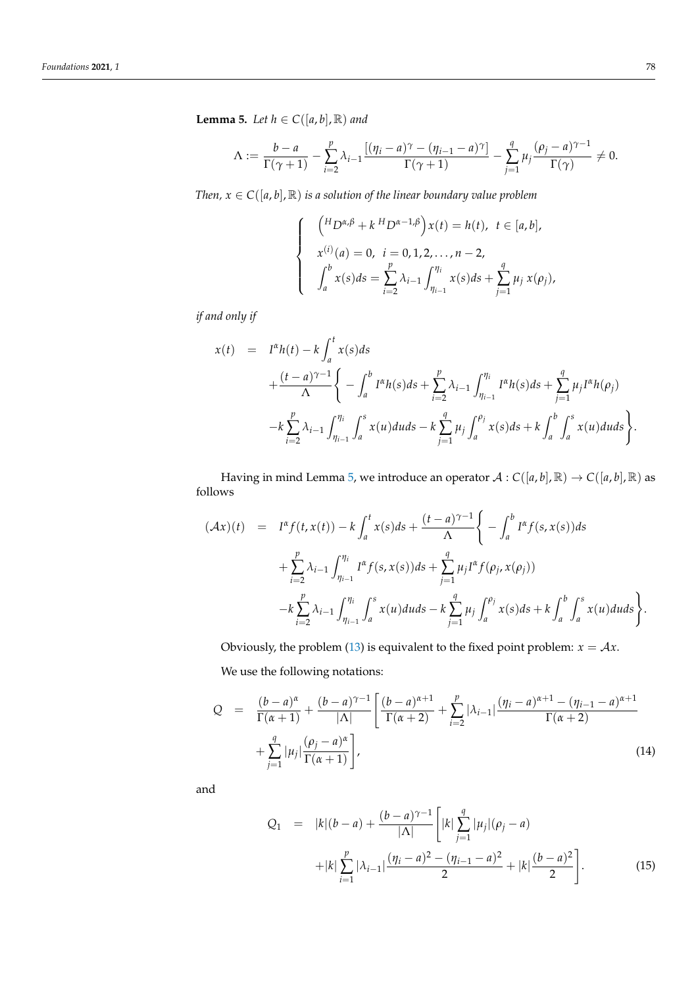<span id="page-15-0"></span>**Lemma 5.** *Let*  $h \in C([a, b], \mathbb{R})$  *and* 

$$
\Lambda := \frac{b-a}{\Gamma(\gamma+1)} - \sum_{i=2}^p \lambda_{i-1} \frac{\left[ (\eta_i - a)^{\gamma} - (\eta_{i-1} - a)^{\gamma} \right]}{\Gamma(\gamma+1)} - \sum_{j=1}^q \mu_j \frac{(\rho_j - a)^{\gamma-1}}{\Gamma(\gamma)} \neq 0.
$$

*Then,*  $x \in C([a, b], \mathbb{R})$  *is a solution of the linear boundary value problem* 

$$
\begin{cases}\n\binom{H_{D^{\alpha,\beta}}+k H_{D^{\alpha-1,\beta}}}{x^{(i)}(a)=0, i=0,1,2,\ldots,n-2,} \\
\int_a^b x(s)ds = \sum_{i=2}^p \lambda_{i-1} \int_{\eta_{i-1}}^{\eta_i} x(s)ds + \sum_{j=1}^q \mu_j x(\rho_j),\n\end{cases}
$$

*if and only if*

$$
x(t) = I^{\alpha}h(t) - k \int_{a}^{t} x(s)ds
$$
  
+ 
$$
\frac{(t-a)^{\gamma-1}}{\Lambda} \left\{ - \int_{a}^{b} I^{\alpha}h(s)ds + \sum_{i=2}^{p} \lambda_{i-1} \int_{\eta_{i-1}}^{\eta_{i}} I^{\alpha}h(s)ds + \sum_{j=1}^{q} \mu_{j}I^{\alpha}h(\rho_{j}) \right\}
$$
  
- 
$$
-k \sum_{i=2}^{p} \lambda_{i-1} \int_{\eta_{i-1}}^{\eta_{i}} \int_{a}^{s} x(u)du ds - k \sum_{j=1}^{q} \mu_{j} \int_{a}^{\rho_{j}} x(s)ds + k \int_{a}^{b} \int_{a}^{s} x(u)du ds \right\}.
$$

Having in mind Lemma [5,](#page-15-0) we introduce an operator  $A: C([a, b], \mathbb{R}) \to C([a, b], \mathbb{R})$  as follows

$$
(\mathcal{A}x)(t) = I^{\alpha} f(t, x(t)) - k \int_{a}^{t} x(s) ds + \frac{(t-a)^{\gamma-1}}{\Lambda} \left\{ - \int_{a}^{b} I^{\alpha} f(s, x(s)) ds + \sum_{i=2}^{p} \lambda_{i-1} \int_{\eta_{i-1}}^{\eta_{i}} I^{\alpha} f(s, x(s)) ds + \sum_{j=1}^{q} \mu_{j} I^{\alpha} f(\rho_{j}, x(\rho_{j})) - k \sum_{i=2}^{p} \lambda_{i-1} \int_{\eta_{i-1}}^{\eta_{i}} \int_{a}^{s} x(u) du ds - k \sum_{j=1}^{q} \mu_{j} \int_{a}^{\rho_{j}} x(s) ds + k \int_{a}^{b} \int_{a}^{s} x(u) du ds \right\}.
$$

Obviously, the problem [\(13\)](#page-14-3) is equivalent to the fixed point problem:  $x = Ax$ . We use the following notations:

<span id="page-15-2"></span>
$$
Q = \frac{(b-a)^{\alpha}}{\Gamma(\alpha+1)} + \frac{(b-a)^{\gamma-1}}{|\Lambda|} \left[ \frac{(b-a)^{\alpha+1}}{\Gamma(\alpha+2)} + \sum_{i=2}^{p} |\lambda_{i-1}| \frac{(\eta_i - a)^{\alpha+1} - (\eta_{i-1} - a)^{\alpha+1}}{\Gamma(\alpha+2)} + \sum_{j=1}^{q} |\mu_j| \frac{(\rho_j - a)^{\alpha}}{\Gamma(\alpha+1)} \right],
$$
\n(14)

and

<span id="page-15-1"></span>
$$
Q_1 = |k|(b-a) + \frac{(b-a)^{\gamma-1}}{|\Lambda|} \left[ |k| \sum_{j=1}^q |\mu_j| (\rho_j - a) + |k| \sum_{i=1}^p |\lambda_{i-1}| \frac{(\eta_i - a)^2 - (\eta_{i-1} - a)^2}{2} + |k| \frac{(b-a)^2}{2} \right].
$$
\n(15)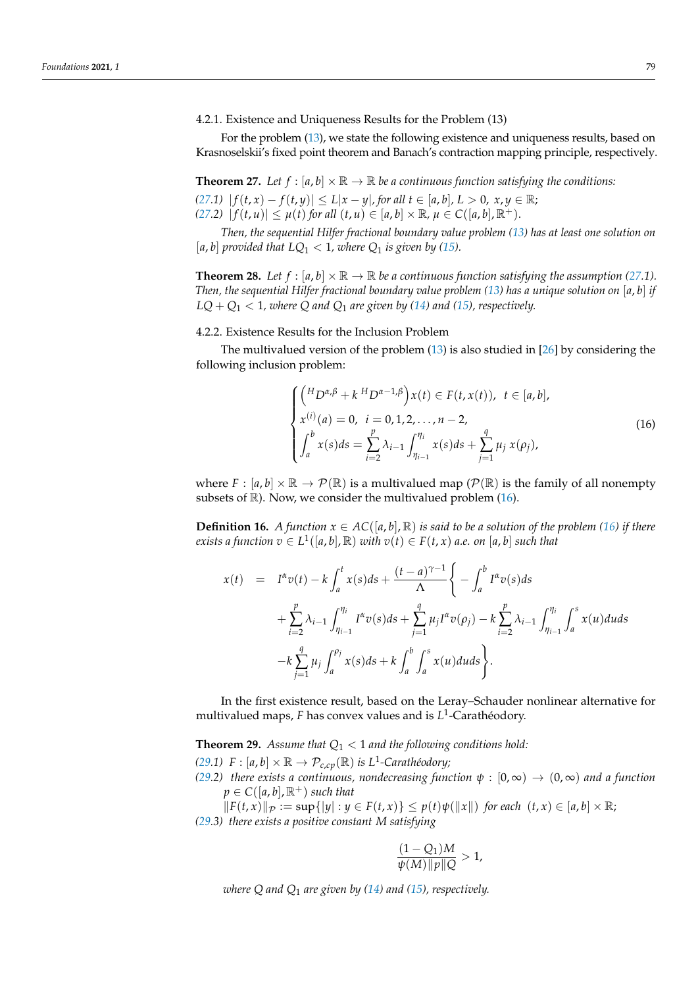4.2.1. Existence and Uniqueness Results for the Problem (13)

For the problem [\(13\)](#page-14-3), we state the following existence and uniqueness results, based on Krasnoselskii's fixed point theorem and Banach's contraction mapping principle, respectively.

<span id="page-16-0"></span>**Theorem 27.** Let  $f : [a, b] \times \mathbb{R} \to \mathbb{R}$  be a continuous function satisfying the conditions: *[\(27.](#page-16-0)1)*  $|f(t, x) - f(t, y)| \le L|x - y|$ , for all  $t \in [a, b]$ ,  $L > 0$ ,  $x, y \in \mathbb{R}$ ;

*[\(27.](#page-16-0)2)*  $|f(t, u)| \leq \mu(t)$  *for all*  $(t, u) \in [a, b] \times \mathbb{R}, \mu \in C([a, b], \mathbb{R}^+).$ 

*Then, the sequential Hilfer fractional boundary value problem [\(13\)](#page-14-3) has at least one solution on* [a, b] provided that  $LQ_1 < 1$ , where  $Q_1$  is given by [\(15\)](#page-15-1).

**Theorem 28.** *Let*  $f : [a, b] \times \mathbb{R} \to \mathbb{R}$  *be a continuous function satisfying the assumption* [\(27.](#page-16-0)1). *Then, the sequential Hilfer fractional boundary value problem [\(13\)](#page-14-3) has a unique solution on* [*a*, *b*] *if*  $LQ + Q_1 < 1$ *, where Q and Q<sub>1</sub> are given by [\(14\)](#page-15-2) and [\(15\)](#page-15-1), respectively.* 

#### 4.2.2. Existence Results for the Inclusion Problem

The multivalued version of the problem [\(13\)](#page-14-3) is also studied in [\[26\]](#page-35-6) by considering the following inclusion problem:

<span id="page-16-1"></span>
$$
\begin{cases}\n\binom{H_{D^{\alpha,\beta}}+k H_{D^{\alpha-1,\beta}}}{x^{(i)}(a)=0, \ i=0,1,2,\ldots,n-2,} \\
\int_{a}^{b} x(s)ds = \sum_{i=2}^{p} \lambda_{i-1} \int_{\eta_{i-1}}^{\eta_i} x(s)ds + \sum_{j=1}^{q} \mu_j x(\rho_j),\n\end{cases}
$$
\n(16)

where  $F : [a, b] \times \mathbb{R} \to \mathcal{P}(\mathbb{R})$  is a multivalued map  $(\mathcal{P}(\mathbb{R}))$  is the family of all nonempty subsets of  $\mathbb{R}$ ). Now, we consider the multivalued problem [\(16\)](#page-16-1).

**Definition 16.** *A function*  $x \in AC([a, b], \mathbb{R})$  *is said to be a solution of the problem* [\(16\)](#page-16-1) *if there*  $e$ *xists a function*  $v \in L^1([a, b], \mathbb{R})$  *with*  $v(t) \in F(t, x)$  *a.e. on*  $[a, b]$  *such that* 

$$
x(t) = I^{\alpha} v(t) - k \int_{a}^{t} x(s) ds + \frac{(t - a)^{\gamma - 1}}{\Lambda} \left\{ - \int_{a}^{b} I^{\alpha} v(s) ds + \sum_{i=2}^{p} \lambda_{i-1} \int_{\eta_{i-1}}^{\eta_{i}} I^{\alpha} v(s) ds + \sum_{j=1}^{q} \mu_{j} I^{\alpha} v(\rho_{j}) - k \sum_{i=2}^{p} \lambda_{i-1} \int_{\eta_{i-1}}^{\eta_{i}} \int_{a}^{s} x(u) du ds - k \sum_{j=1}^{q} \mu_{j} \int_{a}^{\rho_{j}} x(s) ds + k \int_{a}^{b} \int_{a}^{s} x(u) du ds \right\}.
$$

In the first existence result, based on the Leray–Schauder nonlinear alternative for multivalued maps, *F* has convex values and is *L* 1 -Carathéodory.

<span id="page-16-2"></span>**Theorem 29.** Assume that  $Q_1 < 1$  and the following conditions hold: *[\(29.](#page-16-2)1)*  $F : [a, b] \times \mathbb{R} \to \mathcal{P}_{c, cp}(\mathbb{R})$  *is L*<sup>1</sup>-Carathéodory;

*[\(29.](#page-16-2)2) there exists a continuous, nondecreasing function*  $\psi : [0, \infty) \to (0, \infty)$  *and a function*  $p \in C([a, b], \mathbb{R}^+)$  *such that* 

 $||F(t, x)||_{\mathcal{P}} := \sup\{|y| : y \in F(t, x)\} \leq p(t)\psi(||x||)$  for each  $(t, x) \in [a, b] \times \mathbb{R}$ ; *[\(29.](#page-16-2)3) there exists a positive constant M satisfying*

$$
\frac{(1-Q_1)M}{\psi(M)\|p\|Q} > 1,
$$

*where Q and Q*<sup>1</sup> *are given by [\(14\)](#page-15-2) and [\(15\)](#page-15-1), respectively.*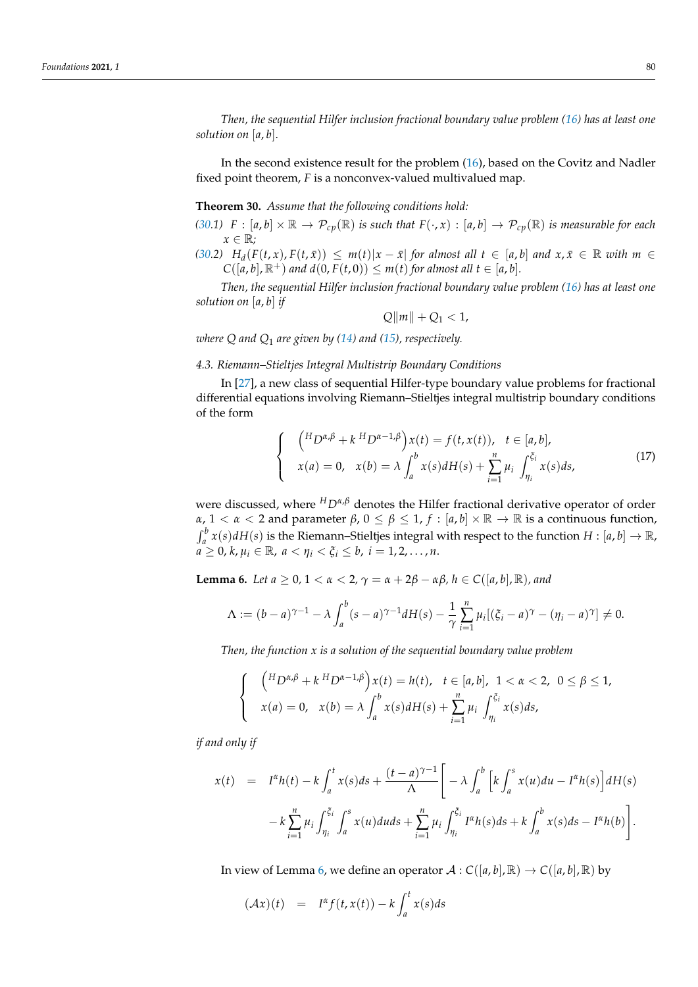*Then, the sequential Hilfer inclusion fractional boundary value problem [\(16\)](#page-16-1) has at least one solution on* [*a*, *b*].

In the second existence result for the problem [\(16\)](#page-16-1), based on the Covitz and Nadler fixed point theorem, *F* is a nonconvex-valued multivalued map.

<span id="page-17-0"></span>**Theorem 30.** *Assume that the following conditions hold:*

*[\(30.](#page-17-0)1)*  $F : [a, b] \times \mathbb{R} \to \mathcal{P}_{cp}(\mathbb{R})$  *is such that*  $F(\cdot, x) : [a, b] \to \mathcal{P}_{cp}(\mathbb{R})$  *is measurable for each x* ∈ R*;*

[\(30.](#page-17-0)2)  $H_d(F(t,x), F(t,\bar{x})) \leq m(t)|x-\bar{x}|$  for almost all  $t \in [a,b]$  and  $x,\bar{x} \in \mathbb{R}$  with  $m \in$  $C([a, b], \mathbb{R}^+)$  *and*  $d(0, F(t, 0)) \leq m(t)$  *for almost all*  $t \in [a, b]$ *.* 

*Then, the sequential Hilfer inclusion fractional boundary value problem [\(16\)](#page-16-1) has at least one solution on* [*a*, *b*] *if*

$$
Q\|m\|+Q_1<1,
$$

*where Q and Q*<sup>1</sup> *are given by [\(14\)](#page-15-2) and [\(15\)](#page-15-1), respectively.*

# *4.3. Riemann–Stieltjes Integral Multistrip Boundary Conditions*

In [\[27\]](#page-35-7), a new class of sequential Hilfer-type boundary value problems for fractional differential equations involving Riemann–Stieltjes integral multistrip boundary conditions of the form

<span id="page-17-2"></span>
$$
\begin{cases}\n\binom{H_{D^{\alpha,\beta}}+k H_{D^{\alpha-1,\beta}}}{x(a) = 0, & x(b) = \lambda} \int_{a}^{b} x(s) dH(s) + \sum_{i=1}^{n} \mu_{i} \int_{\eta_{i}}^{\xi_{i}} x(s) ds,\n\end{cases}
$$
\n(17)

were discussed, where *<sup>H</sup>Dα*,*<sup>β</sup>* denotes the Hilfer fractional derivative operator of order *α*,  $1 < \alpha < 2$  and parameter  $\beta$ ,  $0 \le \beta \le 1$ ,  $f : [a, b] \times \mathbb{R} \to \mathbb{R}$  is a continuous function,  $\int_a^b x(s) dH(s)$  is the Riemann–Stieltjes integral with respect to the function  $H : [a, b] \to \mathbb{R}$ ,  $a \geq 0, k, \mu_i \in \mathbb{R}, \ a < \eta_i < \xi_i \leq b, \ i = 1, 2, \ldots, n.$ 

<span id="page-17-1"></span>**Lemma 6.** *Let a*  $\geq 0$ ,  $1 < \alpha < 2$ ,  $\gamma = \alpha + 2\beta - \alpha\beta$ ,  $h \in C([a, b], \mathbb{R})$ , and

$$
\Lambda := (b-a)^{\gamma-1} - \lambda \int_a^b (s-a)^{\gamma-1} dH(s) - \frac{1}{\gamma} \sum_{i=1}^n \mu_i [(\xi_i - a)^{\gamma} - (\eta_i - a)^{\gamma}] \neq 0.
$$

*Then, the function x is a solution of the sequential boundary value problem*

$$
\begin{cases}\n\binom{H_{D^{\alpha,\beta}}+k H_{D^{\alpha-1,\beta}}}{x(a)=0, & x(b)=\lambda} \int_{a}^{b} x(s) dH(s) + \sum_{i=1}^{n} \mu_{i} \int_{\eta_{i}}^{\xi_{i}} x(s) ds,\n\end{cases}
$$

*if and only if*

$$
x(t) = I^{\alpha}h(t) - k \int_{a}^{t} x(s)ds + \frac{(t-a)^{\gamma-1}}{\Lambda} \left[ -\lambda \int_{a}^{b} \left[ k \int_{a}^{s} x(u)du - I^{\alpha}h(s) \right] dH(s) - k \sum_{i=1}^{n} \mu_{i} \int_{\eta_{i}}^{\xi_{i}} x(u)du ds + \sum_{i=1}^{n} \mu_{i} \int_{\eta_{i}}^{\xi_{i}} I^{\alpha}h(s)ds + k \int_{a}^{b} x(s)ds - I^{\alpha}h(b) \right].
$$

In view of Lemma [6,](#page-17-1) we define an operator  $A: C([a, b], \mathbb{R}) \to C([a, b], \mathbb{R})$  by

$$
(\mathcal{A}x)(t) = I^{\alpha}f(t,x(t)) - k \int_a^t x(s)ds
$$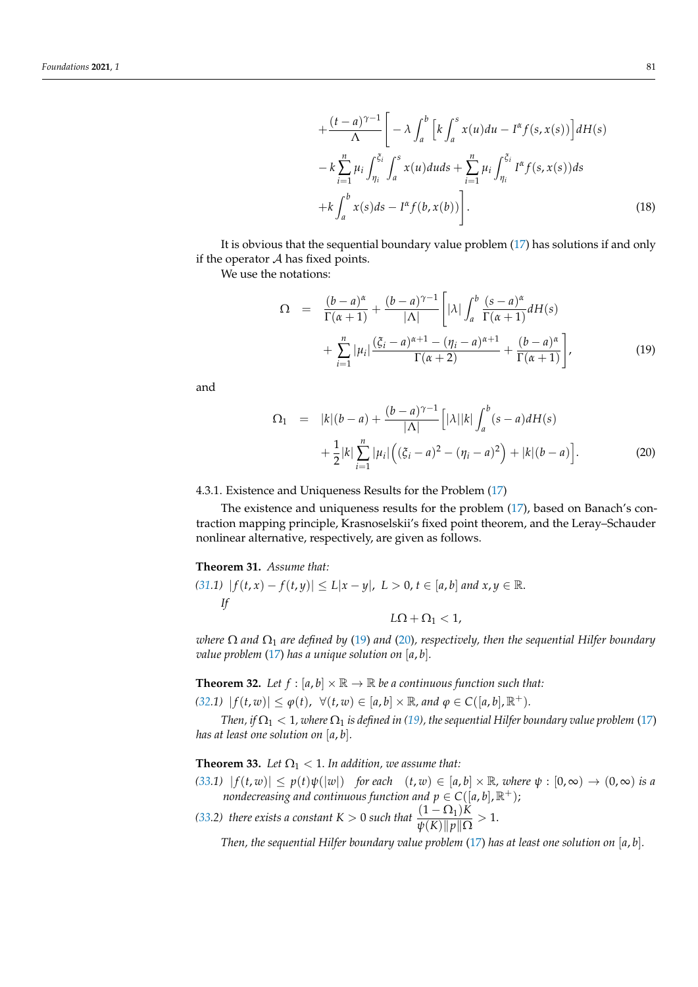$$
+\frac{(t-a)^{\gamma-1}}{\Lambda}\bigg[-\lambda \int_a^b \Big[k \int_a^s x(u)du - I^{\alpha}f(s, x(s))\Big]dH(s)
$$
  

$$
-\kappa \sum_{i=1}^n \mu_i \int_{\eta_i}^{\xi_i} \int_a^s x(u)du ds + \sum_{i=1}^n \mu_i \int_{\eta_i}^{\xi_i} I^{\alpha}f(s, x(s))ds
$$
  

$$
+\kappa \int_a^b x(s)ds - I^{\alpha}f(b, x(b))\bigg].
$$
 (18)

It is obvious that the sequential boundary value problem [\(17\)](#page-17-2) has solutions if and only if the operator  $A$  has fixed points.

We use the notations:

<span id="page-18-1"></span>
$$
\Omega = \frac{(b-a)^{\alpha}}{\Gamma(\alpha+1)} + \frac{(b-a)^{\gamma-1}}{|\Lambda|} \left[ |\lambda| \int_a^b \frac{(s-a)^{\alpha}}{\Gamma(\alpha+1)} dH(s) + \sum_{i=1}^n |\mu_i| \frac{(\xi_i - a)^{\alpha+1} - (\eta_i - a)^{\alpha+1}}{\Gamma(\alpha+2)} + \frac{(b-a)^{\alpha}}{\Gamma(\alpha+1)} \right],
$$
\n(19)

and

<span id="page-18-2"></span>
$$
\Omega_1 = |k|(b-a) + \frac{(b-a)^{\gamma-1}}{|\Lambda|} [|\lambda||k| \int_a^b (s-a) dH(s) \n+ \frac{1}{2}|k| \sum_{i=1}^n |\mu_i| ((\xi_i - a)^2 - (\eta_i - a)^2) + |k|(b-a)].
$$
\n(20)

4.3.1. Existence and Uniqueness Results for the Problem [\(17\)](#page-17-2)

The existence and uniqueness results for the problem [\(17\)](#page-17-2), based on Banach's contraction mapping principle, Krasnoselskii's fixed point theorem, and the Leray–Schauder nonlinear alternative, respectively, are given as follows.

#### <span id="page-18-0"></span>**Theorem 31.** *Assume that:*

(31.1) 
$$
|f(t,x) - f(t,y)| \le L|x - y|
$$
,  $L > 0$ ,  $t \in [a, b]$  and  $x, y \in \mathbb{R}$ .  
If  
 $L\Omega + \Omega_1 < 1$ ,

*where* Ω *and* Ω<sup>1</sup> *are defined by* [\(19\)](#page-18-1) *and* [\(20\)](#page-18-2)*, respectively, then the sequential Hilfer boundary value problem* [\(17\)](#page-17-2) *has a unique solution on* [*a*, *b*]*.*

<span id="page-18-3"></span>**Theorem 32.** Let  $f : [a, b] \times \mathbb{R} \to \mathbb{R}$  be a continuous function such that:

*[\(32.](#page-18-3)1)*  $|f(t, w)| \leq \varphi(t)$ ,  $\forall (t, w) \in [a, b] \times \mathbb{R}$ , and  $\varphi \in C([a, b], \mathbb{R}^+)$ .

*Then, if*  $\Omega_1 < 1$ *, where*  $\Omega_1$  *is defined in* [\(19\)](#page-18-1)*, the sequential Hilfer boundary value problem* [\(17\)](#page-17-2) *has at least one solution on* [*a*, *b*]*.*

<span id="page-18-4"></span>**Theorem 33.** Let  $\Omega_1 < 1$ . In addition, we assume that:

- *[\(33.](#page-18-4)1)*  $|f(t, w)| \leq p(t)\psi(|w|)$  *for each*  $(t, w) \in [a, b] \times \mathbb{R}$ *, where*  $\psi : [0, \infty) \to (0, \infty)$  *is a nondecreasing and continuous function and*  $p \in C([a, b], \mathbb{R}^+);$
- *[\(33.](#page-18-4)2) there exists a constant*  $K > 0$  *such that*  $\frac{(1 \Omega_1)K}{\psi(K) ||p|| \Omega} > 1$ .

*Then, the sequential Hilfer boundary value problem* [\(17\)](#page-17-2) *has at least one solution on* [*a*, *b*]*.*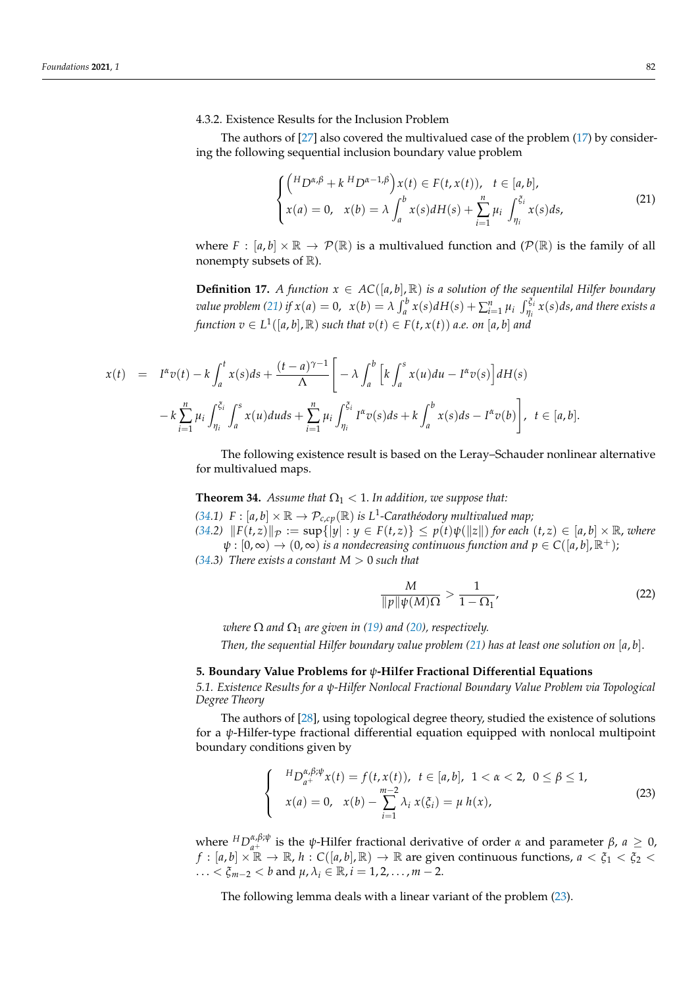4.3.2. Existence Results for the Inclusion Problem

The authors of [\[27\]](#page-35-7) also covered the multivalued case of the problem [\(17\)](#page-17-2) by considering the following sequential inclusion boundary value problem

<span id="page-19-0"></span>
$$
\begin{cases}\n\left(\begin{matrix}H_{D^{\alpha,\beta}}+k\,H_{D^{\alpha-1,\beta}}\right)x(t)\in F(t,x(t)), & t\in[a,b],\\
x(a)=0, & x(b)=\lambda\int_{a}^{b}x(s)dH(s)+\sum_{i=1}^{n}\mu_{i}\int_{\eta_{i}}^{\xi_{i}}x(s)ds,\n\end{matrix}\right)\n\end{cases}
$$
\n(21)

where  $F : [a, b] \times \mathbb{R} \to \mathcal{P}(\mathbb{R})$  is a multivalued function and  $(\mathcal{P}(\mathbb{R}))$  is the family of all nonempty subsets of  $\mathbb{R}$ ).

**Definition 17.** *A function*  $x \in AC([a, b], \mathbb{R})$  *is a solution of the sequentilal Hilfer boundary* value problem [\(21\)](#page-19-0) if  $x(a) = 0$ ,  $x(b) = \lambda \int_a^b x(s) dH(s) + \sum_{i=1}^n \mu_i \int_{\eta_i}^{\tilde{\xi}_i} x(s) ds$ , and there exists a  $f$ unction  $v \in L^1([a,b],{\mathbb R})$  such that  $v(t) \in F(t,x(t))$  a.e. on [a, b] and

$$
x(t) = I^{\alpha}v(t) - k \int_a^t x(s)ds + \frac{(t-a)^{\gamma-1}}{\Lambda} \left[ -\lambda \int_a^b \left[ k \int_a^s x(u)du - I^{\alpha}v(s) \right] dH(s) - k \sum_{i=1}^n \mu_i \int_{\eta_i}^{\xi_i} \int_a^s x(u)du ds + \sum_{i=1}^n \mu_i \int_{\eta_i}^{\xi_i} I^{\alpha}v(s)ds + k \int_a^b x(s)ds - I^{\alpha}v(b) \right], \ t \in [a, b].
$$

The following existence result is based on the Leray–Schauder nonlinear alternative for multivalued maps.

<span id="page-19-1"></span>**Theorem 34.** *Assume that*  $\Omega_1 < 1$ *. In addition, we suppose that:* 

[\(34.](#page-19-1)1)  $F : [a, b] \times \mathbb{R} \to \mathcal{P}_{c, cp}(\mathbb{R})$  *is L*<sup>1</sup>-Carathéodory multivalued map; [\(34.](#page-19-1)2)  $||F(t,z)||_{\mathcal{P}} := \sup\{|y| : y \in F(t,z)\} \leq p(t)\psi(||z||)$  for each  $(t,z) \in [a,b] \times \mathbb{R}$ , where  $\psi$ :  $[0,\infty) \to (0,\infty)$  *is a nondecreasing continuous function and*  $p \in C([a,b], \mathbb{R}^+);$ 

*[\(34.](#page-19-1)3) There exists a constant*  $M > 0$  *such that* 

$$
\frac{M}{\|p\|\psi(M)\Omega} > \frac{1}{1-\Omega_1},\tag{22}
$$

*where*  $\Omega$  *and*  $\Omega_1$  *are given in* [\(19\)](#page-18-1) *and* [\(20\)](#page-18-2), *respectively.* 

*Then, the sequential Hilfer boundary value problem [\(21\)](#page-19-0) has at least one solution on* [*a*, *b*].

# **5. Boundary Value Problems for** *ψ***-Hilfer Fractional Differential Equations**

*5.1. Existence Results for a ψ-Hilfer Nonlocal Fractional Boundary Value Problem via Topological Degree Theory*

The authors of [\[28\]](#page-35-8), using topological degree theory, studied the existence of solutions for a *ψ*-Hilfer-type fractional differential equation equipped with nonlocal multipoint boundary conditions given by

<span id="page-19-2"></span>
$$
\begin{cases}\nH_{D_{a^{+}}^{\alpha,\beta;\psi}x}(t) = f(t,x(t)), \ t \in [a,b], \ 1 < \alpha < 2, \ 0 \le \beta \le 1, \\
x(a) = 0, \ x(b) - \sum_{i=1}^{m-2} \lambda_i x(\xi_i) = \mu \ h(x),\n\end{cases}
$$
\n(23)

where  ${}^{H}D_{a+}^{\alpha,\beta;\psi}$  is the *ψ*-Hilfer fractional derivative of order *α* and parameter *β*, *a* ≥ 0,  $f:[a,b]\times\mathbb{R}\to\mathbb{R}$ ,  $h:\mathcal{C}([a,b],\mathbb{R})\to\mathbb{R}$  are given continuous functions,  $a<\xi_1<\xi_2<\xi_2$ ... <  $\xi_{m-2}$  < *b* and  $\mu, \lambda_i \in \mathbb{R}$ , *i* = 1, 2, ..., *m* − 2.

The following lemma deals with a linear variant of the problem [\(23\)](#page-19-2).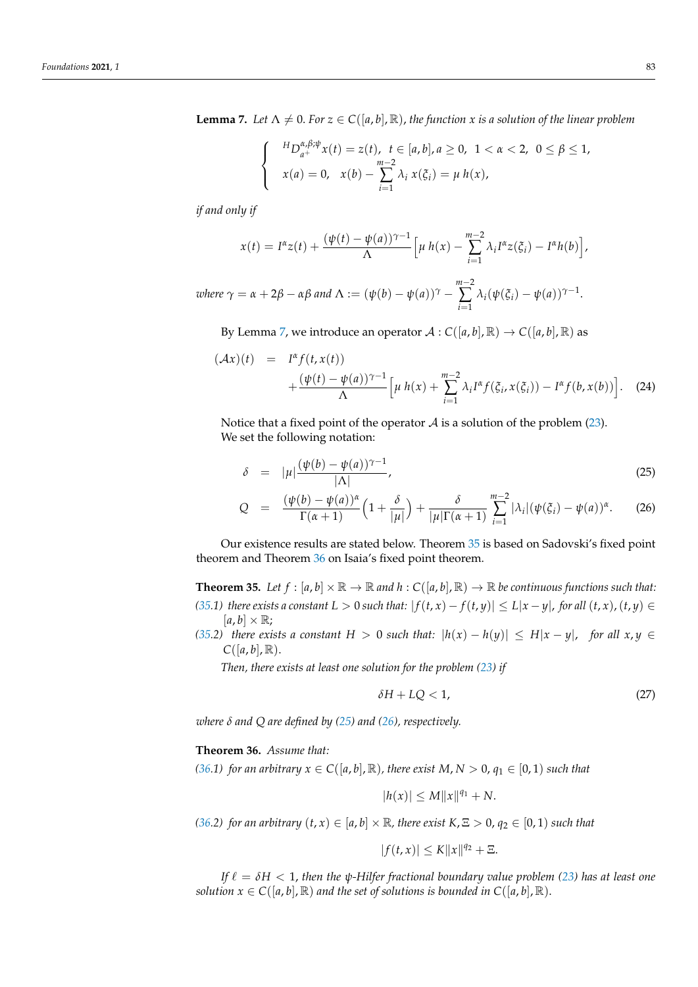<span id="page-20-0"></span>**Lemma 7.** Let  $\Lambda \neq 0$ . For  $z \in C([a, b], \mathbb{R})$ , the function x is a solution of the linear problem

$$
\begin{cases}\nH_{D_{a^+}^{\alpha,\beta;\psi}x}(t) = z(t), & t \in [a,b], a \ge 0, \ 1 < \alpha < 2, \ 0 \le \beta \le 1, \\
x(a) = 0, & x(b) - \sum_{i=1}^{m-2} \lambda_i x(\xi_i) = \mu \, h(x),\n\end{cases}
$$

*if and only if*

$$
x(t) = I^{\alpha} z(t) + \frac{(\psi(t) - \psi(a))^{\gamma-1}}{\Lambda} \Big[ \mu \, h(x) - \sum_{i=1}^{m-2} \lambda_i I^{\alpha} z(\xi_i) - I^{\alpha} h(b) \Big],
$$

*where*  $\gamma = \alpha + 2\beta - \alpha\beta$  *and*  $\Lambda := (\psi(b) - \psi(a))^{\gamma} - \alpha$ *m*−2 ∑ *i*=1  $\lambda_i(\psi(\xi_i) - \psi(a))^{\gamma-1}$ .

By Lemma [7,](#page-20-0) we introduce an operator  $A: C([a, b], \mathbb{R}) \to C([a, b], \mathbb{R})$  as

$$
(\mathcal{A}x)(t) = I^{\alpha} f(t, x(t)) + \frac{(\psi(t) - \psi(a))^{\gamma - 1}}{\Lambda} \Big[ \mu \, h(x) + \sum_{i=1}^{m-2} \lambda_i I^{\alpha} f(\xi_i, x(\xi_i)) - I^{\alpha} f(b, x(b)) \Big]. \tag{24}
$$

Notice that a fixed point of the operator  $A$  is a solution of the problem [\(23\)](#page-19-2). We set the following notation:

<span id="page-20-3"></span>
$$
\delta = |\mu| \frac{(\psi(b) - \psi(a))^{\gamma - 1}}{|\Lambda|},\tag{25}
$$

$$
Q = \frac{(\psi(b) - \psi(a))^{\alpha}}{\Gamma(\alpha + 1)} \left(1 + \frac{\delta}{|\mu|}\right) + \frac{\delta}{|\mu| \Gamma(\alpha + 1)} \sum_{i=1}^{m-2} |\lambda_i| (\psi(\xi_i) - \psi(a))^{\alpha}.
$$
 (26)

Our existence results are stated below. Theorem [35](#page-20-1) is based on Sadovski's fixed point theorem and Theorem [36](#page-20-2) on Isaia's fixed point theorem.

<span id="page-20-1"></span>**Theorem 35.** Let  $f : [a, b] \times \mathbb{R} \to \mathbb{R}$  and  $h : C([a, b], \mathbb{R}) \to \mathbb{R}$  be continuous functions such that: [\(35.](#page-20-1)1) there exists a constant  $L > 0$  such that:  $|f(t, x) - f(t, y)| \le L|x - y|$ , for all  $(t, x)$ ,  $(t, y) \in$  $[a, b] \times \mathbb{R}$ ;

*[\(35.](#page-20-1)2) there exists a constant*  $H > 0$  *such that:*  $|h(x) - h(y)| \leq H|x - y|$ , *for all*  $x, y \in$  $C([a, b], \mathbb{R}).$ 

*Then, there exists at least one solution for the problem [\(23\)](#page-19-2) if* 

$$
\delta H + LQ < 1,\tag{27}
$$

*where δ and Q are defined by [\(25\)](#page-20-3) and [\(26\)](#page-20-3), respectively.*

<span id="page-20-2"></span>**Theorem 36.** *Assume that:*

*[\(36.](#page-20-2)1) for an arbitrary*  $x \in C([a, b], \mathbb{R})$ *, there exist*  $M, N > 0, q_1 \in [0, 1)$  *such that* 

 $|h(x)| \le M ||x||^{q_1} + N.$ 

*[\(36.](#page-20-2)2) for an arbitrary*  $(t, x) \in [a, b] \times \mathbb{R}$ *, there exist*  $K, \mathbb{E} > 0$ ,  $q_2 \in [0, 1)$  *such that* 

$$
|f(t,x)| \leq K ||x||^{q_2} + \Xi.
$$

*If*  $\ell = \delta H < 1$ , *then the*  $\psi$ *-Hilfer fractional boundary value problem* [\(23\)](#page-19-2) *has at least one solution*  $x \in C([a, b], \mathbb{R})$  *and the set of solutions is bounded in*  $C([a, b], \mathbb{R})$ .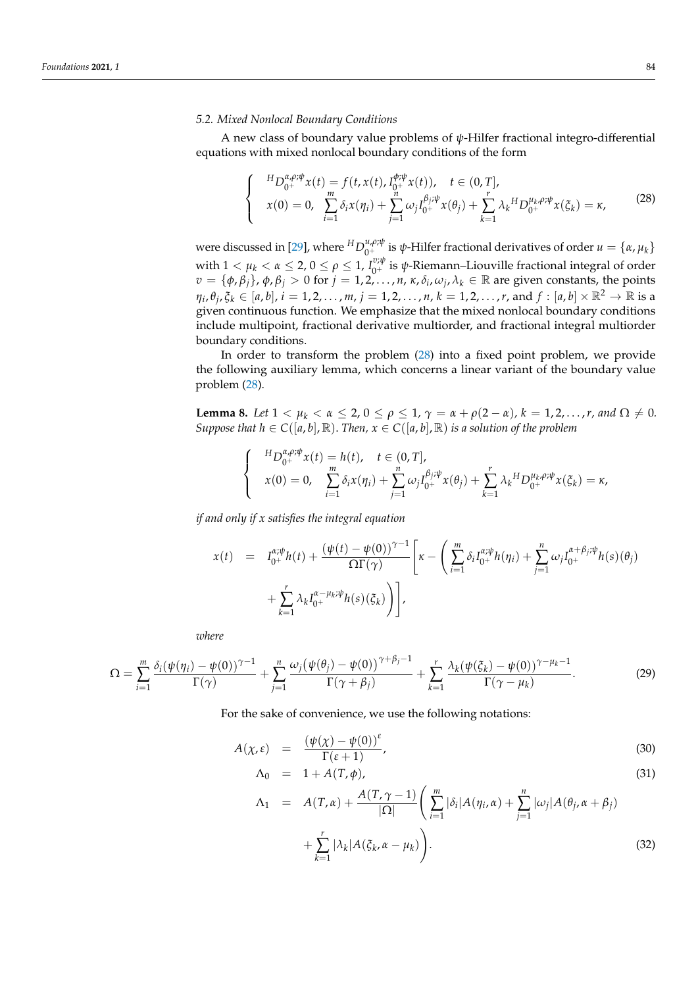#### *5.2. Mixed Nonlocal Boundary Conditions*

A new class of boundary value problems of *ψ*-Hilfer fractional integro-differential equations with mixed nonlocal boundary conditions of the form

<span id="page-21-0"></span>
$$
\begin{cases}\nH_D_{0^+}^{\alpha,\rho;\psi}x(t) = f(t,x(t), I_{0^+}^{\phi;\psi}x(t)), & t \in (0,T], \\
x(0) = 0, & \sum_{i=1}^m \delta_i x(\eta_i) + \sum_{j=1}^n \omega_j I_{0^+}^{\beta_j;\psi}x(\theta_j) + \sum_{k=1}^r \lambda_k H_D_{0^+}^{\mu_k,\rho;\psi}x(\xi_k) = \kappa,\n\end{cases}
$$
\n(28)

were discussed in [\[29\]](#page-35-9), where  ${}^HD_{0^+}^{\mu,\rho;\psi}$  is  $\psi$ -Hilfer fractional derivatives of order  $u = {\alpha, \mu_k}$ with  $1 < \mu_k < \alpha \leq 2$ ,  $0 \leq \rho \leq 1$ ,  $I_{0^+}^{\nu;\psi}$  is  $\psi$ -Riemann–Liouville fractional integral of order *v* = { $φ$ ,  $β$ <sub>*j*</sub>},  $φ$ ,  $β$ <sub>*j*</sub> > 0 for *j* = 1, 2, . . . , *n*, *κ*,  $δ$ <sub>*i*</sub>,  $ω$ <sub>*j*</sub>,  $λ$ <sub>*k*</sub> ∈ ℝ are given constants, the points  $\eta_i$ ,  $\theta_j$ ,  $\xi_k\in[a,b]$ ,  $i=1,2,\ldots,m$ ,  $j=1,2,\ldots,n$ ,  $k=1,2,\ldots,r$ , and  $f:[a,b]\times\mathbb{R}^2\to\mathbb{R}$  is a given continuous function. We emphasize that the mixed nonlocal boundary conditions include multipoint, fractional derivative multiorder, and fractional integral multiorder boundary conditions.

In order to transform the problem [\(28\)](#page-21-0) into a fixed point problem, we provide the following auxiliary lemma, which concerns a linear variant of the boundary value problem [\(28\)](#page-21-0).

<span id="page-21-1"></span>**Lemma 8.** *Let*  $1 < \mu_k < \alpha \leq 2, 0 \leq \rho \leq 1, \gamma = \alpha + \rho(2 - \alpha), k = 1, 2, ..., r, and \Omega \neq 0$ . *Suppose that*  $h \in C([a, b], \mathbb{R})$ *. Then,*  $x \in C([a, b], \mathbb{R})$  *is a solution of the problem* 

$$
\begin{cases}\nH_{D_{0+}^{\alpha,\rho;\psi}}x(t) = h(t), & t \in (0,T], \\
x(0) = 0, & \sum_{i=1}^{m} \delta_i x(\eta_i) + \sum_{j=1}^{n} \omega_j I_{0+}^{\beta_j;\psi} x(\theta_j) + \sum_{k=1}^{r} \lambda_k H_{D_{0+}^{\mu_k,\rho;\psi}} x(\xi_k) = \kappa,\n\end{cases}
$$

*if and only if x satisfies the integral equation*

$$
x(t) = I_{0^{+}}^{\alpha;\psi}h(t) + \frac{(\psi(t) - \psi(0))^{\gamma-1}}{\Omega\Gamma(\gamma)} \left[\kappa - \left(\sum_{i=1}^{m} \delta_{i}I_{0^{+}}^{\alpha;\psi}h(\eta_{i}) + \sum_{j=1}^{n} \omega_{j}I_{0^{+}}^{\alpha+\beta_{j};\psi}h(s)(\theta_{j}) + \sum_{k=1}^{r} \lambda_{k}I_{0^{+}}^{\alpha-\mu_{k};\psi}h(s)(\xi_{k})\right)\right],
$$

*where*

<span id="page-21-3"></span>
$$
\Omega = \sum_{i=1}^{m} \frac{\delta_i(\psi(\eta_i) - \psi(0))^{\gamma - 1}}{\Gamma(\gamma)} + \sum_{j=1}^{n} \frac{\omega_j(\psi(\theta_j) - \psi(0))^{\gamma + \beta_j - 1}}{\Gamma(\gamma + \beta_j)} + \sum_{k=1}^{r} \frac{\lambda_k(\psi(\xi_k) - \psi(0))^{\gamma - \mu_k - 1}}{\Gamma(\gamma - \mu_k)}.
$$
(29)

For the sake of convenience, we use the following notations:

<span id="page-21-2"></span>
$$
A(\chi, \varepsilon) = \frac{(\psi(\chi) - \psi(0))^{\varepsilon}}{\Gamma(\varepsilon + 1)},
$$
\n(30)

$$
\Lambda_0 = 1 + A(T, \phi), \tag{31}
$$

$$
\Lambda_1 = A(T,\alpha) + \frac{A(T,\gamma-1)}{|\Omega|} \left( \sum_{i=1}^m |\delta_i| A(\eta_i, \alpha) + \sum_{j=1}^n |\omega_j| A(\theta_j, \alpha + \beta_j) + \sum_{k=1}^r |\lambda_k| A(\xi_k, \alpha - \mu_k) \right).
$$
\n(32)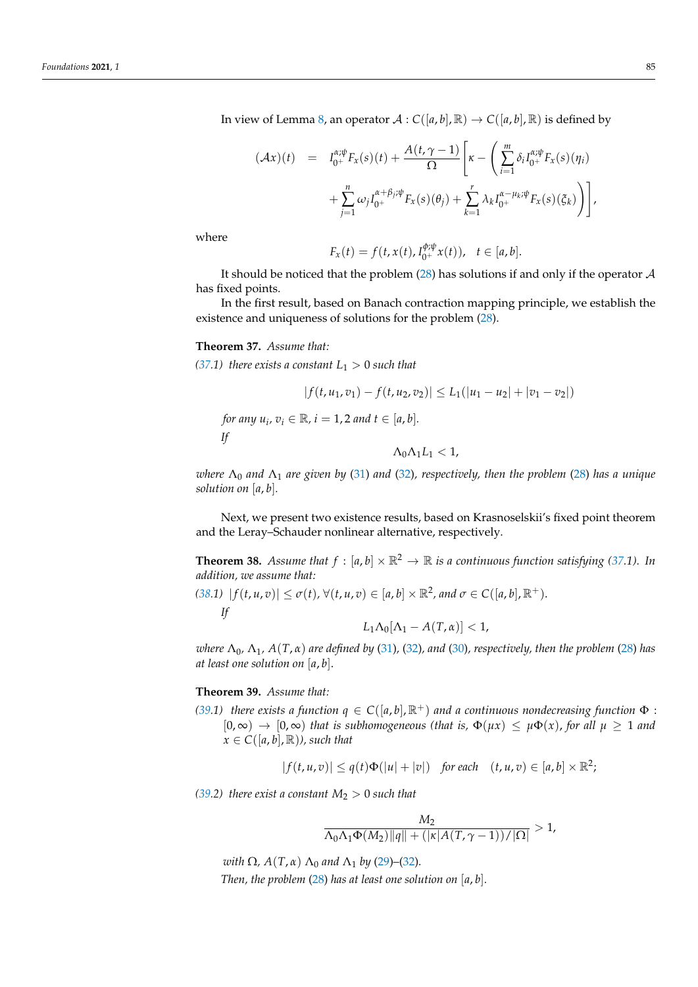In view of Lemma [8,](#page-21-1) an operator  $\mathcal{A}: C([a,b], \mathbb{R}) \to C([a,b], \mathbb{R})$  is defined by

$$
(\mathcal{A}x)(t) = I_{0^+}^{\alpha;\psi} F_x(s)(t) + \frac{A(t,\gamma-1)}{\Omega} \left[ \kappa - \left( \sum_{i=1}^m \delta_i I_{0^+}^{\alpha;\psi} F_x(s)(\eta_i) + \sum_{j=1}^n \omega_j I_{0^+}^{\alpha+\beta_j;\psi} F_x(s)(\theta_j) + \sum_{k=1}^r \lambda_k I_{0^+}^{\alpha-\mu_k;\psi} F_x(s)(\xi_k) \right) \right],
$$

where

$$
F_x(t) = f(t, x(t), I_{0^+}^{\phi; \psi} x(t)), \quad t \in [a, b].
$$

It should be noticed that the problem  $(28)$  has solutions if and only if the operator  $A$ has fixed points.

In the first result, based on Banach contraction mapping principle, we establish the existence and uniqueness of solutions for the problem [\(28\)](#page-21-0).

# <span id="page-22-0"></span>**Theorem 37.** *Assume that:*

*for an* 

*If*

*[\(37.](#page-22-0)1) there exists a constant*  $L_1 > 0$  *such that* 

$$
|f(t, u_1, v_1) - f(t, u_2, v_2)| \le L_1(|u_1 - u_2| + |v_1 - v_2|)
$$
  
*ny*  $u_i, v_i \in \mathbb{R}, i = 1, 2$  and  $t \in [a, b].$   

$$
\Delta_0 \Delta_1 L_1 < 1,
$$

*where* Λ<sup>0</sup> *and* Λ<sup>1</sup> *are given by* [\(31\)](#page-21-2) *and* [\(32\)](#page-21-2)*, respectively, then the problem* [\(28\)](#page-21-0) *has a unique solution on* [*a*, *b*]*.*

Next, we present two existence results, based on Krasnoselskii's fixed point theorem and the Leray–Schauder nonlinear alternative, respectively.

<span id="page-22-1"></span>**Theorem 38.** *Assume that*  $f : [a, b] \times \mathbb{R}^2 \to \mathbb{R}$  *is a continuous function satisfying [\(37.](#page-22-0)1). In addition, we assume that:*

*[\(38.](#page-22-1)1)*  $| f(t, u, v) | ≤ σ(t), ∀(t, u, v) ∈ [a, b] × ℝ<sup>2</sup>, and σ ∈ C([a, b], ℝ<sup>+</sup>).$ *If L*<sub>1</sub>Λ<sub>0</sub>[Λ<sub>1</sub> – *A*(*T*, *α*)] < 1,

*where*  $\Lambda_0$ ,  $\Lambda_1$ ,  $A(T, \alpha)$  are defined by [\(31\)](#page-21-2), [\(32\)](#page-21-2), and [\(30\)](#page-21-2), respectively, then the problem [\(28\)](#page-21-0) has *at least one solution on* [*a*, *b*].

### <span id="page-22-2"></span>**Theorem 39.** *Assume that:*

*[\(39.](#page-22-2)1) there exists a function*  $q \in C([a, b], \mathbb{R}^+)$  *and a continuous nondecreasing function*  $\Phi$ :  $[0, \infty) \rightarrow [0, \infty)$  *that is subhomogeneous (that is,*  $\Phi(\mu x) \leq \mu \Phi(x)$ *, for all*  $\mu \geq 1$  *and*  $x \in C([a, b], \mathbb{R})$ *), such that* 

$$
|f(t, u, v)| \leq q(t)\Phi(|u| + |v|) \quad \text{for each} \quad (t, u, v) \in [a, b] \times \mathbb{R}^2;
$$

*[\(39.](#page-22-2)2) there exist a constant*  $M_2 > 0$  *such that* 

$$
\frac{M_2}{\Lambda_0 \Lambda_1 \Phi(M_2) ||q|| + (|\kappa| A(T, \gamma - 1))/|\Omega|} > 1,
$$

*with*  $\Omega$ *,*  $A(T, \alpha)$   $\Lambda_0$  *and*  $\Lambda_1$  *by* [\(29\)](#page-21-3)–[\(32\)](#page-21-2)*. Then, the problem* [\(28\)](#page-21-0) *has at least one solution on* [*a*, *b*]*.*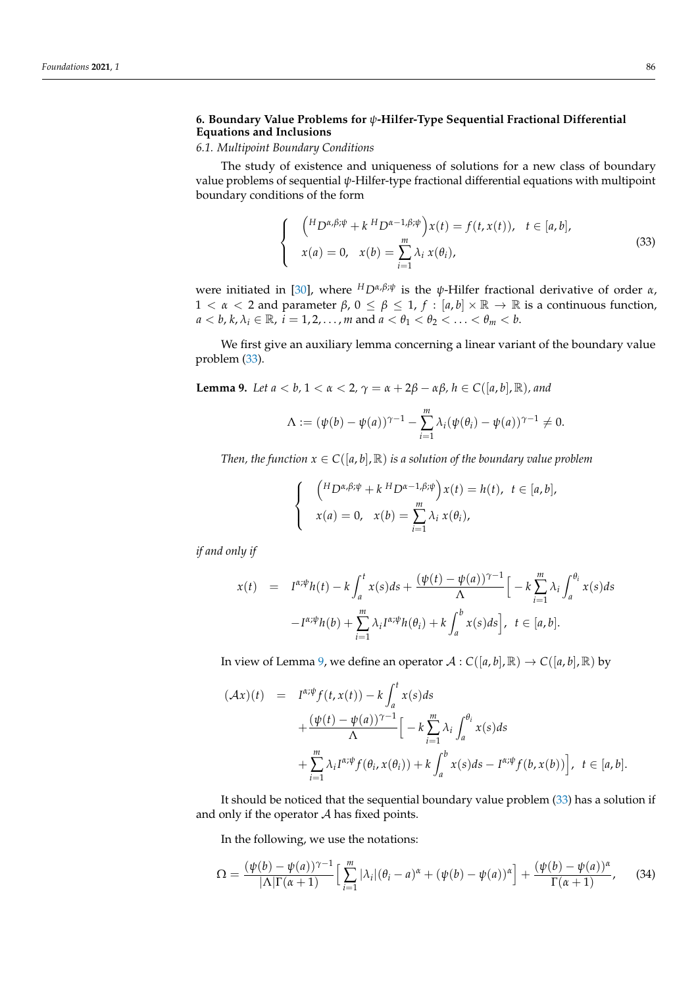# **6. Boundary Value Problems for** *ψ***-Hilfer-Type Sequential Fractional Differential Equations and Inclusions**

# *6.1. Multipoint Boundary Conditions*

The study of existence and uniqueness of solutions for a new class of boundary value problems of sequential *ψ*-Hilfer-type fractional differential equations with multipoint boundary conditions of the form

<span id="page-23-0"></span>
$$
\begin{cases}\n\left(H_{D^{\alpha,\beta;\psi}} + k H_{D^{\alpha-1,\beta;\psi}}\right)x(t) = f(t,x(t)), & t \in [a,b], \\
x(a) = 0, & x(b) = \sum_{i=1}^{m} \lambda_i x(\theta_i),\n\end{cases}
$$
\n(33)

were initiated in [\[30\]](#page-35-10), where  ${}^{H}D^{\alpha,\beta;\psi}$  is the  $\psi$ -Hilfer fractional derivative of order  $\alpha$ , 1 < *α* < 2 and parameter *β*, 0 ≤ *β* ≤ 1, *f* : [*a*, *b*] × R → R is a continuous function,  $a < b, k, \lambda_i \in \mathbb{R}$ ,  $i = 1, 2, \ldots, m$  and  $a < \theta_1 < \theta_2 < \ldots < \theta_m < b$ .

We first give an auxiliary lemma concerning a linear variant of the boundary value problem [\(33\)](#page-23-0).

<span id="page-23-1"></span>**Lemma 9.** *Let*  $a < b$ ,  $1 < a < 2$ ,  $\gamma = a + 2\beta - \alpha\beta$ ,  $h \in C([a, b], \mathbb{R})$ , and

$$
\Lambda := (\psi(b) - \psi(a))^{\gamma - 1} - \sum_{i=1}^{m} \lambda_i (\psi(b_i) - \psi(a))^{\gamma - 1} \neq 0.
$$

*Then, the function*  $x \in C([a, b], \mathbb{R})$  *is a solution of the boundary value problem* 

$$
\begin{cases}\n\left(H_D \alpha, \beta; \psi + k \ H_D \alpha - 1, \beta; \psi\right) x(t) = h(t), \ t \in [a, b], \\
x(a) = 0, \quad x(b) = \sum_{i=1}^m \lambda_i x(\theta_i),\n\end{cases}
$$

*if and only if*

$$
x(t) = I^{\alpha;\psi}h(t) - k \int_a^t x(s)ds + \frac{(\psi(t) - \psi(a))^{\gamma-1}}{\Lambda} \Big[ -k \sum_{i=1}^m \lambda_i \int_a^{\theta_i} x(s)ds - I^{\alpha;\psi}h(b) + \sum_{i=1}^m \lambda_i I^{\alpha;\psi}h(\theta_i) + k \int_a^b x(s)ds \Big], \ t \in [a,b].
$$

In view of Lemma [9,](#page-23-1) we define an operator  $A: C([a, b], \mathbb{R}) \to C([a, b], \mathbb{R})$  by

$$
\begin{array}{rcl}\n(\mathcal{A}x)(t) & = & I^{\alpha;\psi}f(t,x(t)) - k \int_{a}^{t} x(s)ds \\
& + \frac{(\psi(t) - \psi(a))^{\gamma-1}}{\Lambda} \Big[ -k \sum_{i=1}^{m} \lambda_{i} \int_{a}^{\theta_{i}} x(s)ds \\
& + \sum_{i=1}^{m} \lambda_{i} I^{\alpha;\psi}f(\theta_{i}, x(\theta_{i})) + k \int_{a}^{b} x(s)ds - I^{\alpha;\psi}f(b, x(b)) \Big], \ t \in [a, b].\n\end{array}
$$

It should be noticed that the sequential boundary value problem [\(33\)](#page-23-0) has a solution if and only if the operator  $A$  has fixed points.

In the following, we use the notations:

<span id="page-23-2"></span>
$$
\Omega = \frac{(\psi(b) - \psi(a))^{\gamma - 1}}{|\Lambda| \Gamma(\alpha + 1)} \Big[ \sum_{i=1}^{m} |\lambda_i| (\theta_i - a)^{\alpha} + (\psi(b) - \psi(a))^{\alpha} \Big] + \frac{(\psi(b) - \psi(a))^{\alpha}}{\Gamma(\alpha + 1)},
$$
(34)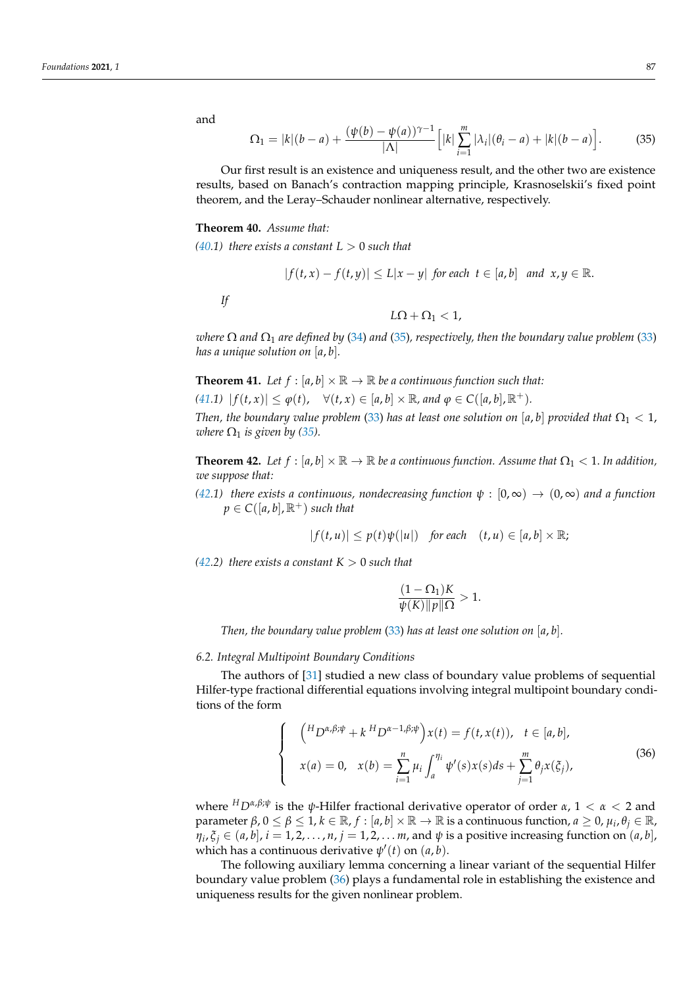and

<span id="page-24-1"></span>
$$
\Omega_1 = |k|(b-a) + \frac{(\psi(b) - \psi(a))^{\gamma - 1}}{|\Lambda|} \Big[ |k| \sum_{i=1}^m |\lambda_i| (\theta_i - a) + |k|(b-a) \Big]. \tag{35}
$$

Our first result is an existence and uniqueness result, and the other two are existence results, based on Banach's contraction mapping principle, Krasnoselskii's fixed point theorem, and the Leray–Schauder nonlinear alternative, respectively.

<span id="page-24-0"></span>**Theorem 40.** *Assume that:*

*If*

 $(40.1)$  $(40.1)$  *there exists a constant*  $L > 0$  *such that* 

 $|f(t, x) - f(t, y)| \le L|x - y|$  *for each*  $t \in [a, b]$  *and*  $x, y \in \mathbb{R}$ .  $L\Omega + \Omega_1 < 1$ ,

*where*  $\Omega$  *and*  $\Omega_1$  *are defined by* [\(34\)](#page-23-2) *and* [\(35\)](#page-24-1)*, respectively, then the boundary value problem* [\(33\)](#page-23-0) *has a unique solution on* [*a*, *b*]*.*

<span id="page-24-2"></span>**Theorem 41.** Let  $f : [a, b] \times \mathbb{R} \to \mathbb{R}$  be a continuous function such that:

 $(41.1)$  $(41.1)$   $|f(t, x)| \leq \varphi(t)$ ,  $\forall (t, x) \in [a, b] \times \mathbb{R}$ , and  $\varphi \in C([a, b], \mathbb{R}^+)$ .

*Then, the boundary value problem* [\(33\)](#page-23-0) *has at least one solution on* [*a*, *b*] *provided that*  $\Omega_1 < 1$ *, where*  $\Omega_1$  *is given by* [\(35\)](#page-24-1)*.* 

<span id="page-24-3"></span>**Theorem 42.** Let  $f : [a, b] \times \mathbb{R} \to \mathbb{R}$  be a continuous function. Assume that  $\Omega_1 < 1$ . In addition, *we suppose that:*

*[\(42.](#page-24-3)1) there exists a continuous, nondecreasing function*  $\psi : [0, \infty) \to (0, \infty)$  *and a function*  $p \in C([a, b], \mathbb{R}^+)$  *such that* 

$$
|f(t, u)| \le p(t)\psi(|u|) \quad \text{for each} \quad (t, u) \in [a, b] \times \mathbb{R};
$$

*[\(42.](#page-24-3)2) there exists a constant*  $K > 0$  *such that* 

$$
\frac{(1 - \Omega_1)K}{\psi(K)\|p\|\Omega} > 1.
$$

*Then, the boundary value problem* [\(33\)](#page-23-0) *has at least one solution on* [*a*, *b*]*.*

#### *6.2. Integral Multipoint Boundary Conditions*

The authors of [\[31\]](#page-35-11) studied a new class of boundary value problems of sequential Hilfer-type fractional differential equations involving integral multipoint boundary conditions of the form

<span id="page-24-4"></span>
$$
\begin{cases}\n\left(\begin{aligned}\nH_D \alpha, & \beta; \psi + k \, H_D \alpha - 1, & \beta; \psi \\
x(a) = 0, & x(b) = \sum_{i=1}^n \mu_i \int_a^{\eta_i} \psi'(s) x(s) ds + \sum_{j=1}^m \theta_j x(\xi_j),\n\end{aligned}\right. \\
\text{(36)}
$$

where *<sup>H</sup>Dα*,*β*;*<sup>ψ</sup>* is the *ψ*-Hilfer fractional derivative operator of order *α*, 1 < *α* < 2 and  $\beta, 0 \leq \beta \leq 1, k \in \mathbb{R}, f : [a, b] \times \mathbb{R} \to \mathbb{R}$  is a continuous function,  $a \geq 0$ ,  $\mu_i, \theta_j \in \mathbb{R}$ ,  $\eta_i, \xi_j \in (a, b], i = 1, 2, \ldots, n, j = 1, 2, \ldots, m$ , and  $\psi$  is a positive increasing function on  $(a, b],$ which has a continuous derivative  $\psi'(t)$  on  $(a, b)$ .

The following auxiliary lemma concerning a linear variant of the sequential Hilfer boundary value problem [\(36\)](#page-24-4) plays a fundamental role in establishing the existence and uniqueness results for the given nonlinear problem.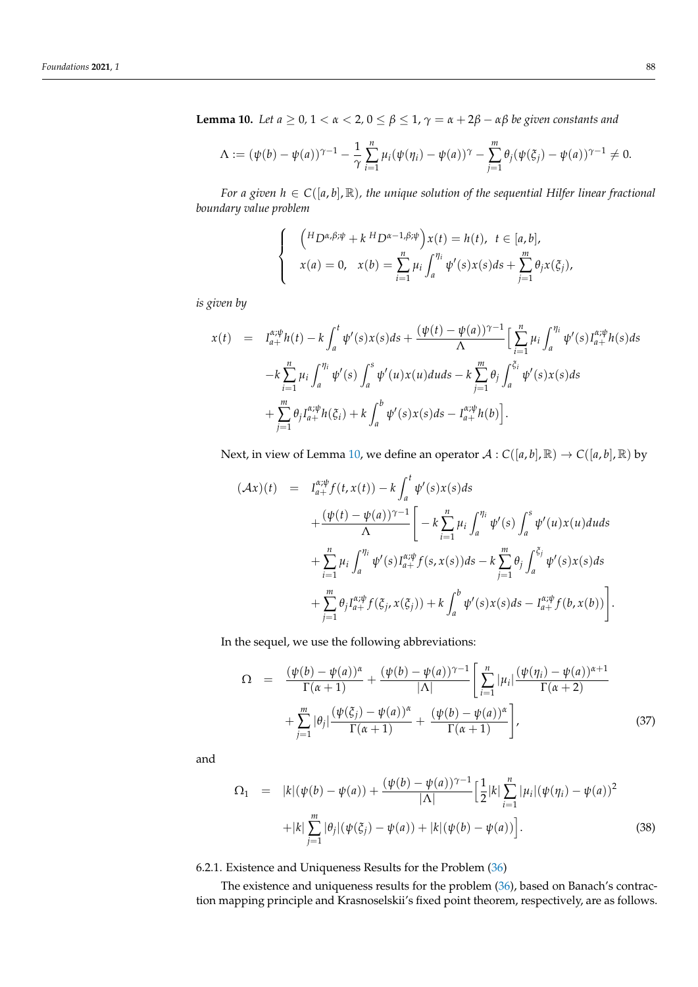<span id="page-25-0"></span>**Lemma 10.** *Let a*  $\geq 0$ , 1 <  $\alpha$  < 2, 0  $\leq \beta \leq 1$ ,  $\gamma = \alpha + 2\beta - \alpha\beta$  *be given constants and* 

$$
\Lambda := (\psi(b) - \psi(a))^{\gamma - 1} - \frac{1}{\gamma} \sum_{i=1}^{n} \mu_i (\psi(\eta_i) - \psi(a))^{\gamma} - \sum_{j=1}^{m} \theta_j (\psi(\xi_j) - \psi(a))^{\gamma - 1} \neq 0.
$$

*For a given*  $h \in C([a, b], \mathbb{R})$ , the unique solution of the sequential Hilfer linear fractional *boundary value problem*

$$
\begin{cases}\n\left(\begin{array}{cc} {^{H}}D^{\alpha,\beta;\psi}+k\ {^{H}}D^{\alpha-1,\beta;\psi}\end{array}\right)x(t)=h(t), & t\in[a,b],\\ \nx(a)=0, & x(b)=\sum_{i=1}^{n}\mu_{i}\int_{a}^{\eta_{i}}\psi'(s)x(s)ds+\sum_{j=1}^{m}\theta_{j}x(\xi_{j}),\n\end{cases}
$$

*is given by*

$$
x(t) = I_{a+}^{\alpha;\psi}h(t) - k \int_{a}^{t} \psi'(s)x(s)ds + \frac{(\psi(t) - \psi(a))^{\gamma-1}}{\Lambda} \Big[ \sum_{i=1}^{n} \mu_{i} \int_{a}^{\eta_{i}} \psi'(s)I_{a+}^{\alpha;\psi}h(s)ds - k \sum_{i=1}^{n} \mu_{i} \int_{a}^{\eta_{i}} \psi'(s) \int_{a}^{s} \psi'(u)x(u)du ds - k \sum_{j=1}^{m} \theta_{j} \int_{a}^{\xi_{i}} \psi'(s)x(s)ds + \sum_{j=1}^{m} \theta_{j} I_{a+}^{\alpha;\psi}h(\xi_{i}) + k \int_{a}^{b} \psi'(s)x(s)ds - I_{a+}^{\alpha;\psi}h(b) \Big].
$$

Next, in view of Lemma [10,](#page-25-0) we define an operator  $A: C([a, b], \mathbb{R}) \to C([a, b], \mathbb{R})$  by

$$
(Ax)(t) = I_{a+}^{x;\psi} f(t, x(t)) - k \int_{a}^{t} \psi'(s) x(s) ds
$$
  
+ 
$$
\frac{(\psi(t) - \psi(a))^{\gamma - 1}}{\Lambda} \left[ -k \sum_{i=1}^{n} \mu_i \int_{a}^{\eta_i} \psi'(s) \int_{a}^{s} \psi'(u) x(u) du ds \right.
$$
  
+ 
$$
\sum_{i=1}^{n} \mu_i \int_{a}^{\eta_i} \psi'(s) I_{a+}^{x;\psi} f(s, x(s)) ds - k \sum_{j=1}^{m} \theta_j \int_{a}^{\xi_j} \psi'(s) x(s) ds
$$
  
+ 
$$
\sum_{j=1}^{m} \theta_j I_{a+}^{x;\psi} f(\xi_j, x(\xi_j)) + k \int_{a}^{b} \psi'(s) x(s) ds - I_{a+}^{x;\psi} f(b, x(b)) \right].
$$

In the sequel, we use the following abbreviations:

<span id="page-25-1"></span>
$$
\Omega = \frac{(\psi(b) - \psi(a))^{\alpha}}{\Gamma(\alpha + 1)} + \frac{(\psi(b) - \psi(a))^{\gamma - 1}}{|\Lambda|} \left[ \sum_{i=1}^{n} |\mu_i| \frac{(\psi(\eta_i) - \psi(a))^{\alpha + 1}}{\Gamma(\alpha + 2)} + \sum_{j=1}^{m} |\theta_j| \frac{(\psi(\xi_j) - \psi(a))^{\alpha}}{\Gamma(\alpha + 1)} + \frac{(\psi(b) - \psi(a))^{\alpha}}{\Gamma(\alpha + 1)} \right],
$$
\n(37)

and

<span id="page-25-2"></span>
$$
\Omega_1 = |k|(\psi(b) - \psi(a)) + \frac{(\psi(b) - \psi(a))^{\gamma - 1}}{|\Lambda|} \Big[\frac{1}{2}|k|\sum_{i=1}^n |\mu_i|(\psi(\eta_i) - \psi(a))^2 + |k|\sum_{j=1}^m |\theta_j|(\psi(\xi_j) - \psi(a)) + |k|(\psi(b) - \psi(a))\Big].
$$
\n(38)

# 6.2.1. Existence and Uniqueness Results for the Problem [\(36\)](#page-24-4)

The existence and uniqueness results for the problem [\(36\)](#page-24-4), based on Banach's contraction mapping principle and Krasnoselskii's fixed point theorem, respectively, are as follows.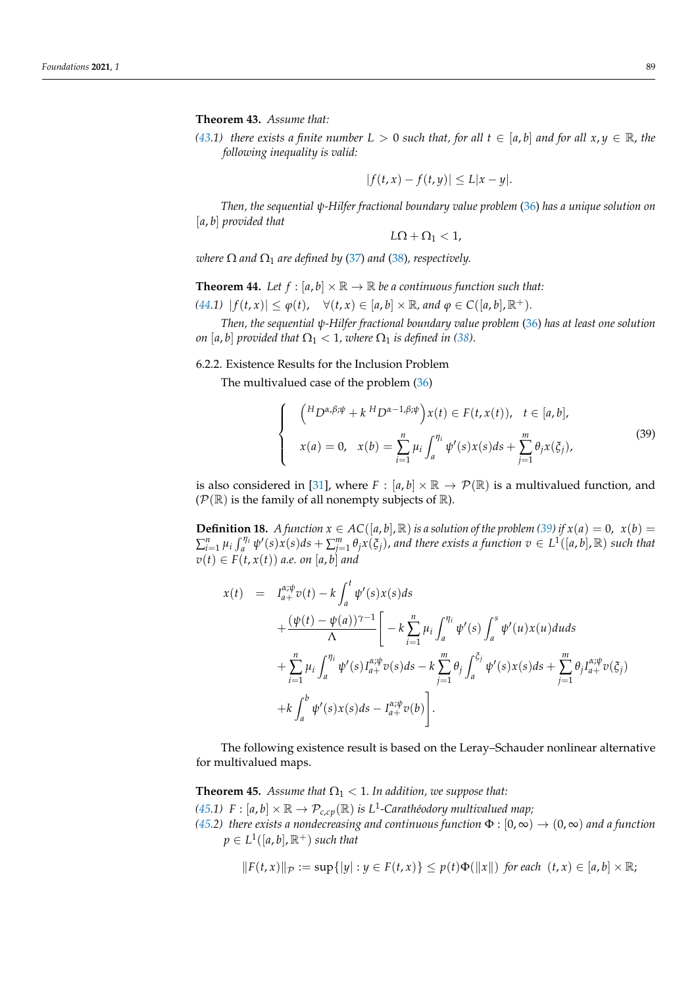<span id="page-26-0"></span>**Theorem 43.** *Assume that:*

*[\(43.](#page-26-0)1) there exists a finite number*  $L > 0$  *such that, for all*  $t \in [a, b]$  *and for all*  $x, y \in \mathbb{R}$ *, the following inequality is valid:*

$$
|f(t,x) - f(t,y)| \le L|x - y|.
$$

*Then, the sequential ψ-Hilfer fractional boundary value problem* [\(36\)](#page-24-4) *has a unique solution on* [*a*, *b*] *provided that*

$$
L\Omega+\Omega_1<1,
$$

*where*  $\Omega$  *and*  $\Omega_1$  *are defined by* [\(37\)](#page-25-1) *and* [\(38\)](#page-25-2)*, respectively.* 

<span id="page-26-1"></span>**Theorem 44.** Let  $f : [a, b] \times \mathbb{R} \to \mathbb{R}$  be a continuous function such that:

 $(44.1)$  $(44.1)$   $| f(t, x) | \leq \varphi(t), \quad \forall (t, x) \in [a, b] \times \mathbb{R}, \text{ and } \varphi \in C([a, b], \mathbb{R}^+).$ 

*Then, the sequential ψ-Hilfer fractional boundary value problem* [\(36\)](#page-24-4) *has at least one solution on* [a, b] provided that  $\Omega_1 < 1$ , where  $\Omega_1$  is defined in [\(38\)](#page-25-2).

6.2.2. Existence Results for the Inclusion Problem

The multivalued case of the problem [\(36\)](#page-24-4)

<span id="page-26-2"></span>
$$
\begin{cases}\n\left(\begin{aligned}\nH_D \alpha, & \beta; \psi + k \, H_D \alpha - 1, & \beta; \psi \\
x(a) &= 0, \quad x(b) = \sum_{i=1}^n \mu_i \int_a^{\eta_i} \psi'(s) x(s) ds + \sum_{j=1}^m \theta_j x(\xi_j),\n\end{aligned}\right. \\
\tag{39}
$$

is also considered in [\[31\]](#page-35-11), where  $F : [a, b] \times \mathbb{R} \to \mathcal{P}(\mathbb{R})$  is a multivalued function, and  $(\mathcal{P}(\mathbb{R})$  is the family of all nonempty subjects of  $\mathbb{R}$ ).

**Definition 18.** *A function*  $x \in AC([a, b], \mathbb{R})$  *is a solution of the problem* [\(39\)](#page-26-2) *if*  $x(a) = 0$ ,  $x(b) =$  $\sum_{i=1}^n \mu_i \int_a^{\eta_i} \psi'(s) x(s) ds + \sum_{j=1}^m \theta_j x(\xi_j)$ , and there exists a function  $v \in L^1([a, b], \mathbb{R})$  such that  $v(t) \in F(t, x(t))$  *a.e.* on [a, b] and

$$
x(t) = I_{a+}^{\alpha;\psi}v(t) - k \int_{a}^{t} \psi'(s)x(s)ds + \frac{(\psi(t) - \psi(a))^{\gamma-1}}{\Lambda} \left[ -k \sum_{i=1}^{n} \mu_{i} \int_{a}^{\eta_{i}} \psi'(s) \int_{a}^{s} \psi'(u)x(u)du ds + \sum_{i=1}^{n} \mu_{i} \int_{a}^{\eta_{i}} \psi'(s)I_{a+}^{\alpha;\psi}v(s)ds - k \sum_{j=1}^{m} \theta_{j} \int_{a}^{\xi_{j}} \psi'(s)x(s)ds + \sum_{j=1}^{m} \theta_{j}I_{a+}^{\alpha;\psi}v(\xi_{j}) + k \int_{a}^{b} \psi'(s)x(s)ds - I_{a+}^{\alpha;\psi}v(b) \right].
$$

The following existence result is based on the Leray–Schauder nonlinear alternative for multivalued maps.

<span id="page-26-3"></span>**Theorem 45.** *Assume that*  $\Omega_1 < 1$ *. In addition, we suppose that:* [\(45.](#page-26-3)1)  $F : [a, b] \times \mathbb{R} \to \mathcal{P}_{c,cp}(\mathbb{R})$  *is L*<sup>1</sup>-Carathéodory multivalued map; *[\(45.](#page-26-3)2) there exists a nondecreasing and continuous function*  $\Phi$  :  $[0,\infty) \to (0,\infty)$  *and a function*  $p \in L^1([a, b], \mathbb{R}^+)$  *such that* 

$$
||F(t,x)||_{\mathcal{P}} := \sup\{|y| : y \in F(t,x)\} \leq p(t)\Phi(||x||)
$$
 for each  $(t,x) \in [a,b] \times \mathbb{R}$ ;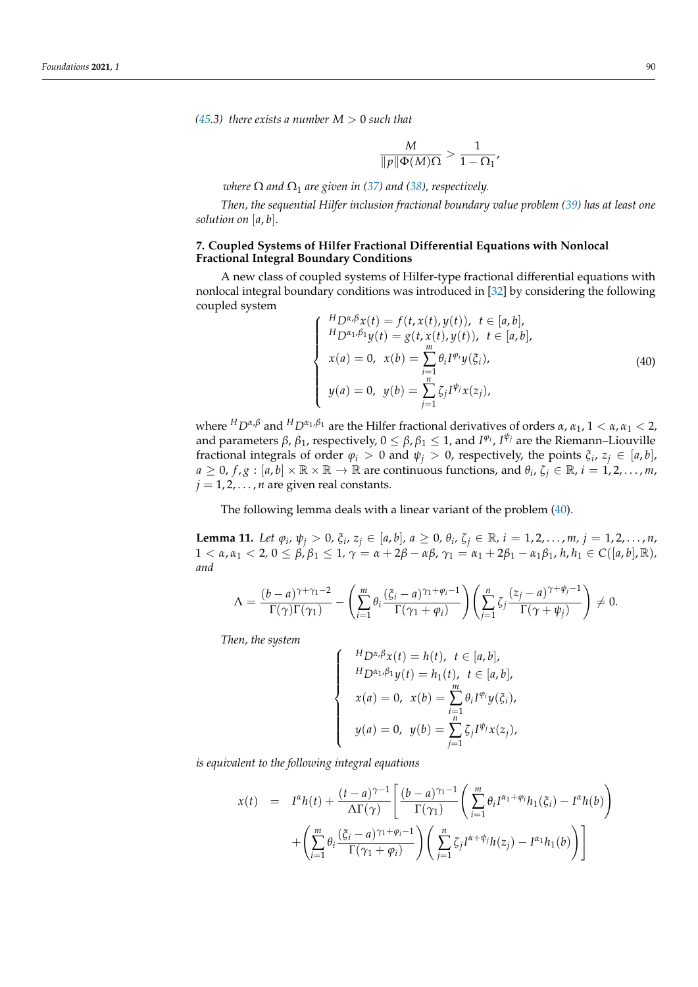*[\(45.](#page-26-3)3) there exists a number*  $M > 0$  *such that* 

$$
\frac{M}{\|p\|\Phi(M)\Omega} > \frac{1}{1-\Omega_1},
$$

*where*  $\Omega$  *and*  $\Omega_1$  *are given in* [\(37\)](#page-25-1) *and* [\(38\)](#page-25-2), *respectively.* 

*Then, the sequential Hilfer inclusion fractional boundary value problem [\(39\)](#page-26-2) has at least one solution on* [*a*, *b*].

#### **7. Coupled Systems of Hilfer Fractional Differential Equations with Nonlocal Fractional Integral Boundary Conditions**

A new class of coupled systems of Hilfer-type fractional differential equations with nonlocal integral boundary conditions was introduced in [\[32\]](#page-35-12) by considering the following coupled system

<span id="page-27-0"></span>
$$
\begin{cases}\nH D^{\alpha,\beta} x(t) = f(t, x(t), y(t)), \ t \in [a, b], \\
H D^{\alpha_1,\beta_1} y(t) = g(t, x(t), y(t)), \ t \in [a, b], \\
x(a) = 0, \ x(b) = \sum_{i=1}^{m} \theta_i I^{\varphi_i} y(\xi_i), \\
y(a) = 0, \ y(b) = \sum_{j=1}^{n} \zeta_j I^{\psi_j} x(z_j),\n\end{cases} (40)
$$

where *<sup>H</sup>Dα*,*<sup>β</sup>* and *<sup>H</sup>Dα*<sup>1</sup> ,*β*<sup>1</sup> are the Hilfer fractional derivatives of orders *α*, *α*1, 1 < *α*, *α*<sup>1</sup> < 2, and parameters  $\beta$ ,  $\beta_1$ , respectively,  $0 \leq \beta$ ,  $\beta_1 \leq 1$ , and  $I^{\varphi_i}$ ,  $I^{\psi_j}$  are the Riemann–Liouville fractional integrals of order  $\varphi_i > 0$  and  $\psi_j > 0$ , respectively, the points  $\xi_i$ ,  $z_j \in [a, b]$ ,  $a \geq 0$ ,  $f$ ,  $g : [a, b] \times \mathbb{R} \times \mathbb{R} \to \mathbb{R}$  are continuous functions, and  $\theta_i$ ,  $\zeta_i \in \mathbb{R}$ ,  $i = 1, 2, ..., m$ ,  $j = 1, 2, \ldots, n$  are given real constants.

The following lemma deals with a linear variant of the problem [\(40\)](#page-27-0).

<span id="page-27-1"></span>**Lemma 11.** Let  $\varphi_i$ ,  $\psi_j > 0$ ,  $\xi_i$ ,  $z_j \in [a, b]$ ,  $a \ge 0$ ,  $\theta_i$ ,  $\zeta_j \in \mathbb{R}$ ,  $i = 1, 2, ..., m$ ,  $j = 1, 2, ..., n$ ,  $1 < \alpha, \alpha_1 < 2, 0 \le \beta, \beta_1 \le 1, \gamma = \alpha + 2\beta - \alpha\beta, \gamma_1 = \alpha_1 + 2\beta_1 - \alpha_1\beta_1, h, h_1 \in C([a, b], \mathbb{R}),$ *and*

$$
\Lambda = \frac{(b-a)^{\gamma+\gamma_1-2}}{\Gamma(\gamma)\Gamma(\gamma_1)} - \left(\sum_{i=1}^m \theta_i \frac{(\xi_i-a)^{\gamma_1+\varphi_i-1}}{\Gamma(\gamma_1+\varphi_i)}\right) \left(\sum_{j=1}^n \zeta_j \frac{(z_j-a)^{\gamma+\psi_j-1}}{\Gamma(\gamma+\psi_j)}\right) \neq 0.
$$

*Then, the system*

$$
\begin{cases}\nH_{D}^{\alpha,\beta}x(t) = h(t), \ t \in [a,b], \\
H_{D}^{\alpha_{1},\beta_{1}}y(t) = h_{1}(t), \ t \in [a,b], \\
x(a) = 0, \ x(b) = \sum_{i=1}^{m} \theta_{i}I^{\varphi_{i}}y(\xi_{i}), \\
y(a) = 0, \ y(b) = \sum_{j=1}^{n} \zeta_{j}I^{\psi_{j}}x(z_{j}),\n\end{cases}
$$

*is equivalent to the following integral equations*

$$
x(t) = I^{\alpha}h(t) + \frac{(t-a)^{\gamma-1}}{\Lambda\Gamma(\gamma)} \left[ \frac{(b-a)^{\gamma-1}}{\Gamma(\gamma)} \left( \sum_{i=1}^{m} \theta_i I^{\alpha+1+\varphi_i} h_1(\xi_i) - I^{\alpha}h(b) \right) + \left( \sum_{i=1}^{m} \theta_i \frac{(\xi_i - a)^{\gamma+1+\varphi_i-1}}{\Gamma(\gamma+1+\varphi_i)} \right) \left( \sum_{j=1}^{n} \zeta_j I^{\alpha+1+\varphi_j}h(z_j) - I^{\alpha}h_1(b) \right) \right]
$$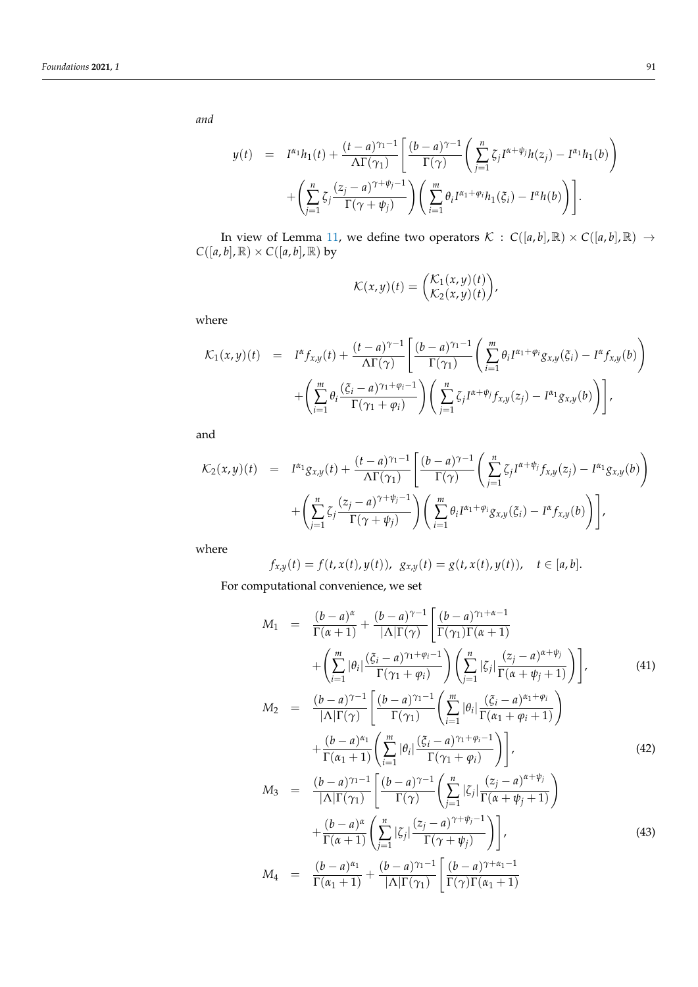*and*

$$
y(t) = I^{\alpha_1}h_1(t) + \frac{(t-a)^{\gamma_1-1}}{\Lambda\Gamma(\gamma_1)} \left[ \frac{(b-a)^{\gamma-1}}{\Gamma(\gamma)} \left( \sum_{j=1}^n \zeta_j I^{\alpha+\psi_j} h(z_j) - I^{\alpha_1} h_1(b) \right) + \left( \sum_{j=1}^n \zeta_j \frac{(z_j-a)^{\gamma+\psi_j-1}}{\Gamma(\gamma+\psi_j)} \right) \left( \sum_{i=1}^m \theta_i I^{\alpha_1+\phi_i} h_1(\zeta_i) - I^{\alpha} h(b) \right) \right].
$$

In view of Lemma [11,](#page-27-1) we define two operators  $K : C([a, b], \mathbb{R}) \times C([a, b], \mathbb{R}) \rightarrow$  $C([a, b], \mathbb{R}) \times C([a, b], \mathbb{R})$  by

$$
\mathcal{K}(x,y)(t) = \begin{pmatrix} \mathcal{K}_1(x,y)(t) \\ \mathcal{K}_2(x,y)(t) \end{pmatrix},
$$

where

$$
\mathcal{K}_1(x,y)(t) = I^{\alpha} f_{x,y}(t) + \frac{(t-a)^{\gamma-1}}{\Lambda \Gamma(\gamma)} \left[ \frac{(b-a)^{\gamma-1}}{\Gamma(\gamma_1)} \left( \sum_{i=1}^m \theta_i I^{\alpha_1+\varphi_i} g_{x,y}(\xi_i) - I^{\alpha} f_{x,y}(b) \right) + \left( \sum_{i=1}^m \theta_i \frac{(\xi_i-a)^{\gamma_1+\varphi_i-1}}{\Gamma(\gamma_1+\varphi_i)} \right) \left( \sum_{j=1}^n \zeta_j I^{\alpha+\psi_j} f_{x,y}(z_j) - I^{\alpha_1} g_{x,y}(b) \right) \right],
$$

and

$$
\mathcal{K}_2(x,y)(t) = I^{\alpha_1}g_{x,y}(t) + \frac{(t-a)^{\gamma_1-1}}{\Lambda\Gamma(\gamma_1)} \left[ \frac{(b-a)^{\gamma-1}}{\Gamma(\gamma)} \left( \sum_{j=1}^n \zeta_j I^{\alpha+\psi_j} f_{x,y}(z_j) - I^{\alpha_1} g_{x,y}(b) \right) + \left( \sum_{j=1}^n \zeta_j \frac{(z_j-a)^{\gamma+\psi_j-1}}{\Gamma(\gamma+\psi_j)} \right) \left( \sum_{i=1}^m \theta_i I^{\alpha_1+\phi_i} g_{x,y}(\xi_i) - I^{\alpha} f_{x,y}(b) \right) \right],
$$

where

$$
f_{x,y}(t) = f(t, x(t), y(t)), \ g_{x,y}(t) = g(t, x(t), y(t)), \quad t \in [a, b].
$$

For computational convenience, we set

<span id="page-28-0"></span>
$$
M_1 = \frac{(b-a)^{\alpha}}{\Gamma(\alpha+1)} + \frac{(b-a)^{\gamma-1}}{|\Lambda|\Gamma(\gamma)} \left[ \frac{(b-a)^{\gamma_1+\alpha-1}}{\Gamma(\gamma_1)\Gamma(\alpha+1)} + \left( \sum_{i=1}^{m} |\theta_i| \frac{(\xi_i - a)^{\gamma_1+\varphi_i-1}}{\Gamma(\gamma_1+\varphi_i)} \right) \left( \sum_{j=1}^{n} |\zeta_j| \frac{(z_j - a)^{\alpha+\psi_j}}{\Gamma(\alpha+\psi_j+1)} \right) \right],
$$
\n
$$
M_2 = \frac{(b-a)^{\gamma-1}}{|\Lambda|\Gamma(\gamma)} \left[ \frac{(b-a)^{\gamma_1-1}}{\Gamma(\gamma_1)} \left( \sum_{i=1}^{m} |\theta_i| \frac{(\xi_i - a)^{\alpha_1+\varphi_i}}{\Gamma(\alpha_1+\varphi_i+1)} \right) + \frac{(b-a)^{\alpha_1}}{\Gamma(\alpha_1+1)} \left( \sum_{i=1}^{m} |\theta_i| \frac{(\xi_i - a)^{\gamma_1+\varphi_i-1}}{\Gamma(\gamma_1+\varphi_i)} \right) \right],
$$
\n
$$
(42)
$$
\n
$$
M_1 = \frac{(b-a)^{\gamma_1-1}}{(b-a)^{\gamma_1-1}} \left[ \frac{(b-a)^{\gamma-1}}{\Gamma(\gamma_1+\varphi_i+1)} \frac{(\xi_i - a)^{\alpha+\psi_j}}{\Gamma(\gamma_1+\varphi_i+1)} \right],
$$

$$
M_3 = \frac{(b-a)^{n-1}}{|\Lambda|\Gamma(\gamma_1)} \left[ \frac{(b-a)^{r-1}}{\Gamma(\gamma)} \left( \sum_{j=1}^n |\zeta_j| \frac{(z_j - a)^{n+1}}{\Gamma(\alpha + \psi_j + 1)} \right) + \frac{(b-a)^{\alpha}}{\Gamma(\alpha + 1)} \left( \sum_{j=1}^n |\zeta_j| \frac{(z_j - a)^{\gamma + \psi_j - 1}}{\Gamma(\gamma + \psi_j)} \right) \right],
$$
\n
$$
M_4 = \frac{(b-a)^{\alpha_1}}{\Gamma(\alpha_1 + 1)} + \frac{(b-a)^{\gamma_1 - 1}}{|\Lambda|\Gamma(\gamma_1)} \left[ \frac{(b-a)^{\gamma + \alpha_1 - 1}}{\Gamma(\gamma)\Gamma(\alpha_1 + 1)} \right]
$$
\n
$$
(43)
$$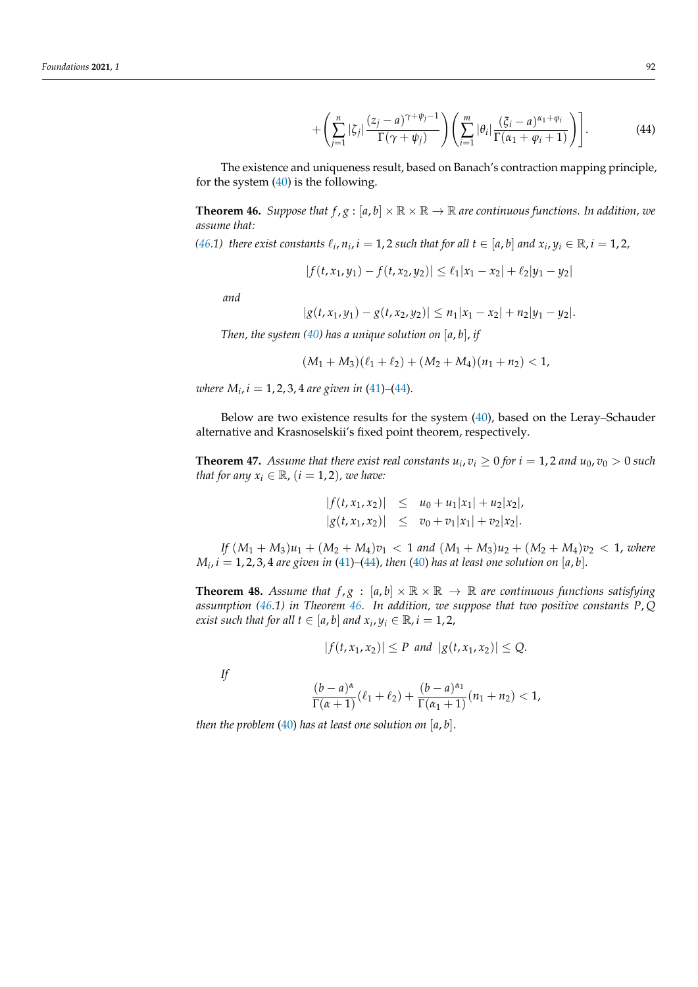$$
+\left(\sum_{j=1}^n|\zeta_j|\frac{(z_j-a)^{\gamma+\psi_j-1}}{\Gamma(\gamma+\psi_j)}\right)\left(\sum_{i=1}^m|\theta_i|\frac{(\zeta_i-a)^{\alpha_1+\phi_i}}{\Gamma(\alpha_1+\phi_i+1)}\right)\right].\tag{44}
$$

The existence and uniqueness result, based on Banach's contraction mapping principle, for the system  $(40)$  is the following.

<span id="page-29-0"></span>**Theorem 46.** *Suppose that*  $f, g : [a, b] \times \mathbb{R} \times \mathbb{R} \to \mathbb{R}$  *are continuous functions. In addition, we assume that:*

*[\(46.](#page-29-0)1) there exist constants*  $\ell_i$ ,  $n_i$ ,  $i = 1, 2$  *such that for all*  $t \in [a, b]$  *and*  $x_i$ ,  $y_i \in \mathbb{R}$ ,  $i = 1, 2$ ,

$$
|f(t, x_1, y_1) - f(t, x_2, y_2)| \le \ell_1 |x_1 - x_2| + \ell_2 |y_1 - y_2|
$$

*and*

$$
|g(t,x_1,y_1)-g(t,x_2,y_2)|\leq n_1|x_1-x_2|+n_2|y_1-y_2|.
$$

*Then, the system [\(40\)](#page-27-0) has a unique solution on* [*a*, *b*], *if*

$$
(M_1+M_3)(\ell_1+\ell_2)+(M_2+M_4)(n_1+n_2)<1,
$$

*where*  $M_i$ ,  $i = 1, 2, 3, 4$  are given in [\(41\)](#page-28-0)–[\(44\)](#page-28-0).

Below are two existence results for the system [\(40\)](#page-27-0), based on the Leray–Schauder alternative and Krasnoselskii's fixed point theorem, respectively.

**Theorem 47.** Assume that there exist real constants  $u_i$ ,  $v_i \geq 0$  for  $i = 1, 2$  and  $u_0$ ,  $v_0 > 0$  such *that for any*  $x_i \in \mathbb{R}$ ,  $(i = 1, 2)$ , we have:

$$
|f(t, x_1, x_2)| \leq u_0 + u_1 |x_1| + u_2 |x_2|,
$$
  
\n
$$
|g(t, x_1, x_2)| \leq v_0 + v_1 |x_1| + v_2 |x_2|.
$$

*If*  $(M_1 + M_3)u_1 + (M_2 + M_4)v_1 < 1$  and  $(M_1 + M_3)u_2 + (M_2 + M_4)v_2 < 1$ , where  $M_i$ ,  $i = 1, 2, 3, 4$  are given in [\(41\)](#page-28-0)–[\(44\)](#page-28-0), then [\(40\)](#page-27-0) has at least one solution on  $[a, b]$ .

**Theorem 48.** Assume that  $f, g : [a, b] \times \mathbb{R} \times \mathbb{R} \to \mathbb{R}$  are continuous functions satisfying *assumption [\(46.](#page-29-0)1) in Theorem [46.](#page-29-0) In addition, we suppose that two positive constants P*, *Q exist such that for all*  $t \in [a, b]$  *and*  $x_i, y_i \in \mathbb{R}$ *,*  $i = 1, 2$ *,* 

$$
|f(t, x_1, x_2)| \le P \text{ and } |g(t, x_1, x_2)| \le Q.
$$

*If*

$$
\frac{(b-a)^{\alpha}}{\Gamma(\alpha+1)}(\ell_1+\ell_2)+\frac{(b-a)^{\alpha_1}}{\Gamma(\alpha_1+1)}(n_1+n_2)<1,
$$

*then the problem* [\(40\)](#page-27-0) *has at least one solution on* [*a*, *b*].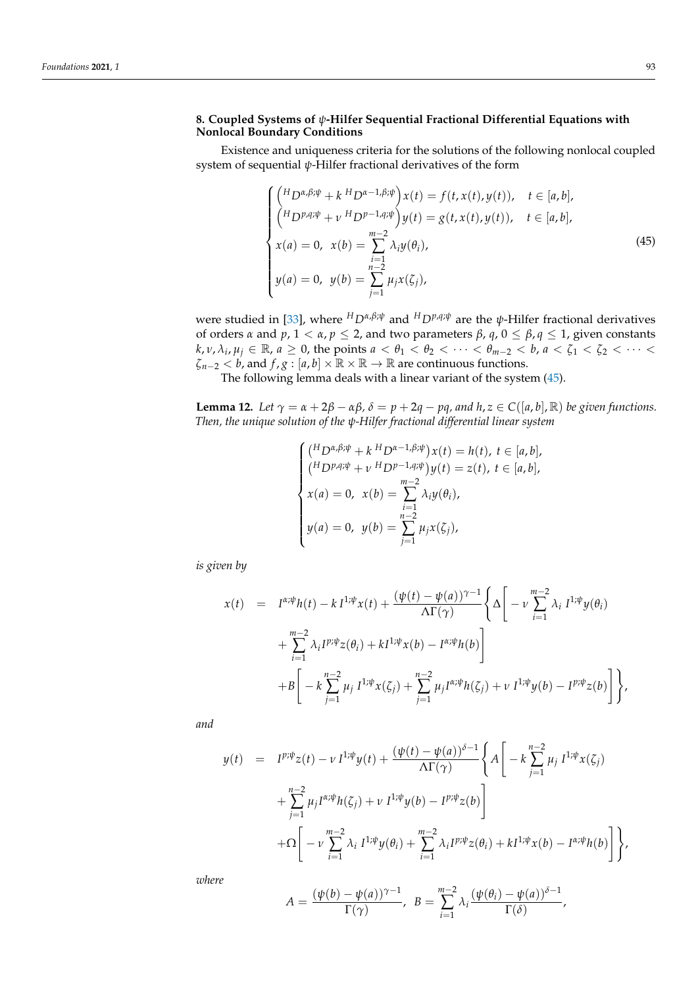# **8. Coupled Systems of** *ψ***-Hilfer Sequential Fractional Differential Equations with Nonlocal Boundary Conditions**

Existence and uniqueness criteria for the solutions of the following nonlocal coupled system of sequential *ψ*-Hilfer fractional derivatives of the form

<span id="page-30-0"></span>
$$
\begin{cases}\n\left(\n\begin{aligned}\nH_D \alpha, & \beta; \psi + k \, H_D \alpha - 1, & \beta; \psi \\
\left(H_D \gamma, & \psi + \psi \, H_D \gamma - 1, & \eta; \psi\n\end{aligned}\n\right)\n\right) x(t) = f(t, x(t), y(t)), \quad t \in [a, b], \\
x(a) = 0, \quad x(b) = \sum_{i=1}^{m-2} \lambda_i y(\theta_i), \\
y(a) = 0, \quad y(b) = \sum_{j=1}^{n-2} \mu_j x(\zeta_j),\n\end{cases} \tag{45}
$$

were studied in [\[33\]](#page-35-13), where *<sup>H</sup>Dα*,*β*;*<sup>ψ</sup>* and *<sup>H</sup>Dp*,*q*;*<sup>ψ</sup>* are the *ψ*-Hilfer fractional derivatives of orders *α* and *p*, 1 < *α*, *p* ≤ 2, and two parameters *β*, *q*, 0 ≤ *β*, *q* ≤ 1, given constants  $k$ ,  $v$ ,  $\lambda_i$ ,  $\mu_j \in \mathbb{R}$ ,  $a \ge 0$ , the points  $a < \theta_1 < \theta_2 < \cdots < \theta_{m-2} < b$ ,  $a < \zeta_1 < \zeta_2 < \cdots < \zeta_m$  $\zeta_{n-2} < b$ , and  $f$ ,  $g : [a, b] \times \mathbb{R} \times \mathbb{R} \to \mathbb{R}$  are continuous functions.

The following lemma deals with a linear variant of the system [\(45\)](#page-30-0).

<span id="page-30-1"></span>**Lemma 12.** *Let*  $\gamma = \alpha + 2\beta - \alpha\beta$ ,  $\delta = p + 2q - pq$ , and  $h, z \in C([a, b], \mathbb{R})$  *be given functions. Then, the unique solution of the ψ-Hilfer fractional differential linear system*

$$
\begin{cases}\n\binom{H_{D^{\alpha,\beta;\psi}}+k H_{D^{\alpha-1,\beta;\psi}}}{\mu}x(t) = h(t), t \in [a, b], \\
\binom{H_{D^{\beta,\beta;\psi}}+ \nu H_{D^{\beta-1,\beta;\psi}}}{\mu}y(t) = z(t), t \in [a, b], \\
x(a) = 0, x(b) = \sum_{i=1}^{m-2} \lambda_i y(\theta_i), \\
y(a) = 0, y(b) = \sum_{j=1}^{n-2} \mu_j x(\zeta_j),\n\end{cases}
$$

*is given by*

$$
x(t) = I^{\alpha;\psi}h(t) - k I^{1;\psi}x(t) + \frac{(\psi(t) - \psi(a))^{\gamma-1}}{\Lambda\Gamma(\gamma)} \left\{ \Delta \left[ -\nu \sum_{i=1}^{m-2} \lambda_i I^{1;\psi}y(\theta_i) + \sum_{i=1}^{m-2} \lambda_i I^{p;\psi}z(\theta_i) + kI^{1;\psi}x(b) - I^{\alpha;\psi}h(b) \right] + B \left[ -k \sum_{j=1}^{n-2} \mu_j I^{1;\psi}x(\zeta_j) + \sum_{j=1}^{n-2} \mu_j I^{\alpha;\psi}h(\zeta_j) + \nu I^{1;\psi}y(b) - I^{p;\psi}z(b) \right] \right\},
$$

*and*

$$
y(t) = I^{p;\psi}z(t) - \nu I^{1;\psi}y(t) + \frac{(\psi(t) - \psi(a))^{\delta - 1}}{\Lambda\Gamma(\gamma)} \left\{ A \left[ -k\sum_{j=1}^{n-2} \mu_j I^{1;\psi}x(\zeta_j) + \sum_{j=1}^{n-2} \mu_j I^{\alpha;\psi}h(\zeta_j) + \nu I^{1;\psi}y(b) - I^{p;\psi}z(b) \right] + \Omega \left[ -\nu \sum_{i=1}^{m-2} \lambda_i I^{1;\psi}y(\theta_i) + \sum_{i=1}^{m-2} \lambda_i I^{p;\psi}z(\theta_i) + kI^{1;\psi}x(b) - I^{\alpha;\psi}h(b) \right] \right\},
$$

*where*

$$
A = \frac{(\psi(b) - \psi(a))^{\gamma - 1}}{\Gamma(\gamma)}, \quad B = \sum_{i=1}^{m-2} \lambda_i \frac{(\psi(\theta_i) - \psi(a))^{\delta - 1}}{\Gamma(\delta)},
$$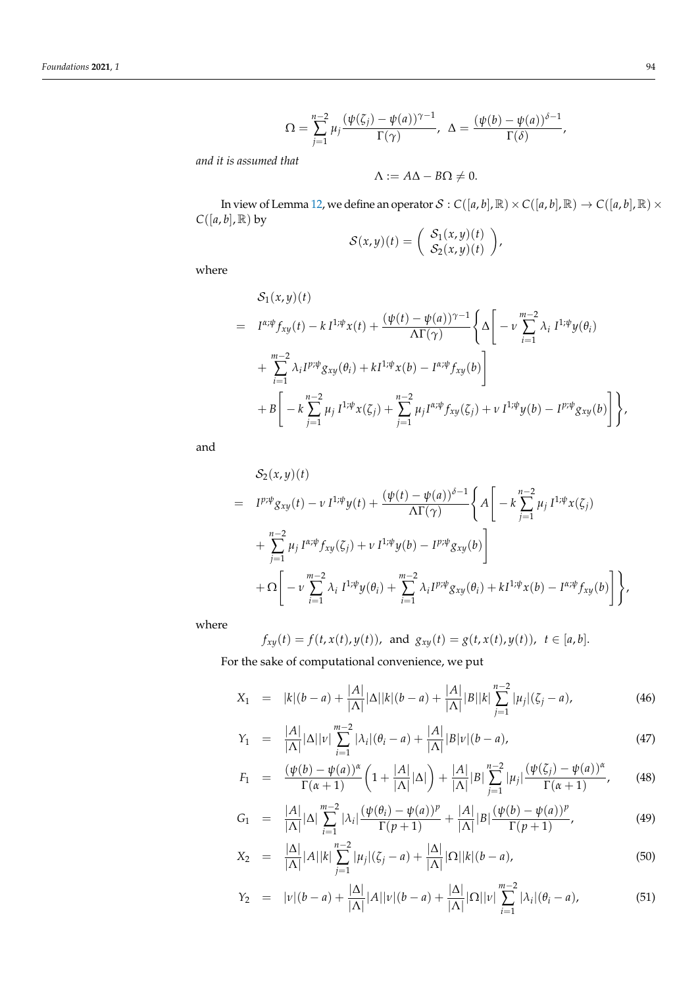$$
\Omega = \sum_{j=1}^{n-2} \mu_j \frac{(\psi(\zeta_j) - \psi(a))^{\gamma - 1}}{\Gamma(\gamma)}, \quad \Delta = \frac{(\psi(b) - \psi(a))^{\delta - 1}}{\Gamma(\delta)},
$$

*and it is assumed that*

$$
\Lambda := A\Delta - B\Omega \neq 0.
$$

In view of Lemma [12,](#page-30-1) we define an operator  $S : C([a, b], \mathbb{R}) \times C([a, b], \mathbb{R}) \to C([a, b], \mathbb{R}) \times$  $C([a, b], \mathbb{R})$  by  $\sqrt{2}$ 

$$
\mathcal{S}(x,y)(t) = \begin{pmatrix} S_1(x,y)(t) \\ S_2(x,y)(t) \end{pmatrix},
$$

where

$$
S_{1}(x,y)(t)
$$
\n
$$
= I^{\alpha;\psi}f_{xy}(t) - k I^{1;\psi}x(t) + \frac{(\psi(t) - \psi(a))^{\gamma-1}}{\Lambda\Gamma(\gamma)} \left\{ \Delta \left[ -\nu \sum_{i=1}^{m-2} \lambda_{i} I^{1;\psi}y(\theta_{i}) + \sum_{i=1}^{m-2} \lambda_{i} I^{p;\psi}g_{xy}(\theta_{i}) + k I^{1;\psi}x(b) - I^{\alpha;\psi}f_{xy}(b) \right] + B \left[ -k \sum_{j=1}^{n-2} \mu_{j} I^{1;\psi}x(\zeta_{j}) + \sum_{j=1}^{n-2} \mu_{j} I^{\alpha;\psi}f_{xy}(\zeta_{j}) + \nu I^{1;\psi}y(b) - I^{p;\psi}g_{xy}(b) \right] \right\},\
$$

and

$$
S_{2}(x,y)(t)
$$
\n
$$
= I^{p\psi}g_{xy}(t) - \nu I^{1\psi}y(t) + \frac{(\psi(t) - \psi(a))^{\delta - 1}}{\Lambda\Gamma(\gamma)} \left\{ A \left[ -k \sum_{j=1}^{n-2} \mu_{j} I^{1\psi}x(\zeta_{j}) + \sum_{j=1}^{n-2} \mu_{j} I^{\alpha\psi}f_{xy}(\zeta_{j}) + \nu I^{1\psi}y(b) - I^{p\psi}g_{xy}(b) \right] + \Omega \left[ -\nu \sum_{i=1}^{m-2} \lambda_{i} I^{1\psi}y(\theta_{i}) + \sum_{i=1}^{m-2} \lambda_{i} I^{p\psi}g_{xy}(\theta_{i}) + k I^{1\psi}x(b) - I^{\alpha\psi}f_{xy}(b) \right] \right\},\
$$

where

$$
f_{xy}(t) = f(t, x(t), y(t)),
$$
 and  $g_{xy}(t) = g(t, x(t), y(t)), t \in [a, b].$ 

For the sake of computational convenience, we put

<span id="page-31-0"></span>
$$
X_1 = |k|(b-a) + \frac{|A|}{|\Lambda|} |\Delta| |k|(b-a) + \frac{|A|}{|\Lambda|} |B||k| \sum_{j=1}^{n-2} |\mu_j| (\zeta_j - a), \tag{46}
$$

$$
Y_1 = \frac{|A|}{|\Lambda|} |\Delta| |\nu| \sum_{i=1}^{m-2} |\lambda_i| (\theta_i - a) + \frac{|A|}{|\Lambda|} |B| \nu| (b - a), \tag{47}
$$

$$
F_1 = \frac{(\psi(b) - \psi(a))^{\alpha}}{\Gamma(\alpha + 1)} \left(1 + \frac{|A|}{|\Lambda|}|\Delta|\right) + \frac{|A|}{|\Lambda|} |B| \sum_{j=1}^{n-2} |\mu_j| \frac{(\psi(\zeta_j) - \psi(a))^{\alpha}}{\Gamma(\alpha + 1)},
$$
(48)

$$
G_1 = \frac{|A|}{|\Lambda|} |\Delta| \sum_{i=1}^{m-2} |\lambda_i| \frac{(\psi(\theta_i) - \psi(a))^p}{\Gamma(p+1)} + \frac{|A|}{|\Lambda|} |B| \frac{(\psi(b) - \psi(a))^p}{\Gamma(p+1)},
$$
(49)

$$
X_2 = \frac{|\Delta|}{|\Delta|} |A||k| \sum_{j=1}^{n-2} |\mu_j| (\zeta_j - a) + \frac{|\Delta|}{|\Delta|} |\Omega||k|(b-a), \tag{50}
$$

$$
Y_2 = |v|(b-a) + \frac{|\Delta|}{|\Delta|}|A||v|(b-a) + \frac{|\Delta|}{|\Delta|}|\Omega||v|\sum_{i=1}^{m-2} |\lambda_i|(\theta_i - a), \tag{51}
$$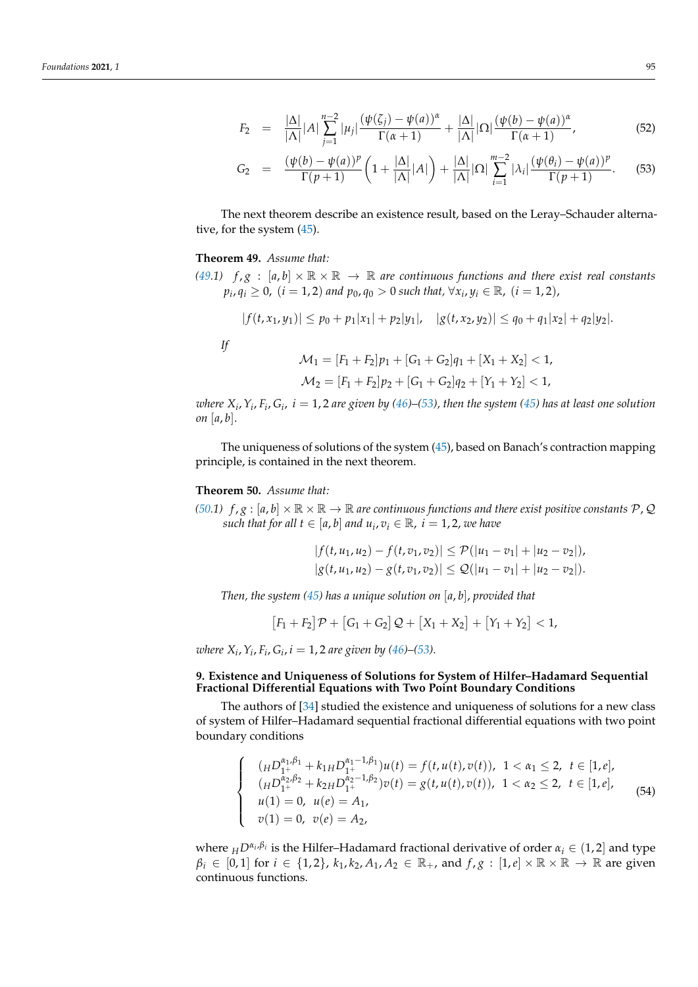$$
F_2 = \frac{|\Delta|}{|\Delta|} |A| \sum_{j=1}^{n-2} |\mu_j| \frac{(\psi(\zeta_j) - \psi(a))^{\alpha}}{\Gamma(\alpha + 1)} + \frac{|\Delta|}{|\Delta|} |\Omega| \frac{(\psi(b) - \psi(a))^{\alpha}}{\Gamma(\alpha + 1)},
$$
(52)

$$
G_2 = \frac{(\psi(b) - \psi(a))^p}{\Gamma(p+1)} \left( 1 + \frac{|\Delta|}{|\Delta|} |A| \right) + \frac{|\Delta|}{|\Delta|} |\Omega| \sum_{i=1}^{m-2} |\lambda_i| \frac{(\psi(\theta_i) - \psi(a))^p}{\Gamma(p+1)}.
$$
 (53)

The next theorem describe an existence result, based on the Leray–Schauder alternative, for the system [\(45\)](#page-30-0).

#### <span id="page-32-0"></span>**Theorem 49.** *Assume that:*

*[\(49.](#page-32-0)1)*  $f, g : [a, b] \times \mathbb{R} \times \mathbb{R} \rightarrow \mathbb{R}$  are continuous functions and there exist real constants *p*<sup>*i*</sup>, *q*<sup>*i*</sup> ≥ 0, (*i* = 1, 2) *and p*<sub>0</sub>, *q*<sub>0</sub> > 0 *such that*,  $\forall$ *x*<sub>*i*</sub>, *y*<sub>*i*</sub> ∈ ℝ, (*i* = 1, 2),

$$
|f(t, x_1, y_1)| \leq p_0 + p_1|x_1| + p_2|y_1|, \quad |g(t, x_2, y_2)| \leq q_0 + q_1|x_2| + q_2|y_2|.
$$

*If*

$$
\mathcal{M}_1 = [F_1 + F_2]p_1 + [G_1 + G_2]q_1 + [X_1 + X_2] < 1,
$$
\n
$$
\mathcal{M}_2 = [F_1 + F_2]p_2 + [G_1 + G_2]q_2 + [Y_1 + Y_2] < 1,
$$

 $\alpha$  *where*  $X_i$ ,  $Y_i$ ,  $F_i$ ,  $G_i$ ,  $i=1$ ,  $2$  are given by [\(46\)](#page-31-0)–[\(53\)](#page-31-0), then the system [\(45\)](#page-30-0) has at least one solution *on* [*a*, *b*].

The uniqueness of solutions of the system [\(45\)](#page-30-0), based on Banach's contraction mapping principle, is contained in the next theorem.

#### <span id="page-32-1"></span>**Theorem 50.** *Assume that:*

*[\(50.](#page-32-1)1)*  $f, g : [a, b] \times \mathbb{R} \times \mathbb{R} \to \mathbb{R}$  are continuous functions and there exist positive constants  $P, Q$ *such that for all*  $t \in [a, b]$  *and*  $u_i, v_i \in \mathbb{R}$ *,*  $i = 1, 2$ *, we have* 

$$
|f(t, u_1, u_2) - f(t, v_1, v_2)| \leq \mathcal{P}(|u_1 - v_1| + |u_2 - v_2|),
$$
  

$$
|g(t, u_1, u_2) - g(t, v_1, v_2)| \leq \mathcal{Q}(|u_1 - v_1| + |u_2 - v_2|).
$$

*Then, the system [\(45\)](#page-30-0) has a unique solution on* [*a*, *b*], *provided that*

$$
[F_1 + F_2]\mathcal{P} + [G_1 + G_2]\mathcal{Q} + [X_1 + X_2] + [Y_1 + Y_2] < 1,
$$

*where*  $X_i$ ,  $Y_i$ ,  $F_i$ ,  $G_i$ ,  $i = 1$ , 2 are given by [\(46\)](#page-31-0)–[\(53\)](#page-31-0).

#### **9. Existence and Uniqueness of Solutions for System of Hilfer–Hadamard Sequential Fractional Differential Equations with Two Point Boundary Conditions**

The authors of [\[34\]](#page-35-14) studied the existence and uniqueness of solutions for a new class of system of Hilfer–Hadamard sequential fractional differential equations with two point boundary conditions

<span id="page-32-2"></span>
$$
\begin{cases}\n(\mu D_{1+}^{\alpha_1,\beta_1} + k_{1H} D_{1+}^{\alpha_1-1,\beta_1})u(t) = f(t, u(t), v(t)), \ 1 < \alpha_1 \le 2, \ t \in [1, e], \\
(\mu D_{1+}^{\alpha_2,\beta_2} + k_{2H} D_{1+}^{\alpha_2-1,\beta_2})v(t) = g(t, u(t), v(t)), \ 1 < \alpha_2 \le 2, \ t \in [1, e], \\
u(1) = 0, \ u(e) = A_1, \\
v(1) = 0, \ v(e) = A_2,\n\end{cases}
$$
\n(54)

where  $_HD^{\alpha_i,\beta_i}$  is the Hilfer–Hadamard fractional derivative of order  $\alpha_i \in (1,2]$  and type  $\beta_i \in [0,1]$  for  $i \in \{1,2\}$ ,  $k_1, k_2, A_1, A_2 \in \mathbb{R}_+$ , and  $f, g : [1, e] \times \mathbb{R} \times \mathbb{R} \to \mathbb{R}$  are given continuous functions.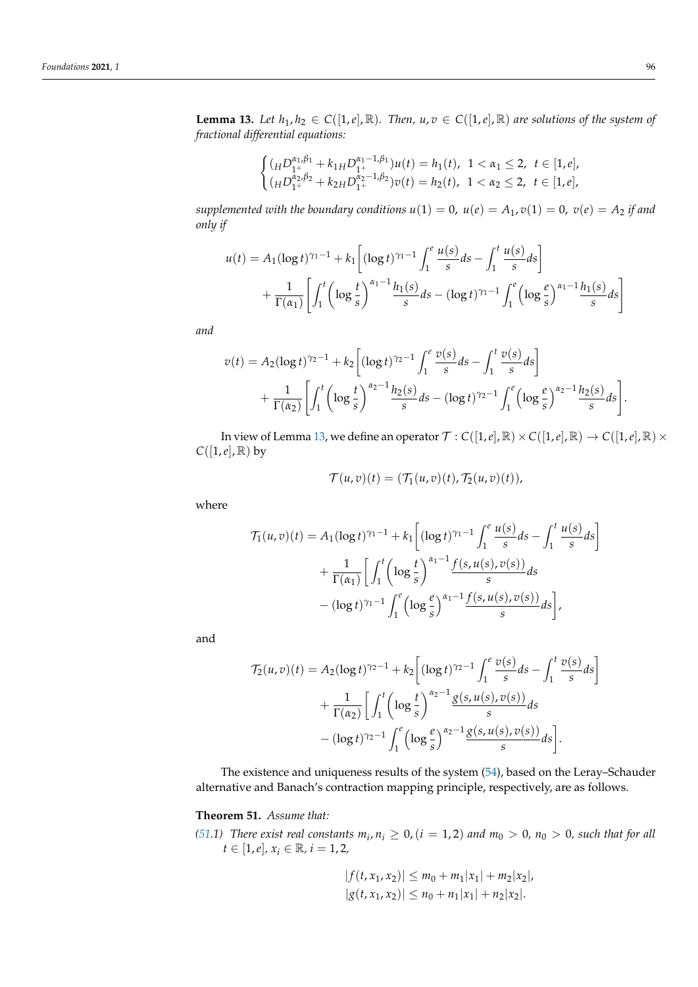<span id="page-33-0"></span>**Lemma 13.** *Let*  $h_1, h_2 \in C([1, e], \mathbb{R})$ *. Then,*  $u, v \in C([1, e], \mathbb{R})$  *are solutions of the system of fractional differential equations:*

$$
\begin{cases}\n(\mu D_{1^+}^{\alpha_1,\beta_1} + k_{1H} D_{1^+}^{\alpha_1-1,\beta_1})u(t) = h_1(t), \ 1 < \alpha_1 \leq 2, \ t \in [1, e], \\
(\mu D_{1^+}^{\alpha_2,\beta_2} + k_{2H} D_{1^+}^{\alpha_2-1,\beta_2})v(t) = h_2(t), \ 1 < \alpha_2 \leq 2, \ t \in [1, e],\n\end{cases}
$$

*supplemented with the boundary conditions*  $u(1) = 0$ ,  $u(e) = A_1$ ,  $v(1) = 0$ ,  $v(e) = A_2$  *if and only if*

$$
u(t) = A_1(\log t)^{\gamma_1 - 1} + k_1 \left[ (\log t)^{\gamma_1 - 1} \int_1^e \frac{u(s)}{s} ds - \int_1^t \frac{u(s)}{s} ds \right] + \frac{1}{\Gamma(\alpha_1)} \left[ \int_1^t \left( \log \frac{t}{s} \right)^{\alpha_1 - 1} \frac{h_1(s)}{s} ds - (\log t)^{\gamma_1 - 1} \int_1^e \left( \log \frac{e}{s} \right)^{\alpha_1 - 1} \frac{h_1(s)}{s} ds \right]
$$

*and*

$$
v(t) = A_2(\log t)^{\gamma_2 - 1} + k_2 \left[ (\log t)^{\gamma_2 - 1} \int_1^e \frac{v(s)}{s} ds - \int_1^t \frac{v(s)}{s} ds \right] + \frac{1}{\Gamma(\alpha_2)} \left[ \int_1^t \left( \log \frac{t}{s} \right)^{\alpha_2 - 1} \frac{h_2(s)}{s} ds - (\log t)^{\gamma_2 - 1} \int_1^e \left( \log \frac{e}{s} \right)^{\alpha_2 - 1} \frac{h_2(s)}{s} ds \right].
$$

In view of Lemma [13,](#page-33-0) we define an operator  $\mathcal{T}: C([1,e], \mathbb{R}) \times C([1,e], \mathbb{R}) \to C([1,e], \mathbb{R}) \times$  $C([1,e], \mathbb{R})$  by

$$
\mathcal{T}(u,v)(t)=(\mathcal{T}_1(u,v)(t),\mathcal{T}_2(u,v)(t)),
$$

where

$$
\mathcal{T}_1(u,v)(t) = A_1(\log t)^{\gamma_1 - 1} + k_1 \left[ (\log t)^{\gamma_1 - 1} \int_1^e \frac{u(s)}{s} ds - \int_1^t \frac{u(s)}{s} ds \right] \n+ \frac{1}{\Gamma(\alpha_1)} \left[ \int_1^t \left( \log \frac{t}{s} \right)^{\alpha_1 - 1} \frac{f(s, u(s), v(s))}{s} ds \right. \n- (\log t)^{\gamma_1 - 1} \int_1^e \left( \log \frac{e}{s} \right)^{\alpha_1 - 1} \frac{f(s, u(s), v(s))}{s} ds \right],
$$

and

$$
\mathcal{T}_2(u,v)(t) = A_2(\log t)^{\gamma_2 - 1} + k_2 \left[ (\log t)^{\gamma_2 - 1} \int_1^e \frac{v(s)}{s} ds - \int_1^t \frac{v(s)}{s} ds \right] \n+ \frac{1}{\Gamma(\alpha_2)} \left[ \int_1^t \left( \log \frac{t}{s} \right)^{\alpha_2 - 1} \frac{g(s, u(s), v(s))}{s} ds \right. \n- (\log t)^{\gamma_2 - 1} \int_1^e \left( \log \frac{e}{s} \right)^{\alpha_2 - 1} \frac{g(s, u(s), v(s))}{s} ds \right].
$$

The existence and uniqueness results of the system [\(54\)](#page-32-2), based on the Leray–Schauder alternative and Banach's contraction mapping principle, respectively, are as follows.

# <span id="page-33-1"></span>**Theorem 51.** *Assume that:*

*[\(51.](#page-33-1)1) There exist real constants*  $m_i$ ,  $n_i \geq 0$ ,  $(i = 1, 2)$  *and*  $m_0 > 0$ ,  $n_0 > 0$ , *such that for all*  $t \in [1, e], x_i \in \mathbb{R}, i = 1, 2,$ 

$$
|f(t, x_1, x_2)| \le m_0 + m_1 |x_1| + m_2 |x_2|,
$$
  

$$
|g(t, x_1, x_2)| \le n_0 + n_1 |x_1| + n_2 |x_2|.
$$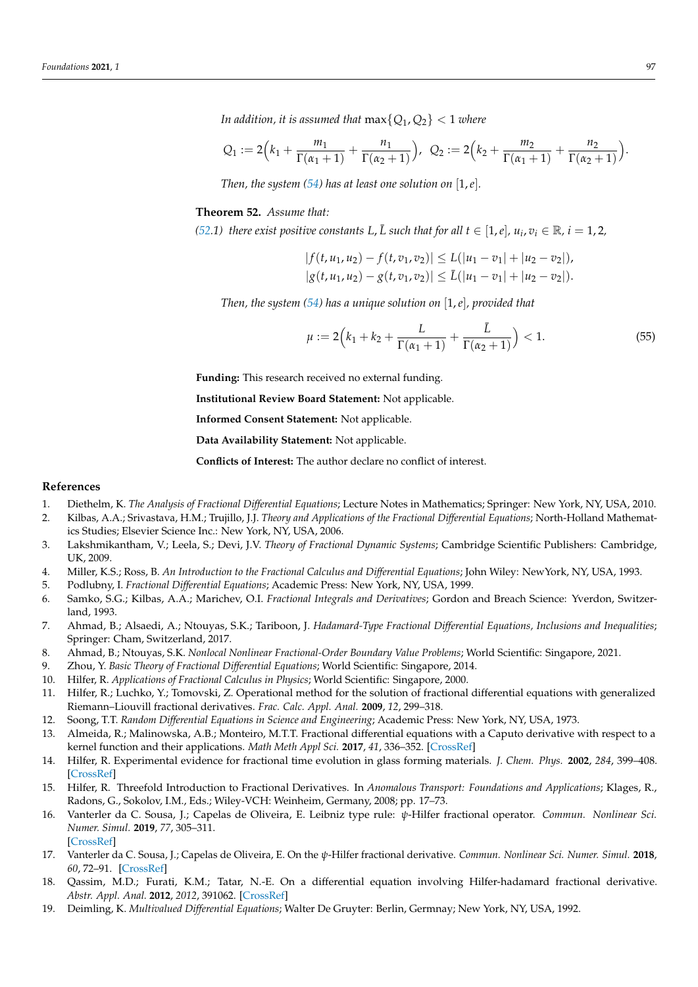*In addition, it is assumed that*  $max{Q_1, Q_2} < 1$  *where* 

$$
Q_1 := 2\Big(k_1 + \frac{m_1}{\Gamma(\alpha_1 + 1)} + \frac{n_1}{\Gamma(\alpha_2 + 1)}\Big), \ \ Q_2 := 2\Big(k_2 + \frac{m_2}{\Gamma(\alpha_1 + 1)} + \frac{n_2}{\Gamma(\alpha_2 + 1)}\Big).
$$

*Then, the system*  $(54)$  *has at least one solution on*  $[1,e]$ *.* 

#### <span id="page-34-9"></span>**Theorem 52.** *Assume that:*

*[\(52.](#page-34-9)1) there exist positive constants L, L such that for all*  $t \in [1, e]$ *,*  $u_i$ *,*  $v_i \in \mathbb{R}$ *,*  $i = 1, 2$ *,* 

$$
|f(t, u_1, u_2) - f(t, v_1, v_2)| \le L(|u_1 - v_1| + |u_2 - v_2|),
$$
  

$$
|g(t, u_1, u_2) - g(t, v_1, v_2)| \le L(|u_1 - v_1| + |u_2 - v_2|).
$$

*Then, the system [\(54\)](#page-32-2) has a unique solution on* [1,*e*]*, provided that*

$$
\mu := 2\Big(k_1 + k_2 + \frac{L}{\Gamma(\alpha_1 + 1)} + \frac{\bar{L}}{\Gamma(\alpha_2 + 1)}\Big) < 1. \tag{55}
$$

**Funding:** This research received no external funding.

**Institutional Review Board Statement:** Not applicable.

**Informed Consent Statement:** Not applicable.

**Data Availability Statement:** Not applicable.

**Conflicts of Interest:** The author declare no conflict of interest.

#### **References**

- <span id="page-34-0"></span>1. Diethelm, K. *The Analysis of Fractional Differential Equations*; Lecture Notes in Mathematics; Springer: New York, NY, USA, 2010.
- <span id="page-34-5"></span>2. Kilbas, A.A.; Srivastava, H.M.; Trujillo, J.J. *Theory and Applications of the Fractional Differential Equations*; North-Holland Mathematics Studies; Elsevier Science Inc.: New York, NY, USA, 2006.
- 3. Lakshmikantham, V.; Leela, S.; Devi, J.V. *Theory of Fractional Dynamic Systems*; Cambridge Scientific Publishers: Cambridge, UK, 2009.
- 4. Miller, K.S.; Ross, B. *An Introduction to the Fractional Calculus and Differential Equations*; John Wiley: NewYork, NY, USA, 1993.
- 5. Podlubny, I. *Fractional Differential Equations*; Academic Press: New York, NY, USA, 1999.
- 6. Samko, S.G.; Kilbas, A.A.; Marichev, O.I. *Fractional Integrals and Derivatives*; Gordon and Breach Science: Yverdon, Switzerland, 1993.
- 7. Ahmad, B.; Alsaedi, A.; Ntouyas, S.K.; Tariboon, J. *Hadamard-Type Fractional Differential Equations, Inclusions and Inequalities*; Springer: Cham, Switzerland, 2017.
- 8. Ahmad, B.; Ntouyas, S.K. *Nonlocal Nonlinear Fractional-Order Boundary Value Problems*; World Scientific: Singapore, 2021.
- <span id="page-34-1"></span>9. Zhou, Y. *Basic Theory of Fractional Differential Equations*; World Scientific: Singapore, 2014.
- <span id="page-34-2"></span>10. Hilfer, R. *Applications of Fractional Calculus in Physics*; World Scientific: Singapore, 2000.
- <span id="page-34-3"></span>11. Hilfer, R.; Luchko, Y.; Tomovski, Z. Operational method for the solution of fractional differential equations with generalized Riemann–Liouvill fractional derivatives. *Frac. Calc. Appl. Anal.* **2009**, *12*, 299–318.
- 12. Soong, T.T. *Random Differential Equations in Science and Engineering*; Academic Press: New York, NY, USA, 1973.
- 13. Almeida, R.; Malinowska, A.B.; Monteiro, M.T.T. Fractional differential equations with a Caputo derivative with respect to a kernel function and their applications. *Math Meth Appl Sci.* **2017**, *41*, 336–352. [\[CrossRef\]](http://doi.org/10.1002/mma.4617)
- 14. Hilfer, R. Experimental evidence for fractional time evolution in glass forming materials. *J. Chem. Phys.* **2002**, *284*, 399–408. [\[CrossRef\]](http://dx.doi.org/10.1016/S0301-0104(02)00670-5)
- 15. Hilfer, R. Threefold Introduction to Fractional Derivatives. In *Anomalous Transport: Foundations and Applications*; Klages, R., Radons, G., Sokolov, I.M., Eds.; Wiley-VCH: Weinheim, Germany, 2008; pp. 17–73.
- <span id="page-34-4"></span>16. Vanterler da C. Sousa, J.; Capelas de Oliveira, E. Leibniz type rule: *ψ*-Hilfer fractional operator. *Commun. Nonlinear Sci. Numer. Simul.* **2019**, *77*, 305–311. [\[CrossRef\]](http://dx.doi.org/10.1016/j.cnsns.2019.05.003)
- <span id="page-34-6"></span>17. Vanterler da C. Sousa, J.; Capelas de Oliveira, E. On the *ψ*-Hilfer fractional derivative. *Commun. Nonlinear Sci. Numer. Simul.* **2018**, *60*, 72–91. [\[CrossRef\]](http://dx.doi.org/10.1016/j.cnsns.2018.01.005)
- <span id="page-34-7"></span>18. Qassim, M.D.; Furati, K.M.; Tatar, N.-E. On a differential equation involving Hilfer-hadamard fractional derivative. *Abstr. Appl. Anal.* **2012**, *2012*, 391062. [\[CrossRef\]](http://dx.doi.org/10.1155/2012/391062)
- <span id="page-34-8"></span>19. Deimling, K. *Multivalued Differential Equations*; Walter De Gruyter: Berlin, Germnay; New York, NY, USA, 1992.